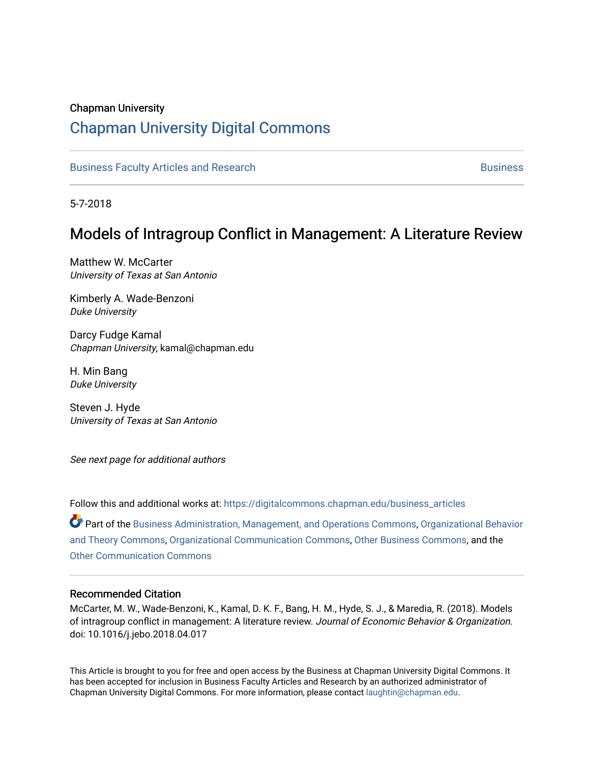# Chapman University

# [Chapman University Digital Commons](https://digitalcommons.chapman.edu/)

[Business Faculty Articles and Research](https://digitalcommons.chapman.edu/business_articles) [Business](https://digitalcommons.chapman.edu/business) **Business** Business

5-7-2018

# Models of Intragroup Conflict in Management: A Literature Review

Matthew W. McCarter University of Texas at San Antonio

Kimberly A. Wade-Benzoni Duke University

Darcy Fudge Kamal Chapman University, kamal@chapman.edu

H. Min Bang Duke University

Steven J. Hyde University of Texas at San Antonio

See next page for additional authors

Follow this and additional works at: [https://digitalcommons.chapman.edu/business\\_articles](https://digitalcommons.chapman.edu/business_articles?utm_source=digitalcommons.chapman.edu%2Fbusiness_articles%2F65&utm_medium=PDF&utm_campaign=PDFCoverPages) 

Part of the [Business Administration, Management, and Operations Commons](http://network.bepress.com/hgg/discipline/623?utm_source=digitalcommons.chapman.edu%2Fbusiness_articles%2F65&utm_medium=PDF&utm_campaign=PDFCoverPages), [Organizational Behavior](http://network.bepress.com/hgg/discipline/639?utm_source=digitalcommons.chapman.edu%2Fbusiness_articles%2F65&utm_medium=PDF&utm_campaign=PDFCoverPages) [and Theory Commons](http://network.bepress.com/hgg/discipline/639?utm_source=digitalcommons.chapman.edu%2Fbusiness_articles%2F65&utm_medium=PDF&utm_campaign=PDFCoverPages), [Organizational Communication Commons,](http://network.bepress.com/hgg/discipline/335?utm_source=digitalcommons.chapman.edu%2Fbusiness_articles%2F65&utm_medium=PDF&utm_campaign=PDFCoverPages) [Other Business Commons](http://network.bepress.com/hgg/discipline/647?utm_source=digitalcommons.chapman.edu%2Fbusiness_articles%2F65&utm_medium=PDF&utm_campaign=PDFCoverPages), and the [Other Communication Commons](http://network.bepress.com/hgg/discipline/339?utm_source=digitalcommons.chapman.edu%2Fbusiness_articles%2F65&utm_medium=PDF&utm_campaign=PDFCoverPages)

#### Recommended Citation

McCarter, M. W., Wade-Benzoni, K., Kamal, D. K. F., Bang, H. M., Hyde, S. J., & Maredia, R. (2018). Models of intragroup conflict in management: A literature review. Journal of Economic Behavior & Organization. doi: 10.1016/j.jebo.2018.04.017

This Article is brought to you for free and open access by the Business at Chapman University Digital Commons. It has been accepted for inclusion in Business Faculty Articles and Research by an authorized administrator of Chapman University Digital Commons. For more information, please contact [laughtin@chapman.edu](mailto:laughtin@chapman.edu).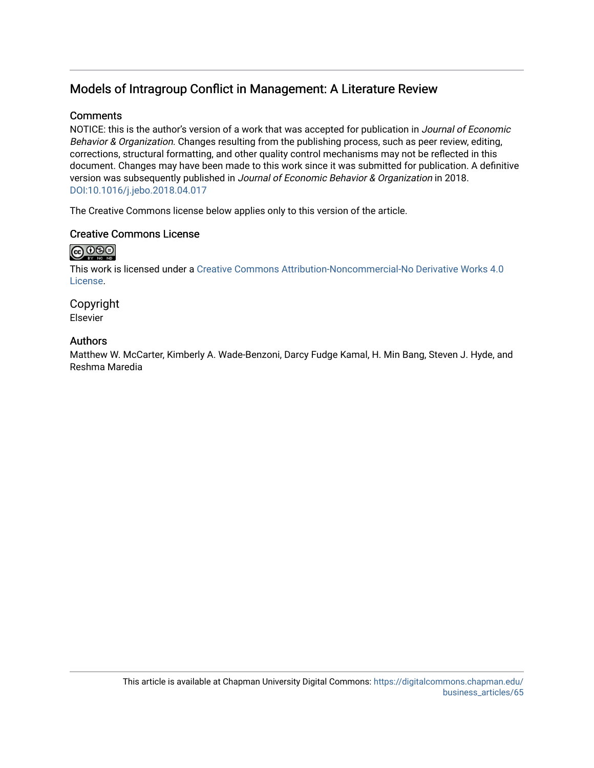# Models of Intragroup Conflict in Management: A Literature Review

# **Comments**

NOTICE: this is the author's version of a work that was accepted for publication in Journal of Economic Behavior & Organization. Changes resulting from the publishing process, such as peer review, editing, corrections, structural formatting, and other quality control mechanisms may not be reflected in this document. Changes may have been made to this work since it was submitted for publication. A definitive version was subsequently published in Journal of Economic Behavior & Organization in 2018. [DOI:10.1016/j.jebo.2018.04.017](https://doi.org/10.1016/j.jebo.2018.04.017)

The Creative Commons license below applies only to this version of the article.

# Creative Commons License

# $\bigcirc$  000

This work is licensed under a [Creative Commons Attribution-Noncommercial-No Derivative Works 4.0](https://creativecommons.org/licenses/by-nc-nd/4.0/) [License](https://creativecommons.org/licenses/by-nc-nd/4.0/).

Copyright Elsevier

# Authors

Matthew W. McCarter, Kimberly A. Wade-Benzoni, Darcy Fudge Kamal, H. Min Bang, Steven J. Hyde, and Reshma Maredia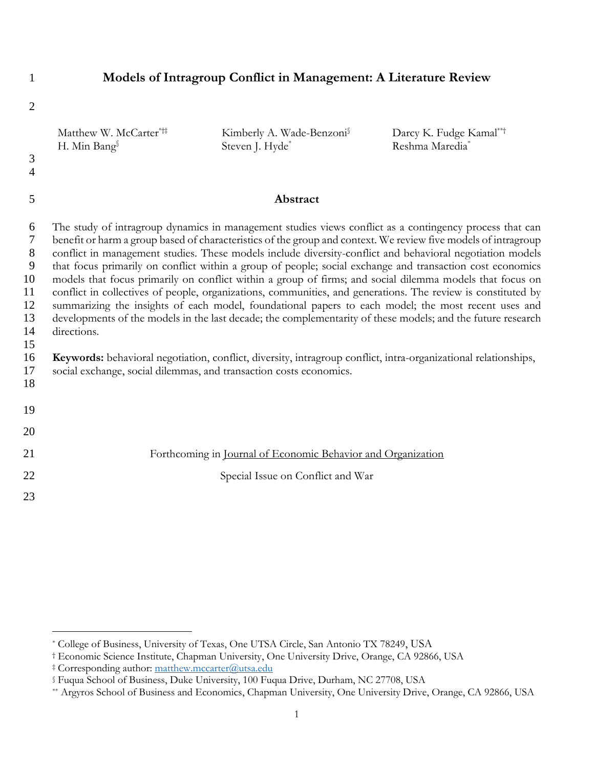| 1                                                                                        | Models of Intragroup Conflict in Management: A Literature Review                                                                                                                                                                                                                                                                                                                                                                                                                                                                                                                                                                                                                                                                                                                                                                                                                                                                                                                                                                                                                                              |                                                          |                                            |  |  |  |  |  |  |  |
|------------------------------------------------------------------------------------------|---------------------------------------------------------------------------------------------------------------------------------------------------------------------------------------------------------------------------------------------------------------------------------------------------------------------------------------------------------------------------------------------------------------------------------------------------------------------------------------------------------------------------------------------------------------------------------------------------------------------------------------------------------------------------------------------------------------------------------------------------------------------------------------------------------------------------------------------------------------------------------------------------------------------------------------------------------------------------------------------------------------------------------------------------------------------------------------------------------------|----------------------------------------------------------|--------------------------------------------|--|--|--|--|--|--|--|
| $\overline{2}$                                                                           |                                                                                                                                                                                                                                                                                                                                                                                                                                                                                                                                                                                                                                                                                                                                                                                                                                                                                                                                                                                                                                                                                                               |                                                          |                                            |  |  |  |  |  |  |  |
| 3<br>4                                                                                   | Matthew W. McCarter*#<br>H. Min Bang                                                                                                                                                                                                                                                                                                                                                                                                                                                                                                                                                                                                                                                                                                                                                                                                                                                                                                                                                                                                                                                                          | Kimberly A. Wade-Benzoni <sup>§</sup><br>Steven J. Hyde* | Darcy K. Fudge Kamal***<br>Reshma Maredia* |  |  |  |  |  |  |  |
| 5                                                                                        | Abstract                                                                                                                                                                                                                                                                                                                                                                                                                                                                                                                                                                                                                                                                                                                                                                                                                                                                                                                                                                                                                                                                                                      |                                                          |                                            |  |  |  |  |  |  |  |
| 6<br>$\tau$<br>$8\phantom{1}$<br>9<br>10<br>11<br>12<br>13<br>14<br>15<br>16<br>17<br>18 | The study of intragroup dynamics in management studies views conflict as a contingency process that can<br>benefit or harm a group based of characteristics of the group and context. We review five models of intragroup<br>conflict in management studies. These models include diversity-conflict and behavioral negotiation models<br>that focus primarily on conflict within a group of people; social exchange and transaction cost economics<br>models that focus primarily on conflict within a group of firms; and social dilemma models that focus on<br>conflict in collectives of people, organizations, communities, and generations. The review is constituted by<br>summarizing the insights of each model, foundational papers to each model; the most recent uses and<br>developments of the models in the last decade; the complementarity of these models; and the future research<br>directions.<br>Keywords: behavioral negotiation, conflict, diversity, intragroup conflict, intra-organizational relationships,<br>social exchange, social dilemmas, and transaction costs economics. |                                                          |                                            |  |  |  |  |  |  |  |
| 19                                                                                       |                                                                                                                                                                                                                                                                                                                                                                                                                                                                                                                                                                                                                                                                                                                                                                                                                                                                                                                                                                                                                                                                                                               |                                                          |                                            |  |  |  |  |  |  |  |
| 20                                                                                       |                                                                                                                                                                                                                                                                                                                                                                                                                                                                                                                                                                                                                                                                                                                                                                                                                                                                                                                                                                                                                                                                                                               |                                                          |                                            |  |  |  |  |  |  |  |
| 21                                                                                       | Forthcoming in Journal of Economic Behavior and Organization                                                                                                                                                                                                                                                                                                                                                                                                                                                                                                                                                                                                                                                                                                                                                                                                                                                                                                                                                                                                                                                  |                                                          |                                            |  |  |  |  |  |  |  |
| 22                                                                                       | Special Issue on Conflict and War                                                                                                                                                                                                                                                                                                                                                                                                                                                                                                                                                                                                                                                                                                                                                                                                                                                                                                                                                                                                                                                                             |                                                          |                                            |  |  |  |  |  |  |  |
| 23                                                                                       |                                                                                                                                                                                                                                                                                                                                                                                                                                                                                                                                                                                                                                                                                                                                                                                                                                                                                                                                                                                                                                                                                                               |                                                          |                                            |  |  |  |  |  |  |  |

 $\overline{a}$ 

<sup>\*</sup> College of Business, University of Texas, One UTSA Circle, San Antonio TX 78249, USA

<sup>†</sup> Economic Science Institute, Chapman University, One University Drive, Orange, CA 92866, USA

<sup>‡</sup> Corresponding author: [matthew.mccarter@utsa.edu](mailto:matthew.mccarter@utsa.edu)

<sup>§</sup> Fuqua School of Business, Duke University, 100 Fuqua Drive, Durham, NC 27708, USA

<sup>\*\*</sup> Argyros School of Business and Economics, Chapman University, One University Drive, Orange, CA 92866, USA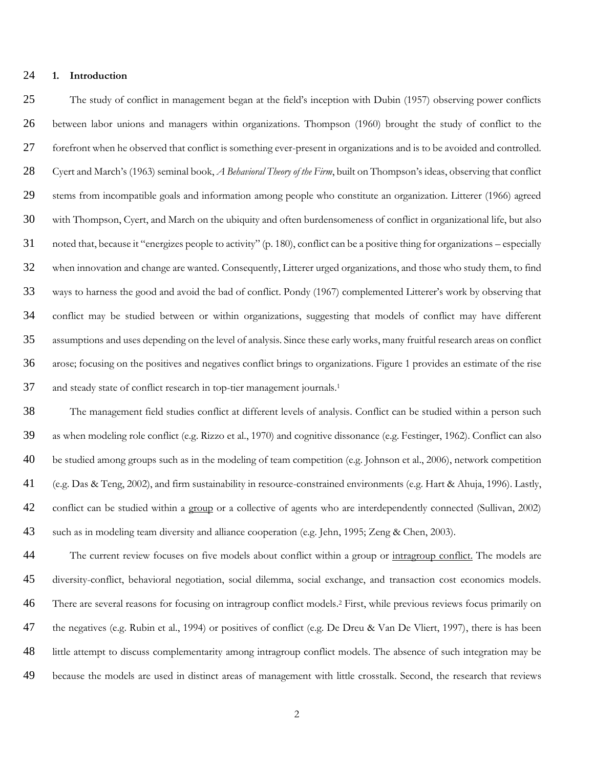#### **1. Introduction**

 The study of conflict in management began at the field's inception with Dubin (1957) observing power conflicts between labor unions and managers within organizations. Thompson (1960) brought the study of conflict to the forefront when he observed that conflict is something ever-present in organizations and is to be avoided and controlled. Cyert and March's (1963) seminal book, *A Behavioral Theory of the Firm*, built on Thompson's ideas, observing that conflict stems from incompatible goals and information among people who constitute an organization. Litterer (1966) agreed with Thompson, Cyert, and March on the ubiquity and often burdensomeness of conflict in organizational life, but also noted that, because it "energizes people to activity" (p. 180), conflict can be a positive thing for organizations – especially when innovation and change are wanted. Consequently, Litterer urged organizations, and those who study them, to find ways to harness the good and avoid the bad of conflict. Pondy (1967) complemented Litterer's work by observing that conflict may be studied between or within organizations, suggesting that models of conflict may have different assumptions and uses depending on the level of analysis. Since these early works, many fruitful research areas on conflict arose; focusing on the positives and negatives conflict brings to organizations. Figure 1 provides an estimate of the rise 37 and steady state of conflict research in top-tier management journals.<sup>1</sup>

 The management field studies conflict at different levels of analysis. Conflict can be studied within a person such as when modeling role conflict (e.g. Rizzo et al., 1970) and cognitive dissonance (e.g. Festinger, 1962). Conflict can also be studied among groups such as in the modeling of team competition (e.g. Johnson et al., 2006), network competition (e.g. Das & Teng, 2002), and firm sustainability in resource-constrained environments (e.g. Hart & Ahuja, 1996). Lastly, 42 conflict can be studied within a group or a collective of agents who are interdependently connected (Sullivan, 2002) such as in modeling team diversity and alliance cooperation (e.g. Jehn, 1995; Zeng & Chen, 2003).

 The current review focuses on five models about conflict within a group or intragroup conflict. The models are diversity-conflict, behavioral negotiation, social dilemma, social exchange, and transaction cost economics models. There are several reasons for focusing on intragroup conflict models. <sup>2</sup> First, while previous reviews focus primarily on the negatives (e.g. Rubin et al., 1994) or positives of conflict (e.g. De Dreu & Van De Vliert, 1997), there is has been little attempt to discuss complementarity among intragroup conflict models. The absence of such integration may be because the models are used in distinct areas of management with little crosstalk. Second, the research that reviews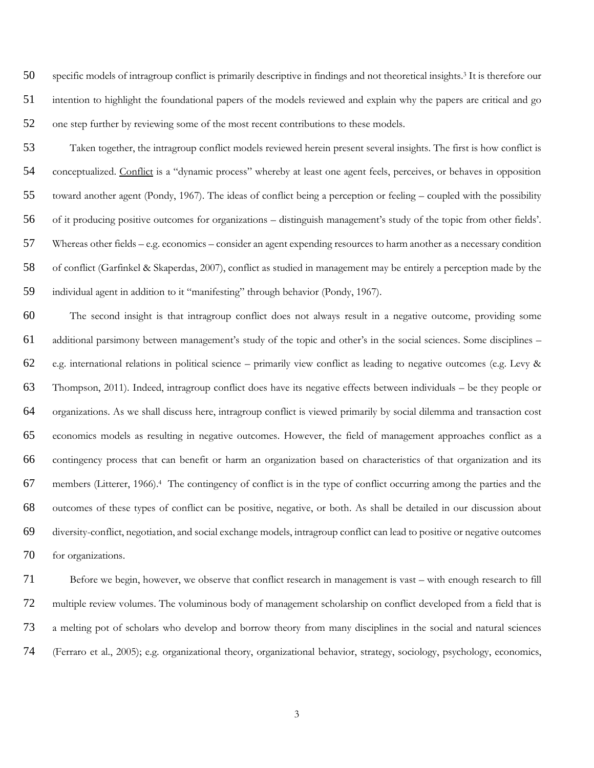50 specific models of intragroup conflict is primarily descriptive in findings and not theoretical insights.<sup>3</sup> It is therefore our intention to highlight the foundational papers of the models reviewed and explain why the papers are critical and go one step further by reviewing some of the most recent contributions to these models.

 Taken together, the intragroup conflict models reviewed herein present several insights. The first is how conflict is conceptualized. Conflict is a "dynamic process" whereby at least one agent feels, perceives, or behaves in opposition toward another agent (Pondy, 1967). The ideas of conflict being a perception or feeling – coupled with the possibility of it producing positive outcomes for organizations – distinguish management's study of the topic from other fields'. Whereas other fields – e.g. economics – consider an agent expending resources to harm another as a necessary condition of conflict (Garfinkel & Skaperdas, 2007), conflict as studied in management may be entirely a perception made by the individual agent in addition to it "manifesting" through behavior (Pondy, 1967).

 The second insight is that intragroup conflict does not always result in a negative outcome, providing some additional parsimony between management's study of the topic and other's in the social sciences. Some disciplines – e.g. international relations in political science – primarily view conflict as leading to negative outcomes (e.g. Levy & Thompson, 2011). Indeed, intragroup conflict does have its negative effects between individuals – be they people or organizations. As we shall discuss here, intragroup conflict is viewed primarily by social dilemma and transaction cost economics models as resulting in negative outcomes. However, the field of management approaches conflict as a contingency process that can benefit or harm an organization based on characteristics of that organization and its 67 members (Litterer, 1966).<sup>4</sup> The contingency of conflict is in the type of conflict occurring among the parties and the outcomes of these types of conflict can be positive, negative, or both. As shall be detailed in our discussion about diversity-conflict, negotiation, and social exchange models, intragroup conflict can lead to positive or negative outcomes for organizations.

 Before we begin, however, we observe that conflict research in management is vast – with enough research to fill multiple review volumes. The voluminous body of management scholarship on conflict developed from a field that is a melting pot of scholars who develop and borrow theory from many disciplines in the social and natural sciences (Ferraro et al., 2005); e.g. organizational theory, organizational behavior, strategy, sociology, psychology, economics,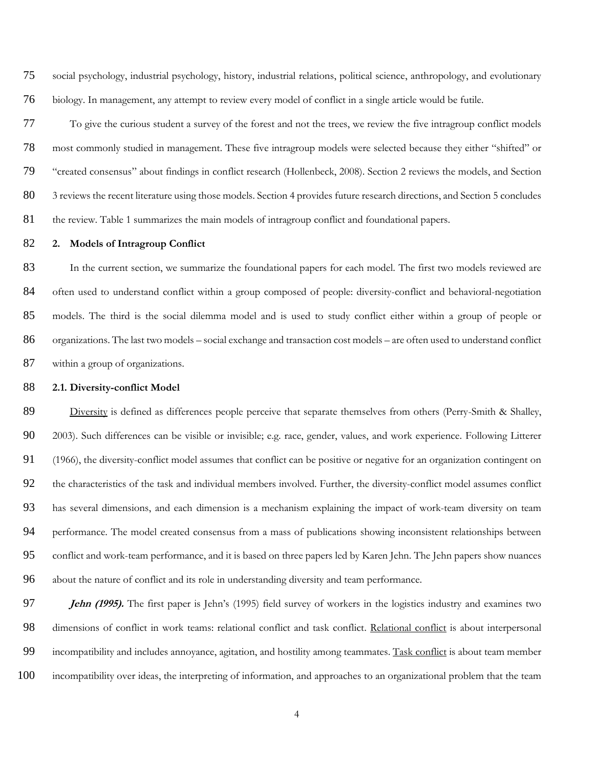social psychology, industrial psychology, history, industrial relations, political science, anthropology, and evolutionary biology. In management, any attempt to review every model of conflict in a single article would be futile.

 To give the curious student a survey of the forest and not the trees, we review the five intragroup conflict models most commonly studied in management. These five intragroup models were selected because they either "shifted" or "created consensus" about findings in conflict research (Hollenbeck, 2008). Section 2 reviews the models, and Section 3 reviews the recent literature using those models. Section 4 provides future research directions, and Section 5 concludes the review. Table 1 summarizes the main models of intragroup conflict and foundational papers.

# **2. Models of Intragroup Conflict**

 In the current section, we summarize the foundational papers for each model. The first two models reviewed are 84 often used to understand conflict within a group composed of people: diversity-conflict and behavioral-negotiation models. The third is the social dilemma model and is used to study conflict either within a group of people or organizations. The last two models – social exchange and transaction cost models – are often used to understand conflict within a group of organizations.

#### **2.1. Diversity-conflict Model**

 Diversity is defined as differences people perceive that separate themselves from others (Perry-Smith & Shalley, 2003). Such differences can be visible or invisible; e.g. race, gender, values, and work experience. Following Litterer (1966), the diversity-conflict model assumes that conflict can be positive or negative for an organization contingent on the characteristics of the task and individual members involved. Further, the diversity-conflict model assumes conflict has several dimensions, and each dimension is a mechanism explaining the impact of work-team diversity on team performance. The model created consensus from a mass of publications showing inconsistent relationships between conflict and work-team performance, and it is based on three papers led by Karen Jehn. The Jehn papers show nuances about the nature of conflict and its role in understanding diversity and team performance.

 **Jehn (1995).** The first paper is Jehn's (1995) field survey of workers in the logistics industry and examines two 98 dimensions of conflict in work teams: relational conflict and task conflict. Relational conflict is about interpersonal incompatibility and includes annoyance, agitation, and hostility among teammates. Task conflict is about team member incompatibility over ideas, the interpreting of information, and approaches to an organizational problem that the team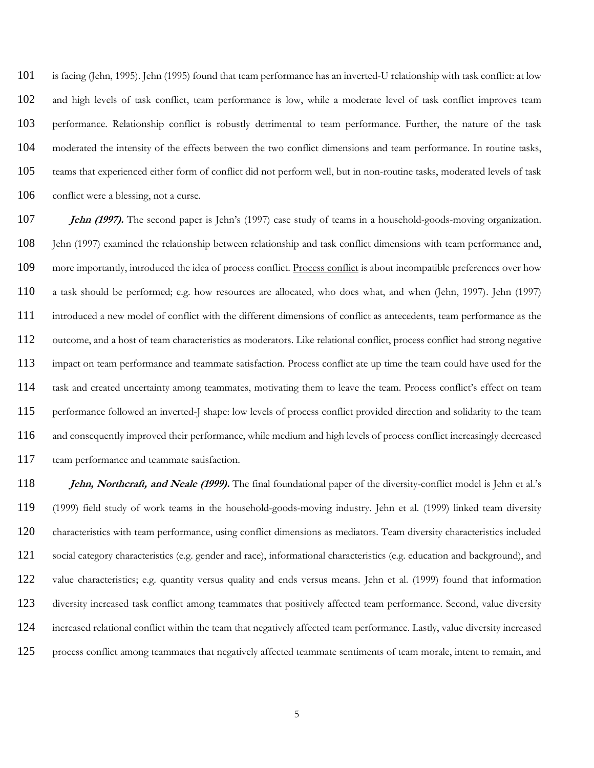is facing (Jehn, 1995). Jehn (1995) found that team performance has an inverted-U relationship with task conflict: at low and high levels of task conflict, team performance is low, while a moderate level of task conflict improves team performance. Relationship conflict is robustly detrimental to team performance. Further, the nature of the task moderated the intensity of the effects between the two conflict dimensions and team performance. In routine tasks, teams that experienced either form of conflict did not perform well, but in non-routine tasks, moderated levels of task 106 conflict were a blessing, not a curse.

 **Jehn (1997).** The second paper is Jehn's (1997) case study of teams in a household-goods-moving organization. Jehn (1997) examined the relationship between relationship and task conflict dimensions with team performance and, 109 more importantly, introduced the idea of process conflict. Process conflict is about incompatible preferences over how a task should be performed; e.g. how resources are allocated, who does what, and when (Jehn, 1997). Jehn (1997) introduced a new model of conflict with the different dimensions of conflict as antecedents, team performance as the outcome, and a host of team characteristics as moderators. Like relational conflict, process conflict had strong negative impact on team performance and teammate satisfaction. Process conflict ate up time the team could have used for the task and created uncertainty among teammates, motivating them to leave the team. Process conflict's effect on team performance followed an inverted-J shape: low levels of process conflict provided direction and solidarity to the team and consequently improved their performance, while medium and high levels of process conflict increasingly decreased team performance and teammate satisfaction.

*Jehn, Northcraft, and Neale (1999)*. The final foundational paper of the diversity-conflict model is Jehn et al.'s (1999) field study of work teams in the household-goods-moving industry. Jehn et al. (1999) linked team diversity characteristics with team performance, using conflict dimensions as mediators. Team diversity characteristics included social category characteristics (e.g. gender and race), informational characteristics (e.g. education and background), and value characteristics; e.g. quantity versus quality and ends versus means. Jehn et al. (1999) found that information diversity increased task conflict among teammates that positively affected team performance. Second, value diversity increased relational conflict within the team that negatively affected team performance. Lastly, value diversity increased process conflict among teammates that negatively affected teammate sentiments of team morale, intent to remain, and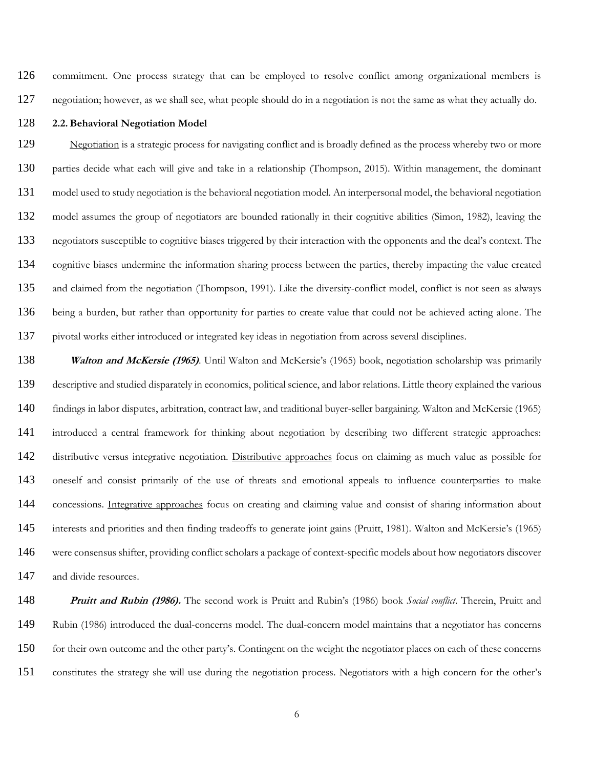commitment. One process strategy that can be employed to resolve conflict among organizational members is negotiation; however, as we shall see, what people should do in a negotiation is not the same as what they actually do.

#### **2.2. Behavioral Negotiation Model**

129 Negotiation is a strategic process for navigating conflict and is broadly defined as the process whereby two or more parties decide what each will give and take in a relationship (Thompson, 2015). Within management, the dominant model used to study negotiation is the behavioral negotiation model. An interpersonal model, the behavioral negotiation model assumes the group of negotiators are bounded rationally in their cognitive abilities (Simon, 1982), leaving the negotiators susceptible to cognitive biases triggered by their interaction with the opponents and the deal's context. The cognitive biases undermine the information sharing process between the parties, thereby impacting the value created and claimed from the negotiation (Thompson, 1991). Like the diversity-conflict model, conflict is not seen as always being a burden, but rather than opportunity for parties to create value that could not be achieved acting alone. The pivotal works either introduced or integrated key ideas in negotiation from across several disciplines.

 **Walton and McKersie (1965)**. Until Walton and McKersie's (1965) book, negotiation scholarship was primarily descriptive and studied disparately in economics, political science, and labor relations. Little theory explained the various findings in labor disputes, arbitration, contract law, and traditional buyer-seller bargaining. Walton and McKersie (1965) introduced a central framework for thinking about negotiation by describing two different strategic approaches: distributive versus integrative negotiation. Distributive approaches focus on claiming as much value as possible for oneself and consist primarily of the use of threats and emotional appeals to influence counterparties to make concessions. Integrative approaches focus on creating and claiming value and consist of sharing information about interests and priorities and then finding tradeoffs to generate joint gains (Pruitt, 1981). Walton and McKersie's (1965) were consensus shifter, providing conflict scholars a package of context-specific models about how negotiators discover 147 and divide resources.

 **Pruitt and Rubin (1986).** The second work is Pruitt and Rubin's (1986) book *Social conflict*. Therein, Pruitt and Rubin (1986) introduced the dual-concerns model. The dual-concern model maintains that a negotiator has concerns for their own outcome and the other party's. Contingent on the weight the negotiator places on each of these concerns constitutes the strategy she will use during the negotiation process. Negotiators with a high concern for the other's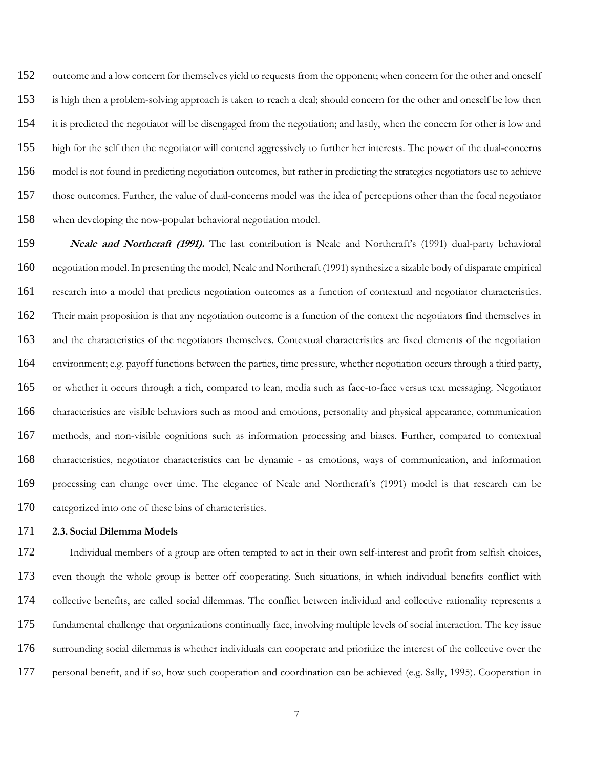outcome and a low concern for themselves yield to requests from the opponent; when concern for the other and oneself is high then a problem-solving approach is taken to reach a deal; should concern for the other and oneself be low then it is predicted the negotiator will be disengaged from the negotiation; and lastly, when the concern for other is low and high for the self then the negotiator will contend aggressively to further her interests. The power of the dual-concerns model is not found in predicting negotiation outcomes, but rather in predicting the strategies negotiators use to achieve those outcomes. Further, the value of dual-concerns model was the idea of perceptions other than the focal negotiator when developing the now-popular behavioral negotiation model.

 **Neale and Northcraft (1991).** The last contribution is Neale and Northcraft's (1991) dual-party behavioral negotiation model. In presenting the model, Neale and Northcraft (1991) synthesize a sizable body of disparate empirical research into a model that predicts negotiation outcomes as a function of contextual and negotiator characteristics. Their main proposition is that any negotiation outcome is a function of the context the negotiators find themselves in and the characteristics of the negotiators themselves. Contextual characteristics are fixed elements of the negotiation environment; e.g. payoff functions between the parties, time pressure, whether negotiation occurs through a third party, or whether it occurs through a rich, compared to lean, media such as face-to-face versus text messaging. Negotiator characteristics are visible behaviors such as mood and emotions, personality and physical appearance, communication methods, and non-visible cognitions such as information processing and biases. Further, compared to contextual characteristics, negotiator characteristics can be dynamic - as emotions, ways of communication, and information processing can change over time. The elegance of Neale and Northcraft's (1991) model is that research can be categorized into one of these bins of characteristics.

# **2.3. Social Dilemma Models**

 Individual members of a group are often tempted to act in their own self-interest and profit from selfish choices, even though the whole group is better off cooperating. Such situations, in which individual benefits conflict with collective benefits, are called social dilemmas. The conflict between individual and collective rationality represents a fundamental challenge that organizations continually face, involving multiple levels of social interaction. The key issue surrounding social dilemmas is whether individuals can cooperate and prioritize the interest of the collective over the personal benefit, and if so, how such cooperation and coordination can be achieved (e.g. Sally, 1995). Cooperation in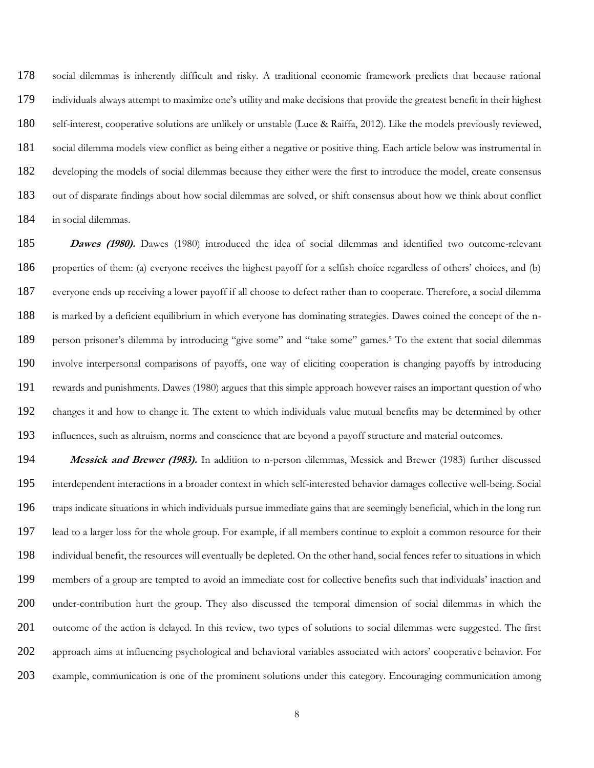social dilemmas is inherently difficult and risky. A traditional economic framework predicts that because rational individuals always attempt to maximize one's utility and make decisions that provide the greatest benefit in their highest self-interest, cooperative solutions are unlikely or unstable (Luce & Raiffa, 2012). Like the models previously reviewed, social dilemma models view conflict as being either a negative or positive thing. Each article below was instrumental in developing the models of social dilemmas because they either were the first to introduce the model, create consensus out of disparate findings about how social dilemmas are solved, or shift consensus about how we think about conflict in social dilemmas.

 **Dawes (1980).** Dawes (1980) introduced the idea of social dilemmas and identified two outcome-relevant properties of them: (a) everyone receives the highest payoff for a selfish choice regardless of others' choices, and (b) everyone ends up receiving a lower payoff if all choose to defect rather than to cooperate. Therefore, a social dilemma is marked by a deficient equilibrium in which everyone has dominating strategies. Dawes coined the concept of the n-189 person prisoner's dilemma by introducing "give some" and "take some" games.<sup>5</sup> To the extent that social dilemmas involve interpersonal comparisons of payoffs, one way of eliciting cooperation is changing payoffs by introducing rewards and punishments. Dawes (1980) argues that this simple approach however raises an important question of who changes it and how to change it. The extent to which individuals value mutual benefits may be determined by other influences, such as altruism, norms and conscience that are beyond a payoff structure and material outcomes.

 **Messick and Brewer (1983).** In addition to n-person dilemmas, Messick and Brewer (1983) further discussed interdependent interactions in a broader context in which self-interested behavior damages collective well-being. Social traps indicate situations in which individuals pursue immediate gains that are seemingly beneficial, which in the long run lead to a larger loss for the whole group. For example, if all members continue to exploit a common resource for their individual benefit, the resources will eventually be depleted. On the other hand, social fences refer to situations in which members of a group are tempted to avoid an immediate cost for collective benefits such that individuals' inaction and under-contribution hurt the group. They also discussed the temporal dimension of social dilemmas in which the outcome of the action is delayed. In this review, two types of solutions to social dilemmas were suggested. The first approach aims at influencing psychological and behavioral variables associated with actors' cooperative behavior. For example, communication is one of the prominent solutions under this category. Encouraging communication among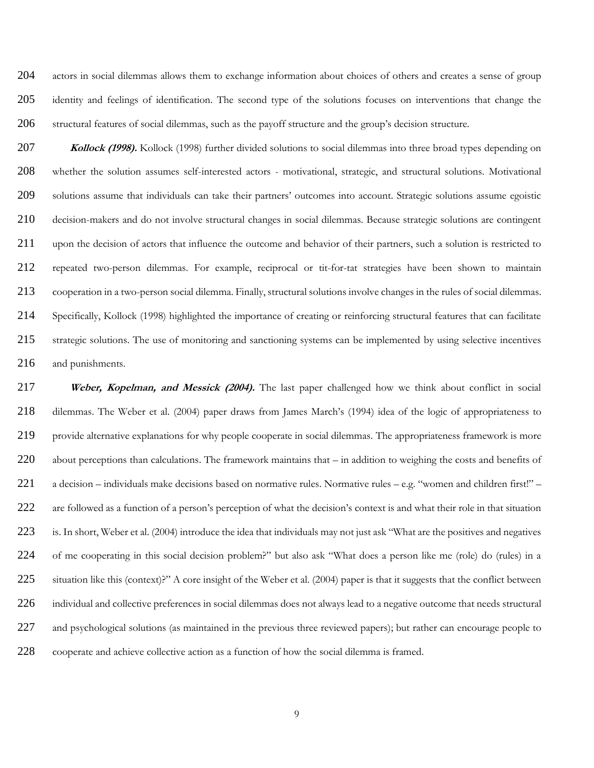204 actors in social dilemmas allows them to exchange information about choices of others and creates a sense of group 205 identity and feelings of identification. The second type of the solutions focuses on interventions that change the structural features of social dilemmas, such as the payoff structure and the group's decision structure.

**Kollock (1998).** Kollock (1998) further divided solutions to social dilemmas into three broad types depending on whether the solution assumes self-interested actors - motivational, strategic, and structural solutions. Motivational solutions assume that individuals can take their partners' outcomes into account. Strategic solutions assume egoistic decision-makers and do not involve structural changes in social dilemmas. Because strategic solutions are contingent upon the decision of actors that influence the outcome and behavior of their partners, such a solution is restricted to repeated two-person dilemmas. For example, reciprocal or tit-for-tat strategies have been shown to maintain cooperation in a two-person social dilemma. Finally, structural solutions involve changes in the rules of social dilemmas. Specifically, Kollock (1998) highlighted the importance of creating or reinforcing structural features that can facilitate strategic solutions. The use of monitoring and sanctioning systems can be implemented by using selective incentives and punishments.

217 Weber, Kopelman, and Messick (2004). The last paper challenged how we think about conflict in social dilemmas. The Weber et al. (2004) paper draws from James March's (1994) idea of the logic of appropriateness to provide alternative explanations for why people cooperate in social dilemmas. The appropriateness framework is more about perceptions than calculations. The framework maintains that – in addition to weighing the costs and benefits of a decision – individuals make decisions based on normative rules. Normative rules – e.g. "women and children first!" – are followed as a function of a person's perception of what the decision's context is and what their role in that situation is. In short, Weber et al. (2004) introduce the idea that individuals may not just ask "What are the positives and negatives of me cooperating in this social decision problem?" but also ask "What does a person like me (role) do (rules) in a 225 situation like this (context)?" A core insight of the Weber et al. (2004) paper is that it suggests that the conflict between individual and collective preferences in social dilemmas does not always lead to a negative outcome that needs structural and psychological solutions (as maintained in the previous three reviewed papers); but rather can encourage people to cooperate and achieve collective action as a function of how the social dilemma is framed.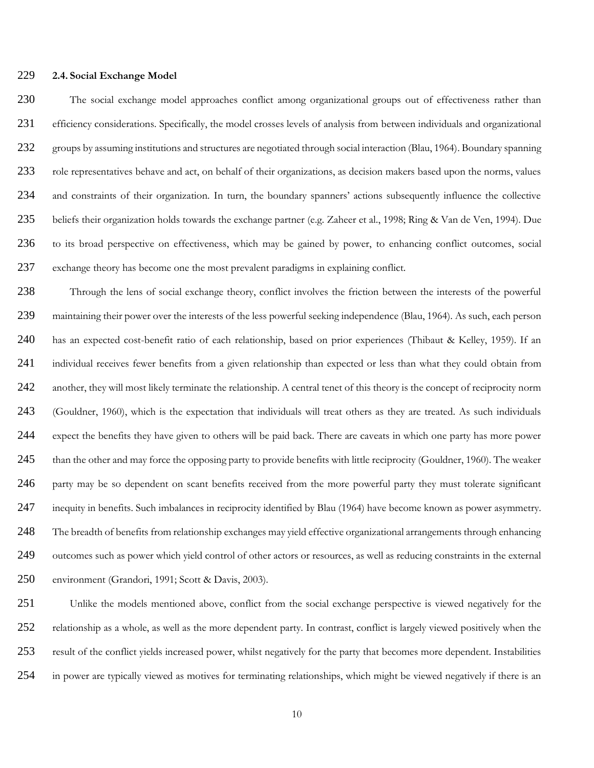# **2.4. Social Exchange Model**

 The social exchange model approaches conflict among organizational groups out of effectiveness rather than efficiency considerations. Specifically, the model crosses levels of analysis from between individuals and organizational groups by assuming institutions and structures are negotiated through social interaction (Blau, 1964). Boundary spanning role representatives behave and act, on behalf of their organizations, as decision makers based upon the norms, values and constraints of their organization. In turn, the boundary spanners' actions subsequently influence the collective beliefs their organization holds towards the exchange partner (e.g. Zaheer et al., 1998; Ring & Van de Ven, 1994). Due to its broad perspective on effectiveness, which may be gained by power, to enhancing conflict outcomes, social exchange theory has become one the most prevalent paradigms in explaining conflict.

 Through the lens of social exchange theory, conflict involves the friction between the interests of the powerful maintaining their power over the interests of the less powerful seeking independence (Blau, 1964). As such, each person has an expected cost-benefit ratio of each relationship, based on prior experiences (Thibaut & Kelley, 1959). If an individual receives fewer benefits from a given relationship than expected or less than what they could obtain from another, they will most likely terminate the relationship. A central tenet of this theory is the concept of reciprocity norm (Gouldner, 1960), which is the expectation that individuals will treat others as they are treated. As such individuals expect the benefits they have given to others will be paid back. There are caveats in which one party has more power 245 than the other and may force the opposing party to provide benefits with little reciprocity (Gouldner, 1960). The weaker party may be so dependent on scant benefits received from the more powerful party they must tolerate significant inequity in benefits. Such imbalances in reciprocity identified by Blau (1964) have become known as power asymmetry. The breadth of benefits from relationship exchanges may yield effective organizational arrangements through enhancing outcomes such as power which yield control of other actors or resources, as well as reducing constraints in the external environment (Grandori, 1991; Scott & Davis, 2003).

 Unlike the models mentioned above, conflict from the social exchange perspective is viewed negatively for the 252 relationship as a whole, as well as the more dependent party. In contrast, conflict is largely viewed positively when the result of the conflict yields increased power, whilst negatively for the party that becomes more dependent. Instabilities in power are typically viewed as motives for terminating relationships, which might be viewed negatively if there is an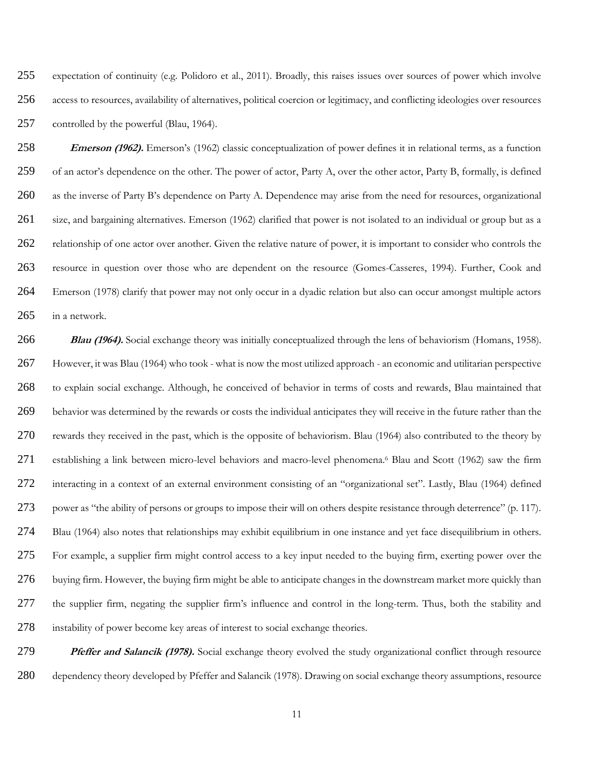expectation of continuity (e.g. Polidoro et al., 2011). Broadly, this raises issues over sources of power which involve access to resources, availability of alternatives, political coercion or legitimacy, and conflicting ideologies over resources 257 controlled by the powerful (Blau, 1964).

 **Emerson (1962).** Emerson's (1962) classic conceptualization of power defines it in relational terms, as a function of an actor's dependence on the other. The power of actor, Party A, over the other actor, Party B, formally, is defined as the inverse of Party B's dependence on Party A. Dependence may arise from the need for resources, organizational size, and bargaining alternatives. Emerson (1962) clarified that power is not isolated to an individual or group but as a 262 relationship of one actor over another. Given the relative nature of power, it is important to consider who controls the resource in question over those who are dependent on the resource (Gomes-Casseres, 1994). Further, Cook and Emerson (1978) clarify that power may not only occur in a dyadic relation but also can occur amongst multiple actors in a network.

 **Blau (1964).** Social exchange theory was initially conceptualized through the lens of behaviorism (Homans, 1958). However, it was Blau (1964) who took - what is now the most utilized approach - an economic and utilitarian perspective to explain social exchange. Although, he conceived of behavior in terms of costs and rewards, Blau maintained that behavior was determined by the rewards or costs the individual anticipates they will receive in the future rather than the rewards they received in the past, which is the opposite of behaviorism. Blau (1964) also contributed to the theory by 271 establishing a link between micro-level behaviors and macro-level phenomena.<sup>6</sup> Blau and Scott (1962) saw the firm interacting in a context of an external environment consisting of an "organizational set". Lastly, Blau (1964) defined power as "the ability of persons or groups to impose their will on others despite resistance through deterrence" (p. 117). Blau (1964) also notes that relationships may exhibit equilibrium in one instance and yet face disequilibrium in others. For example, a supplier firm might control access to a key input needed to the buying firm, exerting power over the buying firm. However, the buying firm might be able to anticipate changes in the downstream market more quickly than the supplier firm, negating the supplier firm's influence and control in the long-term. Thus, both the stability and instability of power become key areas of interest to social exchange theories.

 **Pfeffer and Salancik (1978).** Social exchange theory evolved the study organizational conflict through resource dependency theory developed by Pfeffer and Salancik (1978). Drawing on social exchange theory assumptions, resource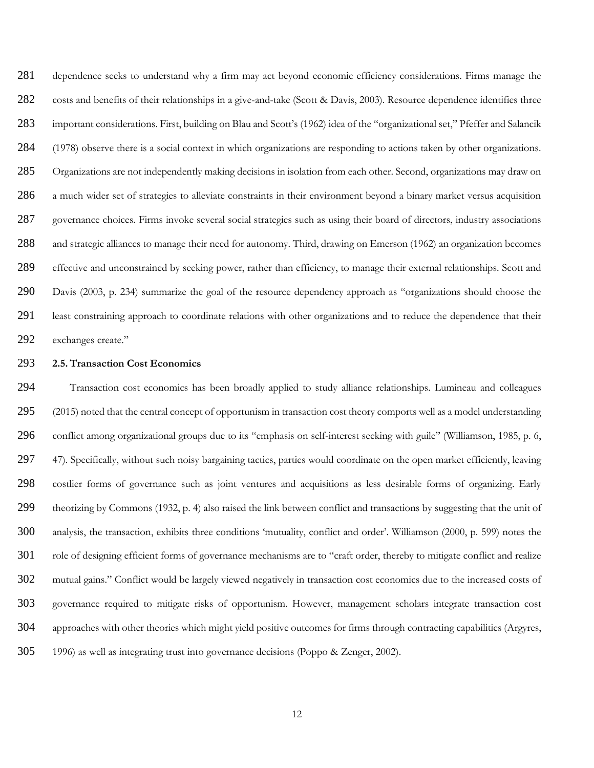dependence seeks to understand why a firm may act beyond economic efficiency considerations. Firms manage the costs and benefits of their relationships in a give-and-take (Scott & Davis, 2003). Resource dependence identifies three important considerations. First, building on Blau and Scott's (1962) idea of the "organizational set," Pfeffer and Salancik (1978) observe there is a social context in which organizations are responding to actions taken by other organizations. Organizations are not independently making decisions in isolation from each other. Second, organizations may draw on a much wider set of strategies to alleviate constraints in their environment beyond a binary market versus acquisition governance choices. Firms invoke several social strategies such as using their board of directors, industry associations and strategic alliances to manage their need for autonomy. Third, drawing on Emerson (1962) an organization becomes effective and unconstrained by seeking power, rather than efficiency, to manage their external relationships. Scott and Davis (2003, p. 234) summarize the goal of the resource dependency approach as "organizations should choose the least constraining approach to coordinate relations with other organizations and to reduce the dependence that their exchanges create."

# **2.5. Transaction Cost Economics**

 Transaction cost economics has been broadly applied to study alliance relationships. Lumineau and colleagues 295 (2015) noted that the central concept of opportunism in transaction cost theory comports well as a model understanding conflict among organizational groups due to its "emphasis on self-interest seeking with guile" (Williamson, 1985, p. 6, 47). Specifically, without such noisy bargaining tactics, parties would coordinate on the open market efficiently, leaving costlier forms of governance such as joint ventures and acquisitions as less desirable forms of organizing. Early theorizing by Commons (1932, p. 4) also raised the link between conflict and transactions by suggesting that the unit of analysis, the transaction, exhibits three conditions 'mutuality, conflict and order'. Williamson (2000, p. 599) notes the role of designing efficient forms of governance mechanisms are to "craft order, thereby to mitigate conflict and realize mutual gains." Conflict would be largely viewed negatively in transaction cost economics due to the increased costs of governance required to mitigate risks of opportunism. However, management scholars integrate transaction cost approaches with other theories which might yield positive outcomes for firms through contracting capabilities (Argyres, 1996) as well as integrating trust into governance decisions (Poppo & Zenger, 2002).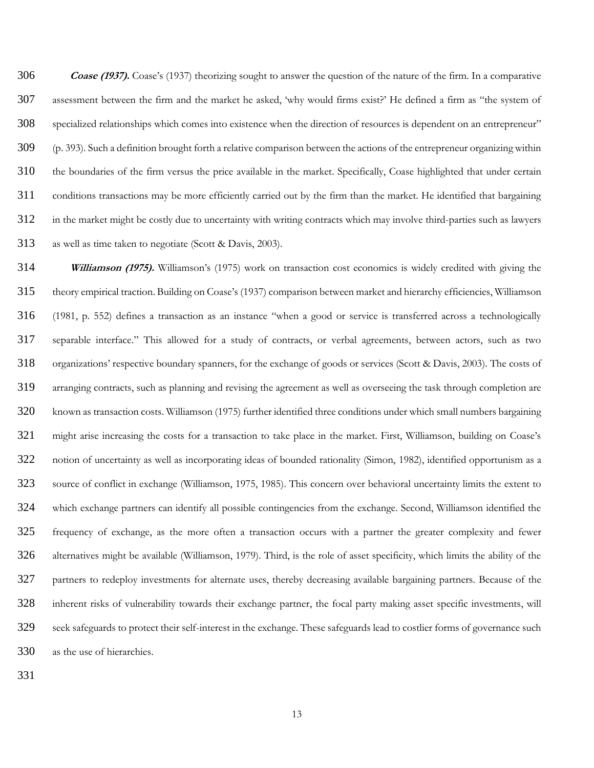**Coase (1937).** Coase's (1937) theorizing sought to answer the question of the nature of the firm. In a comparative assessment between the firm and the market he asked, 'why would firms exist?' He defined a firm as "the system of specialized relationships which comes into existence when the direction of resources is dependent on an entrepreneur" (p. 393). Such a definition brought forth a relative comparison between the actions of the entrepreneur organizing within the boundaries of the firm versus the price available in the market. Specifically, Coase highlighted that under certain conditions transactions may be more efficiently carried out by the firm than the market. He identified that bargaining in the market might be costly due to uncertainty with writing contracts which may involve third-parties such as lawyers as well as time taken to negotiate (Scott & Davis, 2003).

 **Williamson (1975).** Williamson's (1975) work on transaction cost economics is widely credited with giving the theory empirical traction. Building on Coase's (1937) comparison between market and hierarchy efficiencies, Williamson (1981, p. 552) defines a transaction as an instance "when a good or service is transferred across a technologically separable interface." This allowed for a study of contracts, or verbal agreements, between actors, such as two organizations' respective boundary spanners, for the exchange of goods or services (Scott & Davis, 2003). The costs of arranging contracts, such as planning and revising the agreement as well as overseeing the task through completion are known as transaction costs. Williamson (1975) further identified three conditions under which small numbers bargaining might arise increasing the costs for a transaction to take place in the market. First, Williamson, building on Coase's notion of uncertainty as well as incorporating ideas of bounded rationality (Simon, 1982), identified opportunism as a source of conflict in exchange (Williamson, 1975, 1985). This concern over behavioral uncertainty limits the extent to which exchange partners can identify all possible contingencies from the exchange. Second, Williamson identified the frequency of exchange, as the more often a transaction occurs with a partner the greater complexity and fewer alternatives might be available (Williamson, 1979). Third, is the role of asset specificity, which limits the ability of the partners to redeploy investments for alternate uses, thereby decreasing available bargaining partners. Because of the inherent risks of vulnerability towards their exchange partner, the focal party making asset specific investments, will seek safeguards to protect their self-interest in the exchange. These safeguards lead to costlier forms of governance such as the use of hierarchies.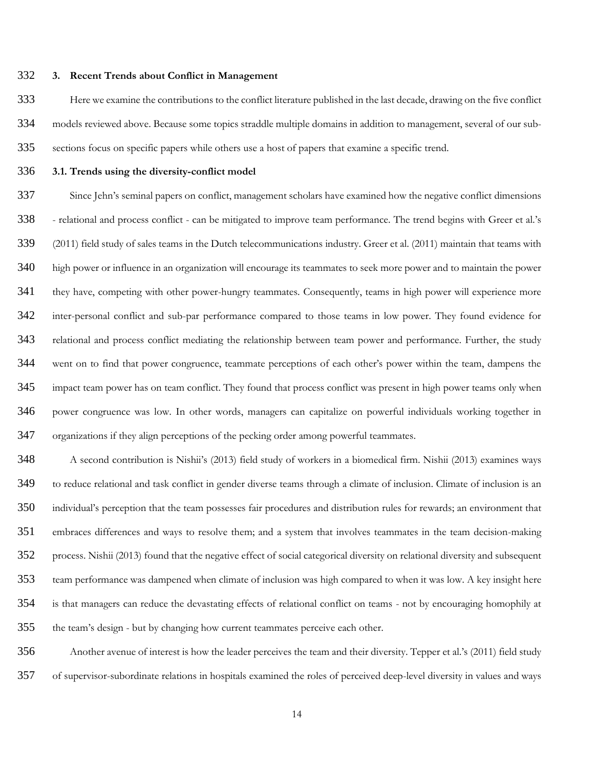# **3. Recent Trends about Conflict in Management**

 Here we examine the contributions to the conflict literature published in the last decade, drawing on the five conflict models reviewed above. Because some topics straddle multiple domains in addition to management, several of our sub-sections focus on specific papers while others use a host of papers that examine a specific trend.

**3.1. Trends using the diversity-conflict model**

 Since Jehn's seminal papers on conflict, management scholars have examined how the negative conflict dimensions - relational and process conflict - can be mitigated to improve team performance. The trend begins with Greer et al.'s (2011) field study of sales teams in the Dutch telecommunications industry. Greer et al. (2011) maintain that teams with high power or influence in an organization will encourage its teammates to seek more power and to maintain the power they have, competing with other power-hungry teammates. Consequently, teams in high power will experience more inter-personal conflict and sub-par performance compared to those teams in low power. They found evidence for relational and process conflict mediating the relationship between team power and performance. Further, the study went on to find that power congruence, teammate perceptions of each other's power within the team, dampens the 345 impact team power has on team conflict. They found that process conflict was present in high power teams only when power congruence was low. In other words, managers can capitalize on powerful individuals working together in organizations if they align perceptions of the pecking order among powerful teammates.

 A second contribution is Nishii's (2013) field study of workers in a biomedical firm. Nishii (2013) examines ways to reduce relational and task conflict in gender diverse teams through a climate of inclusion. Climate of inclusion is an individual's perception that the team possesses fair procedures and distribution rules for rewards; an environment that embraces differences and ways to resolve them; and a system that involves teammates in the team decision-making process. Nishii (2013) found that the negative effect of social categorical diversity on relational diversity and subsequent team performance was dampened when climate of inclusion was high compared to when it was low. A key insight here is that managers can reduce the devastating effects of relational conflict on teams - not by encouraging homophily at the team's design - but by changing how current teammates perceive each other.

 Another avenue of interest is how the leader perceives the team and their diversity. Tepper et al.'s (2011) field study of supervisor-subordinate relations in hospitals examined the roles of perceived deep-level diversity in values and ways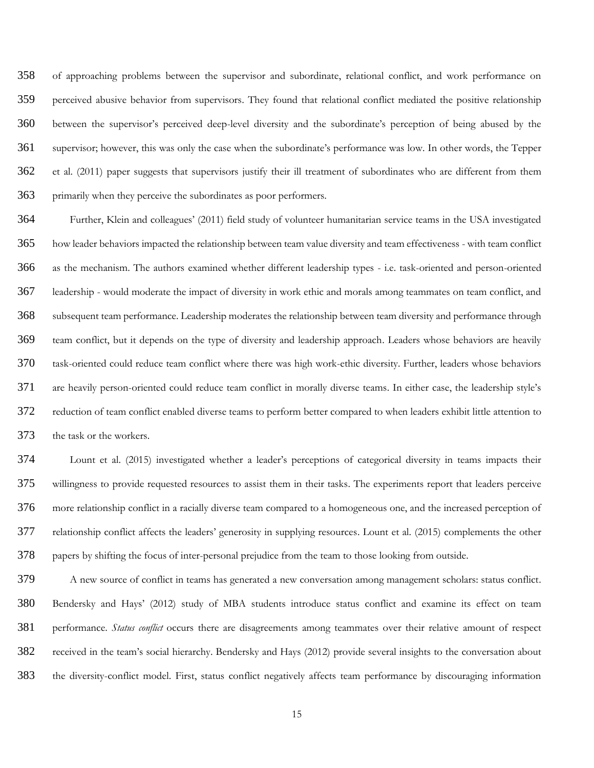of approaching problems between the supervisor and subordinate, relational conflict, and work performance on perceived abusive behavior from supervisors. They found that relational conflict mediated the positive relationship between the supervisor's perceived deep-level diversity and the subordinate's perception of being abused by the supervisor; however, this was only the case when the subordinate's performance was low. In other words, the Tepper et al. (2011) paper suggests that supervisors justify their ill treatment of subordinates who are different from them primarily when they perceive the subordinates as poor performers.

 Further, Klein and colleagues' (2011) field study of volunteer humanitarian service teams in the USA investigated how leader behaviors impacted the relationship between team value diversity and team effectiveness - with team conflict as the mechanism. The authors examined whether different leadership types - i.e. task-oriented and person-oriented leadership - would moderate the impact of diversity in work ethic and morals among teammates on team conflict, and subsequent team performance. Leadership moderates the relationship between team diversity and performance through team conflict, but it depends on the type of diversity and leadership approach. Leaders whose behaviors are heavily task-oriented could reduce team conflict where there was high work-ethic diversity. Further, leaders whose behaviors are heavily person-oriented could reduce team conflict in morally diverse teams. In either case, the leadership style's reduction of team conflict enabled diverse teams to perform better compared to when leaders exhibit little attention to the task or the workers.

 Lount et al. (2015) investigated whether a leader's perceptions of categorical diversity in teams impacts their willingness to provide requested resources to assist them in their tasks. The experiments report that leaders perceive more relationship conflict in a racially diverse team compared to a homogeneous one, and the increased perception of relationship conflict affects the leaders' generosity in supplying resources. Lount et al. (2015) complements the other papers by shifting the focus of inter-personal prejudice from the team to those looking from outside.

 A new source of conflict in teams has generated a new conversation among management scholars: status conflict. Bendersky and Hays' (2012) study of MBA students introduce status conflict and examine its effect on team performance. *Status conflict* occurs there are disagreements among teammates over their relative amount of respect received in the team's social hierarchy. Bendersky and Hays (2012) provide several insights to the conversation about the diversity-conflict model. First, status conflict negatively affects team performance by discouraging information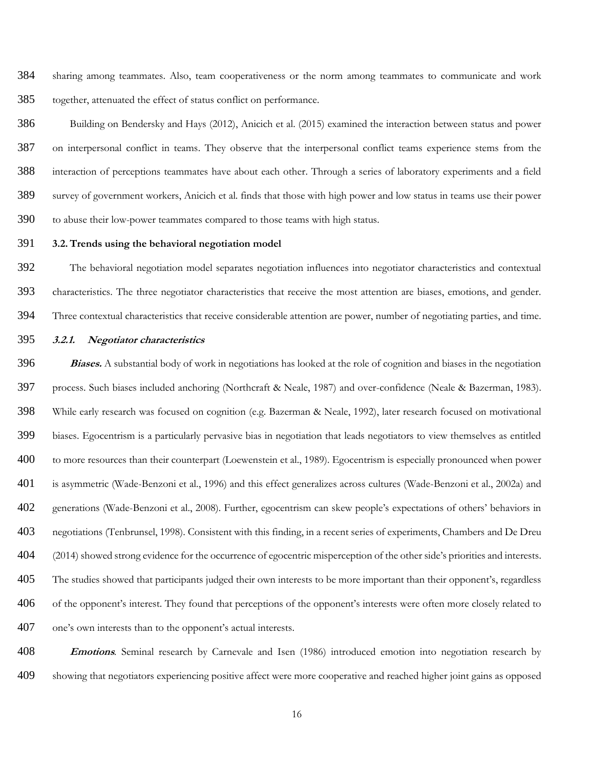sharing among teammates. Also, team cooperativeness or the norm among teammates to communicate and work together, attenuated the effect of status conflict on performance.

 Building on Bendersky and Hays (2012), Anicich et al. (2015) examined the interaction between status and power on interpersonal conflict in teams. They observe that the interpersonal conflict teams experience stems from the interaction of perceptions teammates have about each other. Through a series of laboratory experiments and a field survey of government workers, Anicich et al. finds that those with high power and low status in teams use their power to abuse their low-power teammates compared to those teams with high status.

#### **3.2. Trends using the behavioral negotiation model**

 The behavioral negotiation model separates negotiation influences into negotiator characteristics and contextual characteristics. The three negotiator characteristics that receive the most attention are biases, emotions, and gender. Three contextual characteristics that receive considerable attention are power, number of negotiating parties, and time.

# **3.2.1. Negotiator characteristics**

 **Biases.** A substantial body of work in negotiations has looked at the role of cognition and biases in the negotiation process. Such biases included anchoring (Northcraft & Neale, 1987) and over-confidence (Neale & Bazerman, 1983). While early research was focused on cognition (e.g. Bazerman & Neale, 1992), later research focused on motivational biases. Egocentrism is a particularly pervasive bias in negotiation that leads negotiators to view themselves as entitled to more resources than their counterpart (Loewenstein et al., 1989). Egocentrism is especially pronounced when power is asymmetric (Wade-Benzoni et al., 1996) and this effect generalizes across cultures (Wade-Benzoni et al., 2002a) and generations (Wade-Benzoni et al., 2008). Further, egocentrism can skew people's expectations of others' behaviors in negotiations (Tenbrunsel, 1998). Consistent with this finding, in a recent series of experiments, Chambers and De Dreu 404 (2014) showed strong evidence for the occurrence of egocentric misperception of the other side's priorities and interests. 405 The studies showed that participants judged their own interests to be more important than their opponent's, regardless of the opponent's interest. They found that perceptions of the opponent's interests were often more closely related to one's own interests than to the opponent's actual interests.

 **Emotions***.* Seminal research by Carnevale and Isen (1986) introduced emotion into negotiation research by showing that negotiators experiencing positive affect were more cooperative and reached higher joint gains as opposed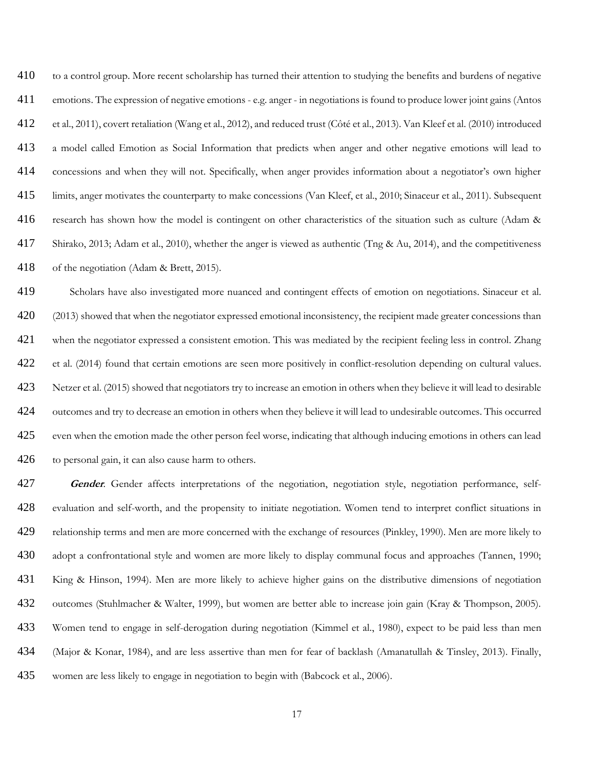to a control group. More recent scholarship has turned their attention to studying the benefits and burdens of negative emotions. The expression of negative emotions - e.g. anger - in negotiations is found to produce lower joint gains (Antos et al., 2011), covert retaliation (Wang et al., 2012), and reduced trust (Côté et al., 2013). Van Kleef et al. (2010) introduced a model called Emotion as Social Information that predicts when anger and other negative emotions will lead to concessions and when they will not. Specifically, when anger provides information about a negotiator's own higher limits, anger motivates the counterparty to make concessions (Van Kleef, et al., 2010; Sinaceur et al., 2011). Subsequent 416 research has shown how the model is contingent on other characteristics of the situation such as culture (Adam & 417 Shirako, 2013; Adam et al., 2010), whether the anger is viewed as authentic (Tng & Au, 2014), and the competitiveness of the negotiation (Adam & Brett, 2015).

 Scholars have also investigated more nuanced and contingent effects of emotion on negotiations. Sinaceur et al. 420 (2013) showed that when the negotiator expressed emotional inconsistency, the recipient made greater concessions than when the negotiator expressed a consistent emotion. This was mediated by the recipient feeling less in control. Zhang 422 et al. (2014) found that certain emotions are seen more positively in conflict-resolution depending on cultural values. Netzer et al. (2015) showed that negotiators try to increase an emotion in others when they believe it will lead to desirable outcomes and try to decrease an emotion in others when they believe it will lead to undesirable outcomes. This occurred 425 even when the emotion made the other person feel worse, indicating that although inducing emotions in others can lead 426 to personal gain, it can also cause harm to others.

 **Gender**. Gender affects interpretations of the negotiation, negotiation style, negotiation performance, self- evaluation and self-worth, and the propensity to initiate negotiation. Women tend to interpret conflict situations in relationship terms and men are more concerned with the exchange of resources (Pinkley, 1990). Men are more likely to adopt a confrontational style and women are more likely to display communal focus and approaches (Tannen, 1990; King & Hinson, 1994). Men are more likely to achieve higher gains on the distributive dimensions of negotiation 432 outcomes (Stuhlmacher & Walter, 1999), but women are better able to increase join gain (Kray & Thompson, 2005). Women tend to engage in self-derogation during negotiation (Kimmel et al., 1980), expect to be paid less than men (Major & Konar, 1984), and are less assertive than men for fear of backlash (Amanatullah & Tinsley, 2013). Finally, women are less likely to engage in negotiation to begin with (Babcock et al., 2006).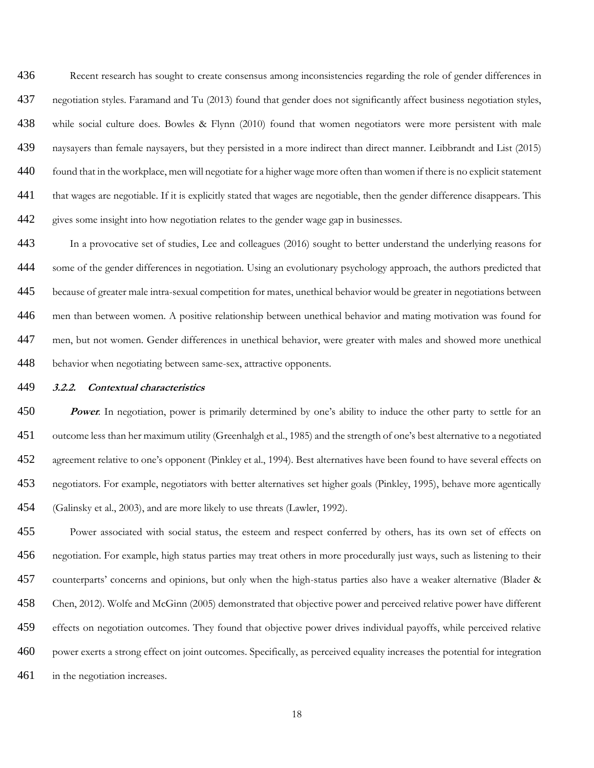Recent research has sought to create consensus among inconsistencies regarding the role of gender differences in negotiation styles. Faramand and Tu (2013) found that gender does not significantly affect business negotiation styles, while social culture does. Bowles & Flynn (2010) found that women negotiators were more persistent with male naysayers than female naysayers, but they persisted in a more indirect than direct manner. Leibbrandt and List (2015) found that in the workplace, men will negotiate for a higher wage more often than women if there is no explicit statement 441 that wages are negotiable. If it is explicitly stated that wages are negotiable, then the gender difference disappears. This gives some insight into how negotiation relates to the gender wage gap in businesses.

 In a provocative set of studies, Lee and colleagues (2016) sought to better understand the underlying reasons for 444 some of the gender differences in negotiation. Using an evolutionary psychology approach, the authors predicted that because of greater male intra-sexual competition for mates, unethical behavior would be greater in negotiations between men than between women. A positive relationship between unethical behavior and mating motivation was found for men, but not women. Gender differences in unethical behavior, were greater with males and showed more unethical 448 behavior when negotiating between same-sex, attractive opponents.

#### **3.2.2. Contextual characteristics**

 **Power***.* In negotiation, power is primarily determined by one's ability to induce the other party to settle for an outcome less than her maximum utility (Greenhalgh et al., 1985) and the strength of one's best alternative to a negotiated agreement relative to one's opponent (Pinkley et al., 1994). Best alternatives have been found to have several effects on negotiators. For example, negotiators with better alternatives set higher goals (Pinkley, 1995), behave more agentically (Galinsky et al., 2003), and are more likely to use threats (Lawler, 1992).

 Power associated with social status, the esteem and respect conferred by others, has its own set of effects on 456 negotiation. For example, high status parties may treat others in more procedurally just ways, such as listening to their counterparts' concerns and opinions, but only when the high-status parties also have a weaker alternative (Blader & Chen, 2012). Wolfe and McGinn (2005) demonstrated that objective power and perceived relative power have different effects on negotiation outcomes. They found that objective power drives individual payoffs, while perceived relative power exerts a strong effect on joint outcomes. Specifically, as perceived equality increases the potential for integration in the negotiation increases.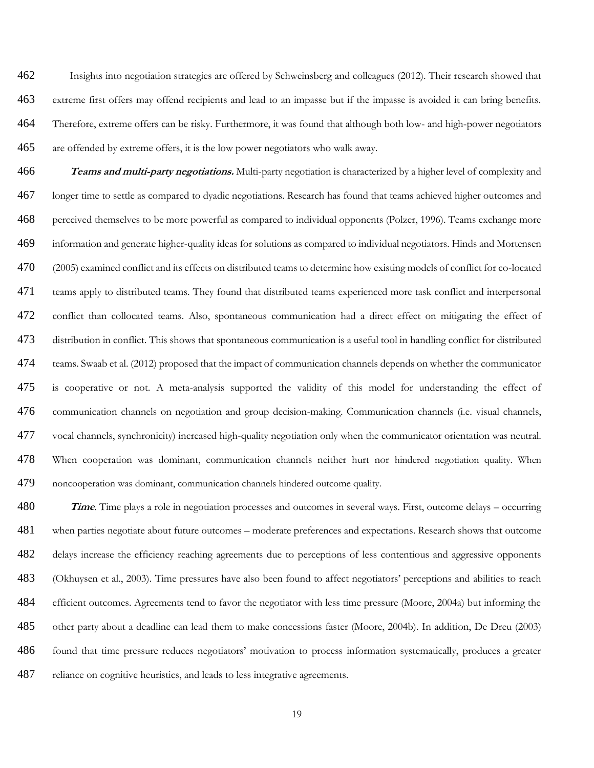Insights into negotiation strategies are offered by Schweinsberg and colleagues (2012). Their research showed that extreme first offers may offend recipients and lead to an impasse but if the impasse is avoided it can bring benefits. Therefore, extreme offers can be risky. Furthermore, it was found that although both low- and high-power negotiators are offended by extreme offers, it is the low power negotiators who walk away.

 **Teams and multi-party negotiations.** Multi-party negotiation is characterized by a higher level of complexity and 467 longer time to settle as compared to dyadic negotiations. Research has found that teams achieved higher outcomes and perceived themselves to be more powerful as compared to individual opponents (Polzer, 1996). Teams exchange more information and generate higher-quality ideas for solutions as compared to individual negotiators. Hinds and Mortensen (2005) examined conflict and its effects on distributed teams to determine how existing models of conflict for co-located 471 teams apply to distributed teams. They found that distributed teams experienced more task conflict and interpersonal conflict than collocated teams. Also, spontaneous communication had a direct effect on mitigating the effect of distribution in conflict. This shows that spontaneous communication is a useful tool in handling conflict for distributed teams. Swaab et al. (2012) proposed that the impact of communication channels depends on whether the communicator is cooperative or not. A meta-analysis supported the validity of this model for understanding the effect of communication channels on negotiation and group decision-making. Communication channels (i.e. visual channels, vocal channels, synchronicity) increased high-quality negotiation only when the communicator orientation was neutral. When cooperation was dominant, communication channels neither hurt nor hindered negotiation quality. When noncooperation was dominant, communication channels hindered outcome quality.

 **Time**. Time plays a role in negotiation processes and outcomes in several ways. First, outcome delays – occurring when parties negotiate about future outcomes – moderate preferences and expectations. Research shows that outcome delays increase the efficiency reaching agreements due to perceptions of less contentious and aggressive opponents (Okhuysen et al., 2003). Time pressures have also been found to affect negotiators' perceptions and abilities to reach efficient outcomes. Agreements tend to favor the negotiator with less time pressure (Moore, 2004a) but informing the other party about a deadline can lead them to make concessions faster (Moore, 2004b). In addition, De Dreu (2003) found that time pressure reduces negotiators' motivation to process information systematically, produces a greater reliance on cognitive heuristics, and leads to less integrative agreements.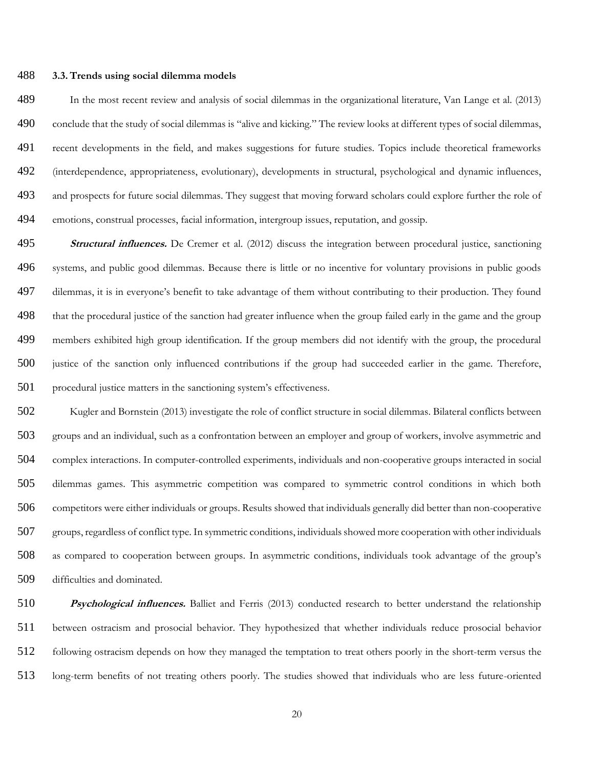#### **3.3. Trends using social dilemma models**

 In the most recent review and analysis of social dilemmas in the organizational literature, Van Lange et al. (2013) conclude that the study of social dilemmas is "alive and kicking." The review looks at different types of social dilemmas, recent developments in the field, and makes suggestions for future studies. Topics include theoretical frameworks (interdependence, appropriateness, evolutionary), developments in structural, psychological and dynamic influences, and prospects for future social dilemmas. They suggest that moving forward scholars could explore further the role of emotions, construal processes, facial information, intergroup issues, reputation, and gossip.

 **Structural influences.** De Cremer et al. (2012) discuss the integration between procedural justice, sanctioning systems, and public good dilemmas. Because there is little or no incentive for voluntary provisions in public goods dilemmas, it is in everyone's benefit to take advantage of them without contributing to their production. They found that the procedural justice of the sanction had greater influence when the group failed early in the game and the group members exhibited high group identification. If the group members did not identify with the group, the procedural justice of the sanction only influenced contributions if the group had succeeded earlier in the game. Therefore, procedural justice matters in the sanctioning system's effectiveness.

 Kugler and Bornstein (2013) investigate the role of conflict structure in social dilemmas. Bilateral conflicts between groups and an individual, such as a confrontation between an employer and group of workers, involve asymmetric and complex interactions. In computer-controlled experiments, individuals and non-cooperative groups interacted in social dilemmas games. This asymmetric competition was compared to symmetric control conditions in which both competitors were either individuals or groups. Results showed that individuals generally did better than non-cooperative groups, regardless of conflict type. In symmetric conditions, individuals showed more cooperation with other individuals as compared to cooperation between groups. In asymmetric conditions, individuals took advantage of the group's difficulties and dominated.

 **Psychological influences.** Balliet and Ferris (2013) conducted research to better understand the relationship between ostracism and prosocial behavior. They hypothesized that whether individuals reduce prosocial behavior following ostracism depends on how they managed the temptation to treat others poorly in the short-term versus the long-term benefits of not treating others poorly. The studies showed that individuals who are less future-oriented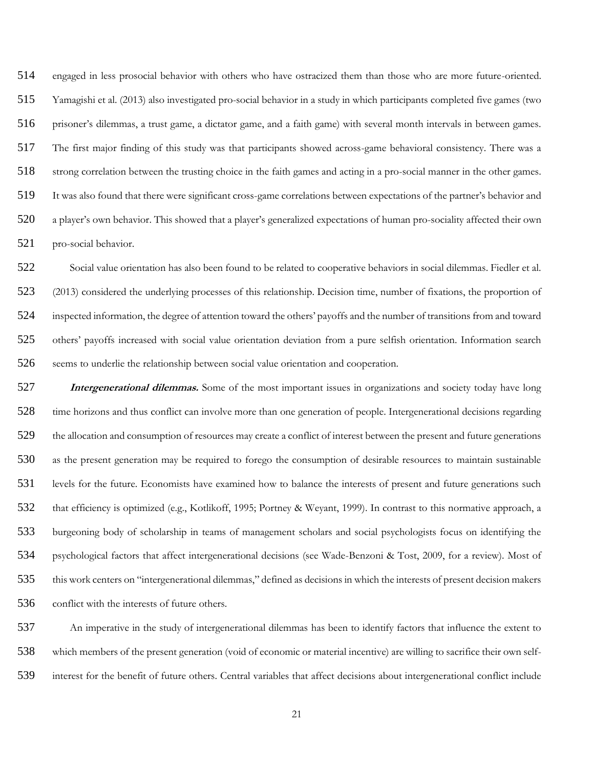engaged in less prosocial behavior with others who have ostracized them than those who are more future-oriented. Yamagishi et al. (2013) also investigated pro-social behavior in a study in which participants completed five games (two prisoner's dilemmas, a trust game, a dictator game, and a faith game) with several month intervals in between games. The first major finding of this study was that participants showed across-game behavioral consistency. There was a strong correlation between the trusting choice in the faith games and acting in a pro-social manner in the other games. It was also found that there were significant cross-game correlations between expectations of the partner's behavior and a player's own behavior. This showed that a player's generalized expectations of human pro-sociality affected their own pro-social behavior.

 Social value orientation has also been found to be related to cooperative behaviors in social dilemmas. Fiedler et al. (2013) considered the underlying processes of this relationship. Decision time, number of fixations, the proportion of inspected information, the degree of attention toward the others' payoffs and the number of transitions from and toward others' payoffs increased with social value orientation deviation from a pure selfish orientation. Information search seems to underlie the relationship between social value orientation and cooperation.

 **Intergenerational dilemmas.** Some of the most important issues in organizations and society today have long time horizons and thus conflict can involve more than one generation of people. Intergenerational decisions regarding the allocation and consumption of resources may create a conflict of interest between the present and future generations as the present generation may be required to forego the consumption of desirable resources to maintain sustainable levels for the future. Economists have examined how to balance the interests of present and future generations such that efficiency is optimized (e.g., Kotlikoff, 1995; Portney & Weyant, 1999). In contrast to this normative approach, a burgeoning body of scholarship in teams of management scholars and social psychologists focus on identifying the psychological factors that affect intergenerational decisions (see Wade-Benzoni & Tost, 2009, for a review). Most of this work centers on "intergenerational dilemmas," defined as decisions in which the interests of present decision makers 536 conflict with the interests of future others.

 An imperative in the study of intergenerational dilemmas has been to identify factors that influence the extent to which members of the present generation (void of economic or material incentive) are willing to sacrifice their own self-interest for the benefit of future others. Central variables that affect decisions about intergenerational conflict include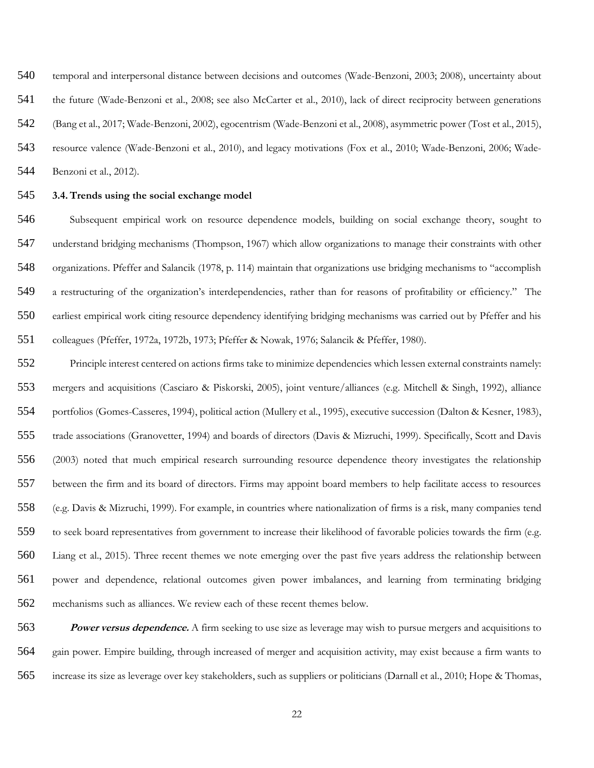temporal and interpersonal distance between decisions and outcomes (Wade-Benzoni, 2003; 2008), uncertainty about the future (Wade-Benzoni et al., 2008; see also McCarter et al., 2010), lack of direct reciprocity between generations (Bang et al., 2017; Wade-Benzoni, 2002), egocentrism (Wade-Benzoni et al., 2008), asymmetric power (Tost et al., 2015), resource valence (Wade-Benzoni et al., 2010), and legacy motivations (Fox et al., 2010; Wade-Benzoni, 2006; Wade-Benzoni et al., 2012).

#### **3.4. Trends using the social exchange model**

 Subsequent empirical work on resource dependence models, building on social exchange theory, sought to understand bridging mechanisms (Thompson, 1967) which allow organizations to manage their constraints with other organizations. Pfeffer and Salancik (1978, p. 114) maintain that organizations use bridging mechanisms to "accomplish a restructuring of the organization's interdependencies, rather than for reasons of profitability or efficiency." The earliest empirical work citing resource dependency identifying bridging mechanisms was carried out by Pfeffer and his colleagues (Pfeffer, 1972a, 1972b, 1973; Pfeffer & Nowak, 1976; Salancik & Pfeffer, 1980).

 Principle interest centered on actions firms take to minimize dependencies which lessen external constraints namely: mergers and acquisitions (Casciaro & Piskorski, 2005), joint venture/alliances (e.g. Mitchell & Singh, 1992), alliance portfolios (Gomes-Casseres, 1994), political action (Mullery et al., 1995), executive succession (Dalton & Kesner, 1983), trade associations (Granovetter, 1994) and boards of directors (Davis & Mizruchi, 1999). Specifically, Scott and Davis (2003) noted that much empirical research surrounding resource dependence theory investigates the relationship between the firm and its board of directors. Firms may appoint board members to help facilitate access to resources (e.g. Davis & Mizruchi, 1999). For example, in countries where nationalization of firms is a risk, many companies tend to seek board representatives from government to increase their likelihood of favorable policies towards the firm (e.g. Liang et al., 2015). Three recent themes we note emerging over the past five years address the relationship between power and dependence, relational outcomes given power imbalances, and learning from terminating bridging mechanisms such as alliances. We review each of these recent themes below.

 **Power versus dependence.** A firm seeking to use size as leverage may wish to pursue mergers and acquisitions to gain power. Empire building, through increased of merger and acquisition activity, may exist because a firm wants to increase its size as leverage over key stakeholders, such as suppliers or politicians (Darnall et al., 2010; Hope & Thomas,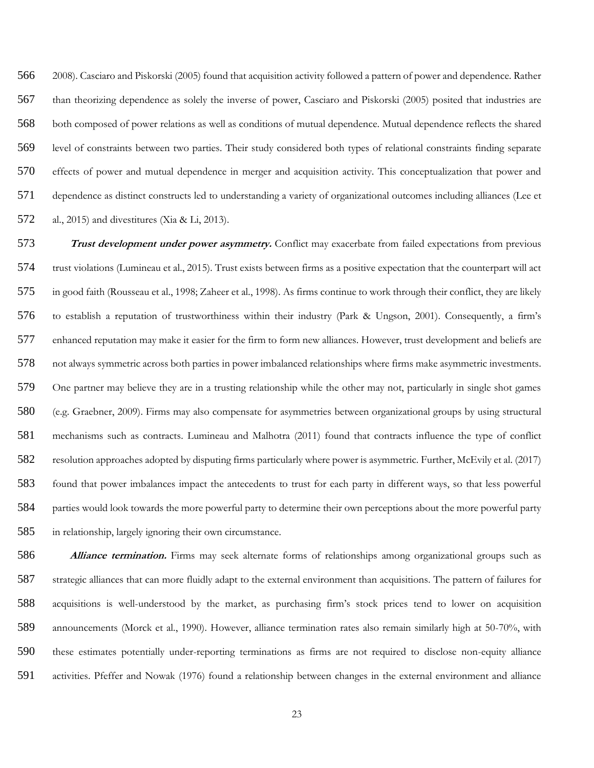2008). Casciaro and Piskorski (2005) found that acquisition activity followed a pattern of power and dependence. Rather than theorizing dependence as solely the inverse of power, Casciaro and Piskorski (2005) posited that industries are both composed of power relations as well as conditions of mutual dependence. Mutual dependence reflects the shared level of constraints between two parties. Their study considered both types of relational constraints finding separate effects of power and mutual dependence in merger and acquisition activity. This conceptualization that power and dependence as distinct constructs led to understanding a variety of organizational outcomes including alliances (Lee et al., 2015) and divestitures (Xia & Li, 2013).

 **Trust development under power asymmetry.** Conflict may exacerbate from failed expectations from previous trust violations (Lumineau et al., 2015). Trust exists between firms as a positive expectation that the counterpart will act in good faith (Rousseau et al., 1998; Zaheer et al., 1998). As firms continue to work through their conflict, they are likely to establish a reputation of trustworthiness within their industry (Park & Ungson, 2001). Consequently, a firm's enhanced reputation may make it easier for the firm to form new alliances. However, trust development and beliefs are not always symmetric across both parties in power imbalanced relationships where firms make asymmetric investments. One partner may believe they are in a trusting relationship while the other may not, particularly in single shot games (e.g. Graebner, 2009). Firms may also compensate for asymmetries between organizational groups by using structural mechanisms such as contracts. Lumineau and Malhotra (2011) found that contracts influence the type of conflict resolution approaches adopted by disputing firms particularly where power is asymmetric. Further, McEvily et al. (2017) found that power imbalances impact the antecedents to trust for each party in different ways, so that less powerful parties would look towards the more powerful party to determine their own perceptions about the more powerful party in relationship, largely ignoring their own circumstance.

 **Alliance termination.** Firms may seek alternate forms of relationships among organizational groups such as strategic alliances that can more fluidly adapt to the external environment than acquisitions. The pattern of failures for acquisitions is well-understood by the market, as purchasing firm's stock prices tend to lower on acquisition announcements (Morck et al., 1990). However, alliance termination rates also remain similarly high at 50-70%, with these estimates potentially under-reporting terminations as firms are not required to disclose non-equity alliance activities. Pfeffer and Nowak (1976) found a relationship between changes in the external environment and alliance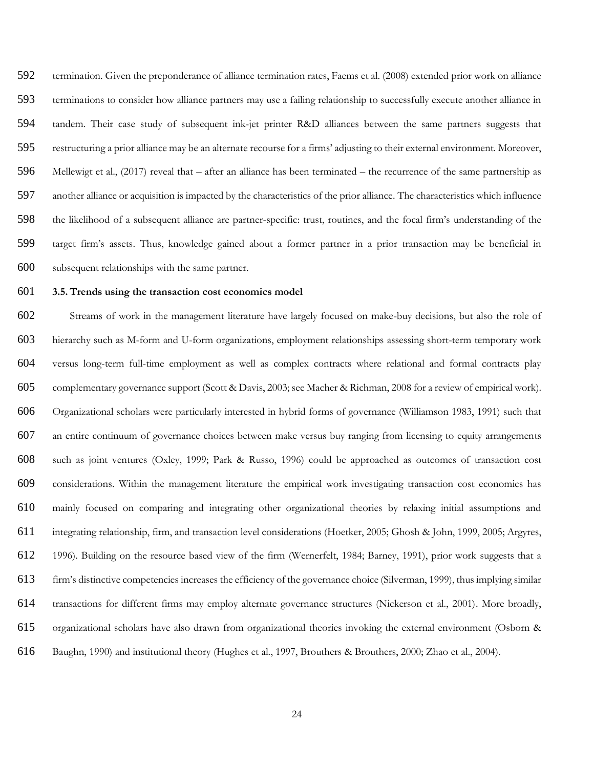termination. Given the preponderance of alliance termination rates, Faems et al. (2008) extended prior work on alliance terminations to consider how alliance partners may use a failing relationship to successfully execute another alliance in tandem. Their case study of subsequent ink-jet printer R&D alliances between the same partners suggests that restructuring a prior alliance may be an alternate recourse for a firms' adjusting to their external environment. Moreover, Mellewigt et al., (2017) reveal that – after an alliance has been terminated – the recurrence of the same partnership as another alliance or acquisition is impacted by the characteristics of the prior alliance. The characteristics which influence the likelihood of a subsequent alliance are partner-specific: trust, routines, and the focal firm's understanding of the target firm's assets. Thus, knowledge gained about a former partner in a prior transaction may be beneficial in subsequent relationships with the same partner.

#### **3.5. Trends using the transaction cost economics model**

 Streams of work in the management literature have largely focused on make-buy decisions, but also the role of hierarchy such as M-form and U-form organizations, employment relationships assessing short-term temporary work versus long-term full-time employment as well as complex contracts where relational and formal contracts play complementary governance support (Scott & Davis, 2003; see Macher & Richman, 2008 for a review of empirical work). Organizational scholars were particularly interested in hybrid forms of governance (Williamson 1983, 1991) such that an entire continuum of governance choices between make versus buy ranging from licensing to equity arrangements such as joint ventures (Oxley, 1999; Park & Russo, 1996) could be approached as outcomes of transaction cost considerations. Within the management literature the empirical work investigating transaction cost economics has mainly focused on comparing and integrating other organizational theories by relaxing initial assumptions and integrating relationship, firm, and transaction level considerations (Hoetker, 2005; Ghosh & John, 1999, 2005; Argyres, 1996). Building on the resource based view of the firm (Wernerfelt, 1984; Barney, 1991), prior work suggests that a firm's distinctive competencies increases the efficiency of the governance choice (Silverman, 1999), thus implying similar transactions for different firms may employ alternate governance structures (Nickerson et al., 2001). More broadly, organizational scholars have also drawn from organizational theories invoking the external environment (Osborn & Baughn, 1990) and institutional theory (Hughes et al., 1997, Brouthers & Brouthers, 2000; Zhao et al., 2004).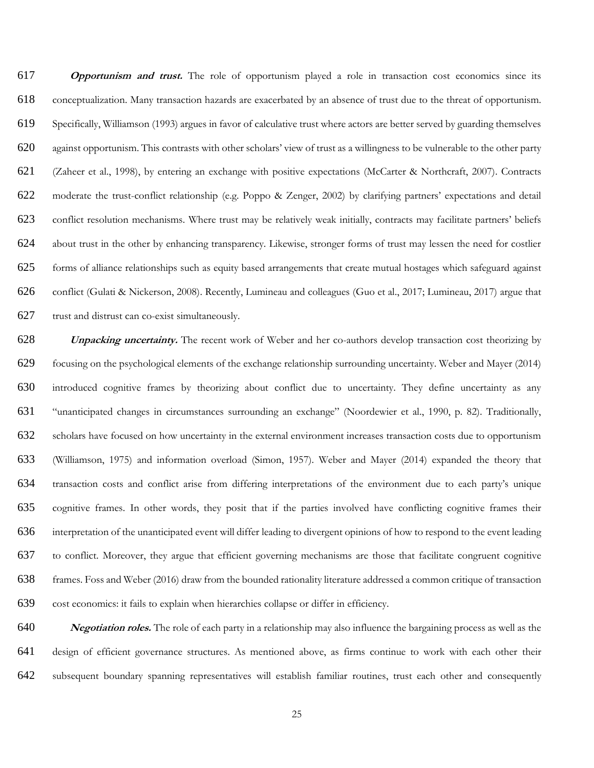**Opportunism and trust.** The role of opportunism played a role in transaction cost economics since its conceptualization. Many transaction hazards are exacerbated by an absence of trust due to the threat of opportunism. Specifically, Williamson (1993) argues in favor of calculative trust where actors are better served by guarding themselves against opportunism. This contrasts with other scholars' view of trust as a willingness to be vulnerable to the other party (Zaheer et al., 1998), by entering an exchange with positive expectations (McCarter & Northcraft, 2007). Contracts moderate the trust-conflict relationship (e.g. Poppo & Zenger, 2002) by clarifying partners' expectations and detail conflict resolution mechanisms. Where trust may be relatively weak initially, contracts may facilitate partners' beliefs about trust in the other by enhancing transparency. Likewise, stronger forms of trust may lessen the need for costlier forms of alliance relationships such as equity based arrangements that create mutual hostages which safeguard against conflict (Gulati & Nickerson, 2008). Recently, Lumineau and colleagues (Guo et al., 2017; Lumineau, 2017) argue that trust and distrust can co-exist simultaneously.

 **Unpacking uncertainty.** The recent work of Weber and her co-authors develop transaction cost theorizing by focusing on the psychological elements of the exchange relationship surrounding uncertainty. Weber and Mayer (2014) introduced cognitive frames by theorizing about conflict due to uncertainty. They define uncertainty as any "unanticipated changes in circumstances surrounding an exchange" (Noordewier et al., 1990, p. 82). Traditionally, scholars have focused on how uncertainty in the external environment increases transaction costs due to opportunism (Williamson, 1975) and information overload (Simon, 1957). Weber and Mayer (2014) expanded the theory that transaction costs and conflict arise from differing interpretations of the environment due to each party's unique cognitive frames. In other words, they posit that if the parties involved have conflicting cognitive frames their interpretation of the unanticipated event will differ leading to divergent opinions of how to respond to the event leading to conflict. Moreover, they argue that efficient governing mechanisms are those that facilitate congruent cognitive frames. Foss and Weber (2016) draw from the bounded rationality literature addressed a common critique of transaction cost economics: it fails to explain when hierarchies collapse or differ in efficiency.

 **Negotiation roles.** The role of each party in a relationship may also influence the bargaining process as well as the design of efficient governance structures. As mentioned above, as firms continue to work with each other their subsequent boundary spanning representatives will establish familiar routines, trust each other and consequently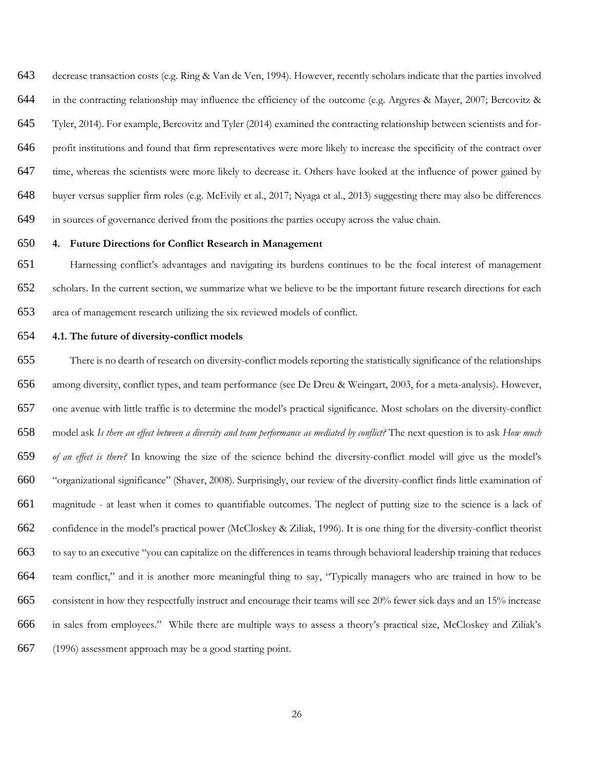decrease transaction costs (e.g. Ring & Van de Ven, 1994). However, recently scholars indicate that the parties involved in the contracting relationship may influence the efficiency of the outcome (e.g. Argyres & Mayer, 2007; Bercovitz & Tyler, 2014). For example, Bercovitz and Tyler (2014) examined the contracting relationship between scientists and for- profit institutions and found that firm representatives were more likely to increase the specificity of the contract over time, whereas the scientists were more likely to decrease it. Others have looked at the influence of power gained by buyer versus supplier firm roles (e.g. McEvily et al., 2017; Nyaga et al., 2013) suggesting there may also be differences in sources of governance derived from the positions the parties occupy across the value chain.

# **4. Future Directions for Conflict Research in Management**

 Harnessing conflict's advantages and navigating its burdens continues to be the focal interest of management scholars. In the current section, we summarize what we believe to be the important future research directions for each area of management research utilizing the six reviewed models of conflict.

# **4.1. The future of diversity-conflict models**

 There is no dearth of research on diversity-conflict models reporting the statistically significance of the relationships among diversity, conflict types, and team performance (see De Dreu & Weingart, 2003, for a meta-analysis). However, one avenue with little traffic is to determine the model's practical significance. Most scholars on the diversity-conflict model ask *Is there an effect between a diversity and team performance as mediated by conflict?* The next question is to ask *How much of an effect is there?* In knowing the size of the science behind the diversity-conflict model will give us the model's "organizational significance" (Shaver, 2008). Surprisingly, our review of the diversity-conflict finds little examination of magnitude - at least when it comes to quantifiable outcomes. The neglect of putting size to the science is a lack of confidence in the model's practical power (McCloskey & Ziliak, 1996). It is one thing for the diversity-conflict theorist to say to an executive "you can capitalize on the differences in teams through behavioral leadership training that reduces team conflict," and it is another more meaningful thing to say, "Typically managers who are trained in how to be consistent in how they respectfully instruct and encourage their teams will see 20% fewer sick days and an 15% increase in sales from employees." While there are multiple ways to assess a theory's practical size, McCloskey and Ziliak's (1996) assessment approach may be a good starting point.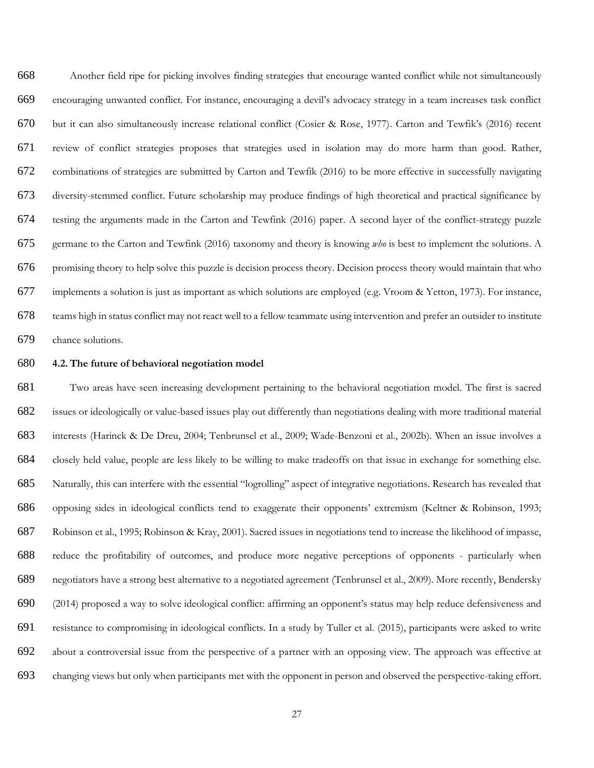Another field ripe for picking involves finding strategies that encourage wanted conflict while not simultaneously encouraging unwanted conflict. For instance, encouraging a devil's advocacy strategy in a team increases task conflict but it can also simultaneously increase relational conflict (Cosier & Rose, 1977). Carton and Tewfik's (2016) recent review of conflict strategies proposes that strategies used in isolation may do more harm than good. Rather, combinations of strategies are submitted by Carton and Tewfik (2016) to be more effective in successfully navigating diversity-stemmed conflict. Future scholarship may produce findings of high theoretical and practical significance by testing the arguments made in the Carton and Tewfink (2016) paper. A second layer of the conflict-strategy puzzle germane to the Carton and Tewfink (2016) taxonomy and theory is knowing *who* is best to implement the solutions. A promising theory to help solve this puzzle is decision process theory. Decision process theory would maintain that who implements a solution is just as important as which solutions are employed (e.g. Vroom & Yetton, 1973). For instance, teams high in status conflict may not react well to a fellow teammate using intervention and prefer an outsider to institute chance solutions.

#### **4.2. The future of behavioral negotiation model**

 Two areas have seen increasing development pertaining to the behavioral negotiation model. The first is sacred issues or ideologically or value-based issues play out differently than negotiations dealing with more traditional material interests (Harinck & De Dreu, 2004; Tenbrunsel et al., 2009; Wade-Benzoni et al., 2002b). When an issue involves a closely held value, people are less likely to be willing to make tradeoffs on that issue in exchange for something else. Naturally, this can interfere with the essential "logrolling" aspect of integrative negotiations. Research has revealed that opposing sides in ideological conflicts tend to exaggerate their opponents' extremism (Keltner & Robinson, 1993; Robinson et al., 1995; Robinson & Kray, 2001). Sacred issues in negotiations tend to increase the likelihood of impasse, reduce the profitability of outcomes, and produce more negative perceptions of opponents - particularly when negotiators have a strong best alternative to a negotiated agreement (Tenbrunsel et al., 2009). More recently, Bendersky (2014) proposed a way to solve ideological conflict: affirming an opponent's status may help reduce defensiveness and resistance to compromising in ideological conflicts. In a study by Tuller et al. (2015), participants were asked to write about a controversial issue from the perspective of a partner with an opposing view. The approach was effective at changing views but only when participants met with the opponent in person and observed the perspective-taking effort.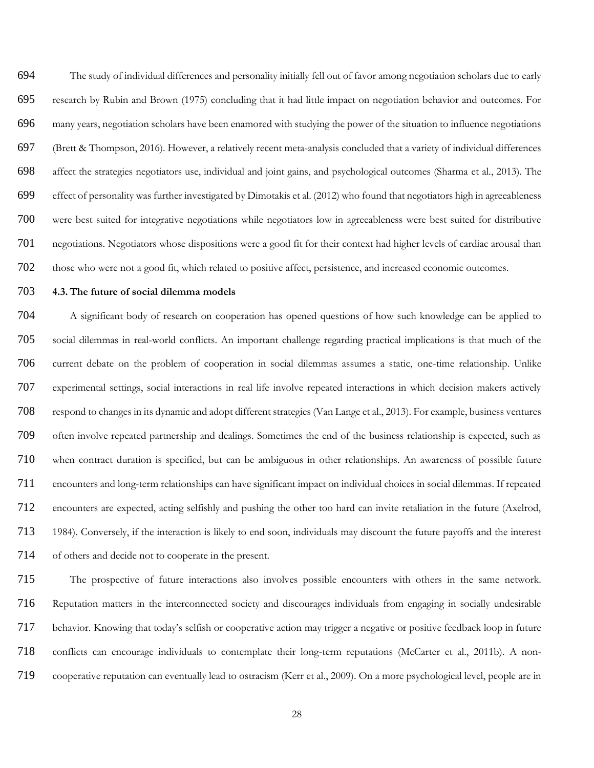The study of individual differences and personality initially fell out of favor among negotiation scholars due to early research by Rubin and Brown (1975) concluding that it had little impact on negotiation behavior and outcomes. For many years, negotiation scholars have been enamored with studying the power of the situation to influence negotiations (Brett & Thompson, 2016). However, a relatively recent meta-analysis concluded that a variety of individual differences affect the strategies negotiators use, individual and joint gains, and psychological outcomes (Sharma et al., 2013). The effect of personality was further investigated by Dimotakis et al. (2012) who found that negotiators high in agreeableness were best suited for integrative negotiations while negotiators low in agreeableness were best suited for distributive negotiations. Negotiators whose dispositions were a good fit for their context had higher levels of cardiac arousal than those who were not a good fit, which related to positive affect, persistence, and increased economic outcomes.

# **4.3. The future of social dilemma models**

 A significant body of research on cooperation has opened questions of how such knowledge can be applied to social dilemmas in real-world conflicts. An important challenge regarding practical implications is that much of the current debate on the problem of cooperation in social dilemmas assumes a static, one-time relationship. Unlike experimental settings, social interactions in real life involve repeated interactions in which decision makers actively respond to changes in its dynamic and adopt different strategies (Van Lange et al., 2013). For example, business ventures often involve repeated partnership and dealings. Sometimes the end of the business relationship is expected, such as when contract duration is specified, but can be ambiguous in other relationships. An awareness of possible future encounters and long-term relationships can have significant impact on individual choices in social dilemmas. If repeated encounters are expected, acting selfishly and pushing the other too hard can invite retaliation in the future (Axelrod, 1984). Conversely, if the interaction is likely to end soon, individuals may discount the future payoffs and the interest of others and decide not to cooperate in the present.

 The prospective of future interactions also involves possible encounters with others in the same network. Reputation matters in the interconnected society and discourages individuals from engaging in socially undesirable behavior. Knowing that today's selfish or cooperative action may trigger a negative or positive feedback loop in future conflicts can encourage individuals to contemplate their long-term reputations (McCarter et al., 2011b). A non-cooperative reputation can eventually lead to ostracism (Kerr et al., 2009). On a more psychological level, people are in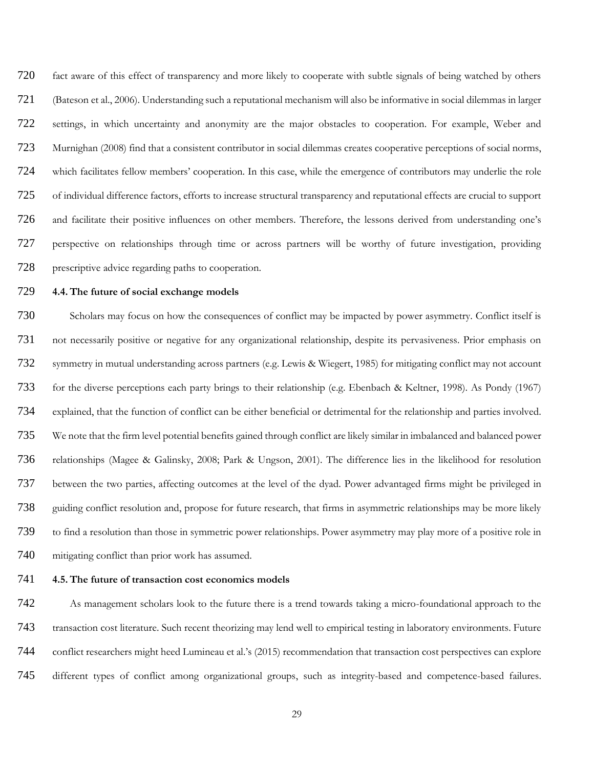fact aware of this effect of transparency and more likely to cooperate with subtle signals of being watched by others (Bateson et al., 2006). Understanding such a reputational mechanism will also be informative in social dilemmas in larger settings, in which uncertainty and anonymity are the major obstacles to cooperation. For example, Weber and Murnighan (2008) find that a consistent contributor in social dilemmas creates cooperative perceptions of social norms, which facilitates fellow members' cooperation. In this case, while the emergence of contributors may underlie the role of individual difference factors, efforts to increase structural transparency and reputational effects are crucial to support and facilitate their positive influences on other members. Therefore, the lessons derived from understanding one's perspective on relationships through time or across partners will be worthy of future investigation, providing prescriptive advice regarding paths to cooperation.

# **4.4. The future of social exchange models**

 Scholars may focus on how the consequences of conflict may be impacted by power asymmetry. Conflict itself is not necessarily positive or negative for any organizational relationship, despite its pervasiveness. Prior emphasis on symmetry in mutual understanding across partners (e.g. Lewis & Wiegert, 1985) for mitigating conflict may not account for the diverse perceptions each party brings to their relationship (e.g. Ebenbach & Keltner, 1998). As Pondy (1967) explained, that the function of conflict can be either beneficial or detrimental for the relationship and parties involved. We note that the firm level potential benefits gained through conflict are likely similar in imbalanced and balanced power relationships (Magee & Galinsky, 2008; Park & Ungson, 2001). The difference lies in the likelihood for resolution between the two parties, affecting outcomes at the level of the dyad. Power advantaged firms might be privileged in guiding conflict resolution and, propose for future research, that firms in asymmetric relationships may be more likely to find a resolution than those in symmetric power relationships. Power asymmetry may play more of a positive role in mitigating conflict than prior work has assumed.

#### **4.5. The future of transaction cost economics models**

 As management scholars look to the future there is a trend towards taking a micro-foundational approach to the transaction cost literature. Such recent theorizing may lend well to empirical testing in laboratory environments. Future conflict researchers might heed Lumineau et al.'s (2015) recommendation that transaction cost perspectives can explore different types of conflict among organizational groups, such as integrity-based and competence-based failures.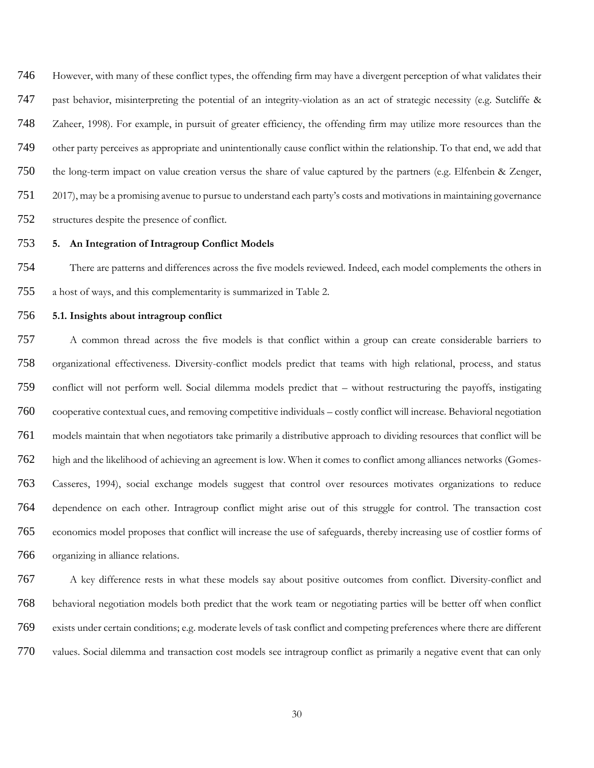However, with many of these conflict types, the offending firm may have a divergent perception of what validates their past behavior, misinterpreting the potential of an integrity-violation as an act of strategic necessity (e.g. Sutcliffe & Zaheer, 1998). For example, in pursuit of greater efficiency, the offending firm may utilize more resources than the other party perceives as appropriate and unintentionally cause conflict within the relationship. To that end, we add that the long-term impact on value creation versus the share of value captured by the partners (e.g. Elfenbein & Zenger, 2017), may be a promising avenue to pursue to understand each party's costs and motivations in maintaining governance structures despite the presence of conflict.

# **5. An Integration of Intragroup Conflict Models**

 There are patterns and differences across the five models reviewed. Indeed, each model complements the others in a host of ways, and this complementarity is summarized in Table 2.

#### **5.1. Insights about intragroup conflict**

 A common thread across the five models is that conflict within a group can create considerable barriers to organizational effectiveness. Diversity-conflict models predict that teams with high relational, process, and status conflict will not perform well. Social dilemma models predict that – without restructuring the payoffs, instigating cooperative contextual cues, and removing competitive individuals – costly conflict will increase. Behavioral negotiation models maintain that when negotiators take primarily a distributive approach to dividing resources that conflict will be high and the likelihood of achieving an agreement is low. When it comes to conflict among alliances networks (Gomes- Casseres, 1994), social exchange models suggest that control over resources motivates organizations to reduce dependence on each other. Intragroup conflict might arise out of this struggle for control. The transaction cost economics model proposes that conflict will increase the use of safeguards, thereby increasing use of costlier forms of organizing in alliance relations.

 A key difference rests in what these models say about positive outcomes from conflict. Diversity-conflict and behavioral negotiation models both predict that the work team or negotiating parties will be better off when conflict exists under certain conditions; e.g. moderate levels of task conflict and competing preferences where there are different values. Social dilemma and transaction cost models see intragroup conflict as primarily a negative event that can only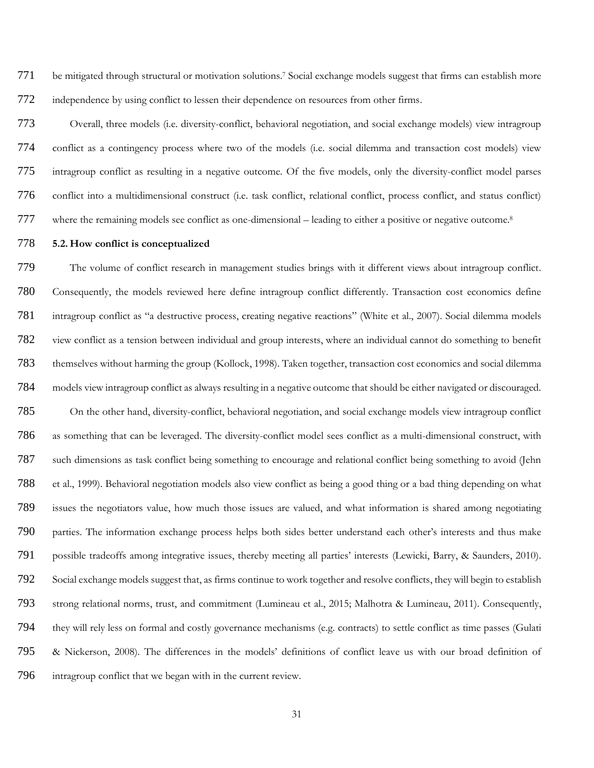771 be mitigated through structural or motivation solutions.<sup>7</sup> Social exchange models suggest that firms can establish more independence by using conflict to lessen their dependence on resources from other firms.

 Overall, three models (i.e. diversity-conflict, behavioral negotiation, and social exchange models) view intragroup conflict as a contingency process where two of the models (i.e. social dilemma and transaction cost models) view intragroup conflict as resulting in a negative outcome. Of the five models, only the diversity-conflict model parses conflict into a multidimensional construct (i.e. task conflict, relational conflict, process conflict, and status conflict) 777 where the remaining models see conflict as one-dimensional – leading to either a positive or negative outcome.<sup>8</sup>

#### **5.2. How conflict is conceptualized**

 The volume of conflict research in management studies brings with it different views about intragroup conflict. Consequently, the models reviewed here define intragroup conflict differently. Transaction cost economics define intragroup conflict as "a destructive process, creating negative reactions" (White et al., 2007). Social dilemma models view conflict as a tension between individual and group interests, where an individual cannot do something to benefit themselves without harming the group (Kollock, 1998). Taken together, transaction cost economics and social dilemma models view intragroup conflict as always resulting in a negative outcome that should be either navigated or discouraged. On the other hand, diversity-conflict, behavioral negotiation, and social exchange models view intragroup conflict as something that can be leveraged. The diversity-conflict model sees conflict as a multi-dimensional construct, with such dimensions as task conflict being something to encourage and relational conflict being something to avoid (Jehn et al., 1999). Behavioral negotiation models also view conflict as being a good thing or a bad thing depending on what issues the negotiators value, how much those issues are valued, and what information is shared among negotiating parties. The information exchange process helps both sides better understand each other's interests and thus make possible tradeoffs among integrative issues, thereby meeting all parties' interests (Lewicki, Barry, & Saunders, 2010). Social exchange models suggest that, as firms continue to work together and resolve conflicts, they will begin to establish strong relational norms, trust, and commitment (Lumineau et al., 2015; Malhotra & Lumineau, 2011). Consequently, they will rely less on formal and costly governance mechanisms (e.g. contracts) to settle conflict as time passes (Gulati & Nickerson, 2008). The differences in the models' definitions of conflict leave us with our broad definition of intragroup conflict that we began with in the current review.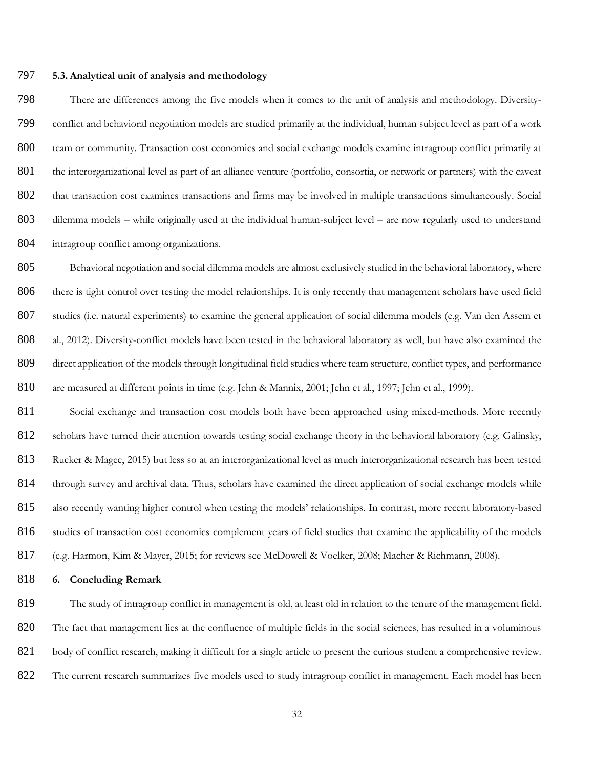# **5.3. Analytical unit of analysis and methodology**

 There are differences among the five models when it comes to the unit of analysis and methodology. Diversity- conflict and behavioral negotiation models are studied primarily at the individual, human subject level as part of a work 800 team or community. Transaction cost economics and social exchange models examine intragroup conflict primarily at the interorganizational level as part of an alliance venture (portfolio, consortia, or network or partners) with the caveat that transaction cost examines transactions and firms may be involved in multiple transactions simultaneously. Social dilemma models – while originally used at the individual human-subject level – are now regularly used to understand intragroup conflict among organizations.

 Behavioral negotiation and social dilemma models are almost exclusively studied in the behavioral laboratory, where 806 there is tight control over testing the model relationships. It is only recently that management scholars have used field studies (i.e. natural experiments) to examine the general application of social dilemma models (e.g. Van den Assem et al., 2012). Diversity-conflict models have been tested in the behavioral laboratory as well, but have also examined the direct application of the models through longitudinal field studies where team structure, conflict types, and performance are measured at different points in time (e.g. Jehn & Mannix, 2001; Jehn et al., 1997; Jehn et al., 1999).

811 Social exchange and transaction cost models both have been approached using mixed-methods. More recently 812 scholars have turned their attention towards testing social exchange theory in the behavioral laboratory (e.g. Galinsky, Rucker & Magee, 2015) but less so at an interorganizational level as much interorganizational research has been tested 814 through survey and archival data. Thus, scholars have examined the direct application of social exchange models while also recently wanting higher control when testing the models' relationships. In contrast, more recent laboratory-based studies of transaction cost economics complement years of field studies that examine the applicability of the models (e.g. Harmon, Kim & Mayer, 2015; for reviews see McDowell & Voelker, 2008; Macher & Richmann, 2008).

#### **6. Concluding Remark**

 The study of intragroup conflict in management is old, at least old in relation to the tenure of the management field. The fact that management lies at the confluence of multiple fields in the social sciences, has resulted in a voluminous 821 body of conflict research, making it difficult for a single article to present the curious student a comprehensive review. 822 The current research summarizes five models used to study intragroup conflict in management. Each model has been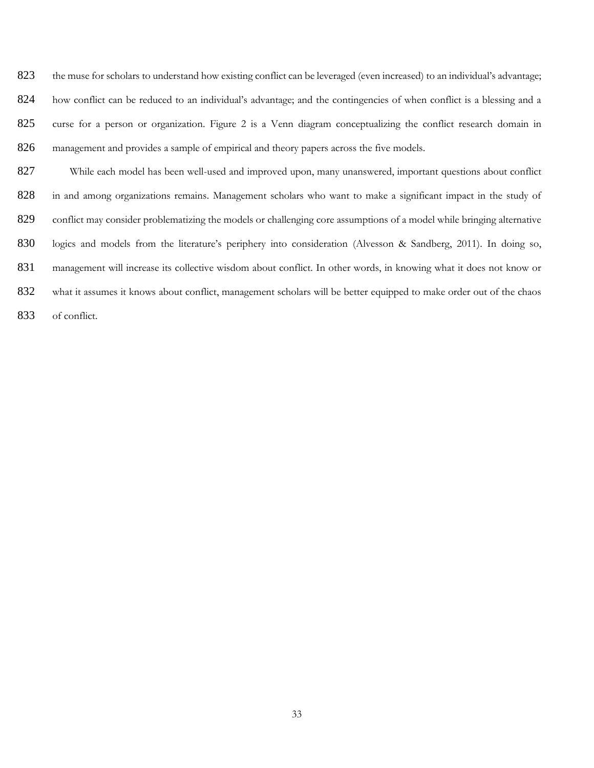823 the muse for scholars to understand how existing conflict can be leveraged (even increased) to an individual's advantage; how conflict can be reduced to an individual's advantage; and the contingencies of when conflict is a blessing and a curse for a person or organization. Figure 2 is a Venn diagram conceptualizing the conflict research domain in management and provides a sample of empirical and theory papers across the five models.

 While each model has been well-used and improved upon, many unanswered, important questions about conflict 828 in and among organizations remains. Management scholars who want to make a significant impact in the study of conflict may consider problematizing the models or challenging core assumptions of a model while bringing alternative logics and models from the literature's periphery into consideration (Alvesson & Sandberg, 2011). In doing so, 831 management will increase its collective wisdom about conflict. In other words, in knowing what it does not know or 832 what it assumes it knows about conflict, management scholars will be better equipped to make order out of the chaos of conflict.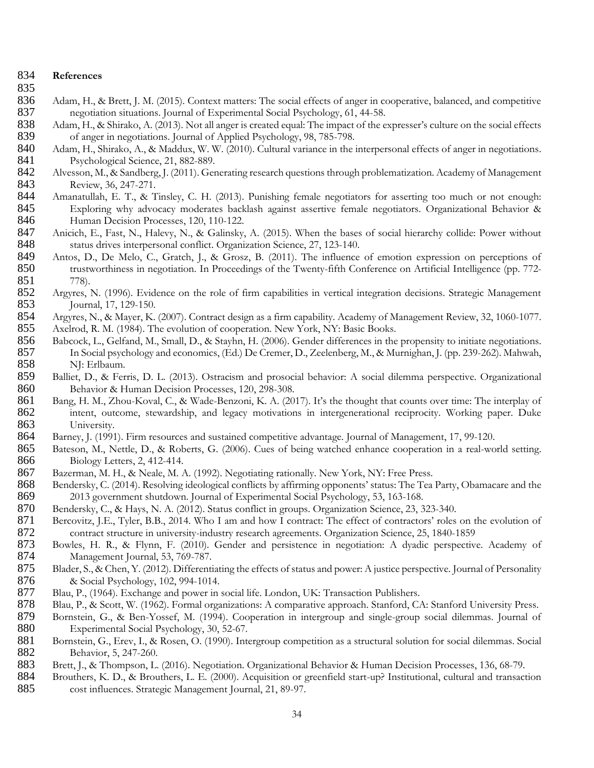# **References**

- 836 Adam, H., & Brett, J. M. (2015). Context matters: The social effects of anger in cooperative, balanced, and competitive 837 negotiation situations. Journal of Experimental Social Psychology, 61, 44-58.<br>838 Adam. H., & Shirako, A. (2013). Not all anger is created equal: The impact of the e
- Adam, H., & Shirako, A. (2013). Not all anger is created equal: The impact of the expresser's culture on the social effects of anger in negotiations. Journal of Applied Psychology, 98, 785-798.
- 840 Adam, H., Shirako, A., & Maddux, W. W. (2010). Cultural variance in the interpersonal effects of anger in negotiations. 841 Psychological Science, 21, 882-889.<br>842 Alvesson, M., & Sandberg, J. (2011). Ger
- Alvesson, M., & Sandberg, J. (2011). Generating research questions through problematization. Academy of Management Review, 36, 247-271.
- 844 Amanatullah, E. T., & Tinsley, C. H. (2013). Punishing female negotiators for asserting too much or not enough: Exploring why advocacy moderates backlash against assertive female negotiators. Organizational Behavior & Human Decision Processes, 120, 110-122.
- 847 Anicich, E., Fast, N., Halevy, N., & Galinsky, A. (2015). When the bases of social hierarchy collide: Power without 848 status drives interpersonal conflict. Organization Science, 27, 123-140.
- 849 Antos, D., De Melo, C., Gratch, J., & Grosz, B. (2011). The influence of emotion expression on perceptions of trustworthiness in negotiation. In Proceedings of the Twenty-fifth Conference on Artificial Intelligence (pp. 772- 778).
- Argyres, N. (1996). Evidence on the role of firm capabilities in vertical integration decisions. Strategic Management 853 Journal, 17, 129-150.<br>854 Argyres, N., & Mayer, K.
- Argyres, N., & Mayer, K. (2007). Contract design as a firm capability. Academy of Management Review, 32, 1060-1077.
- Axelrod, R. M. (1984). The evolution of cooperation. New York, NY: Basic Books.
- Babcock, L., Gelfand, M., Small, D., & Stayhn, H. (2006). Gender differences in the propensity to initiate negotiations. In Social psychology and economics, (Ed.) De Cremer, D., Zeelenberg, M., & Murnighan, J. (pp. 239-262). Mahwah, NJ: Erlbaum.
- Balliet, D., & Ferris, D. L. (2013). Ostracism and prosocial behavior: A social dilemma perspective. Organizational 860 Behavior & Human Decision Processes, 120, 298-308.
- Bang, H. M., Zhou-Koval, C., & Wade-Benzoni, K. A. (2017). It's the thought that counts over time: The interplay of intent, outcome, stewardship, and legacy motivations in intergenerational reciprocity. Working paper. Duke University.
- Barney, J. (1991). Firm resources and sustained competitive advantage. Journal of Management, 17, 99-120.
- Bateson, M., Nettle, D., & Roberts, G. (2006). Cues of being watched enhance cooperation in a real-world setting. Biology Letters, 2, 412-414.
- Bazerman, M. H., & Neale, M. A. (1992). Negotiating rationally. New York, NY: Free Press.
- Bendersky, C. (2014). Resolving ideological conflicts by affirming opponents' status: The Tea Party, Obamacare and the 2013 government shutdown. Journal of Experimental Social Psychology, 53, 163-168.
- 870 Bendersky, C., & Hays, N. A. (2012). Status conflict in groups. Organization Science, 23, 323-340.
- 871 Bercovitz, J.E., Tyler, B.B., 2014. Who I am and how I contract: The effect of contractors' roles on the evolution of contract structure in university-industry research agreements. Organization Science, 25, 1840-1859
- Bowles, H. R., & Flynn, F. (2010). Gender and persistence in negotiation: A dyadic perspective. Academy of Management Journal, 53, 769-787.
- Blader, S., & Chen, Y. (2012). Differentiating the effects of status and power: A justice perspective. Journal of Personality & Social Psychology, 102, 994-1014.
- Blau, P., (1964). Exchange and power in social life. London, UK: Transaction Publishers.
- 878 Blau, P., & Scott, W. (1962). Formal organizations: A comparative approach. Stanford, CA: Stanford University Press.
- Bornstein, G., & Ben-Yossef, M. (1994). Cooperation in intergroup and single-group social dilemmas. Journal of 880 Experimental Social Psychology, 30, 52-67.
- 881 Bornstein, G., Erev, I., & Rosen, O. (1990). Intergroup competition as a structural solution for social dilemmas. Social Behavior, 5, 247-260.
- Brett, J., & Thompson, L. (2016). Negotiation. Organizational Behavior & Human Decision Processes, 136, 68-79.
- Brouthers, K. D., & Brouthers, L. E. (2000). Acquisition or greenfield start-up? Institutional, cultural and transaction
- cost influences. Strategic Management Journal, 21, 89-97.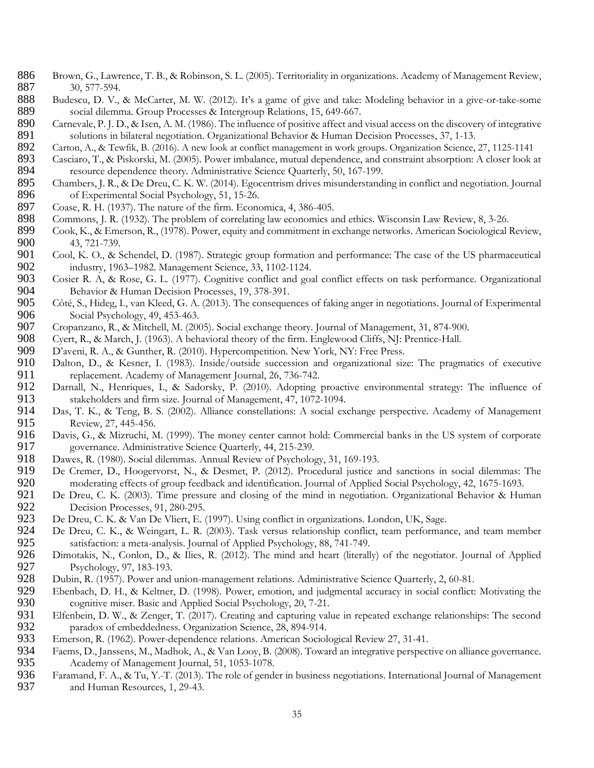- 886 Brown, G., Lawrence, T. B., & Robinson, S. L. (2005). Territoriality in organizations. Academy of Management Review, 887 30, 577-594. 30, 577-594.
- 888 Budescu, D. V., & McCarter, M. W. (2012). It's a game of give and take: Modeling behavior in a give-or-take-some social dilemma. Group Processes & Intergroup Relations, 15, 649-667. social dilemma. Group Processes & Intergroup Relations, 15, 649-667.
- 890 Carnevale, P. J. D., & Isen, A. M. (1986). The influence of positive affect and visual access on the discovery of integrative solutions in bilateral negotiation. Organizational Behavior & Human Decision Processes. 37, 891 solutions in bilateral negotiation. Organizational Behavior & Human Decision Processes, 37, 1-13.<br>892 Carton, A., & Tewfik, B. (2016). A new look at conflict management in work groups. Organization Science,
- Carton, A., & Tewfik, B. (2016). A new look at conflict management in work groups. Organization Science, 27, 1125-1141
- 893 Casciaro, T., & Piskorski, M. (2005). Power imbalance, mutual dependence, and constraint absorption: A closer look at 894 resource dependence theory. Administrative Science Quarterly, 50, 167-199.<br>895 Chambers, J. R., & De Dreu, C. K. W. (2014). Egocentrism drives misunderstand
- 895 Chambers, J. R., & De Dreu, C. K. W. (2014). Egocentrism drives misunderstanding in conflict and negotiation. Journal 896 of Experimental Social Psychology, 51, 15-26.<br>897 Coase, R. H. (1937). The nature of the firm. Econo
- Coase, R. H. (1937). The nature of the firm. Economica, 4, 386-405.
- 898 Commons, J. R. (1932). The problem of correlating law economics and ethics. Wisconsin Law Review, 8, 3-26.<br>899 Cook. K., & Emerson, R., (1978). Power, equity and commitment in exchange networks. American Sociological
- 899 Cook, K., & Emerson, R., (1978). Power, equity and commitment in exchange networks. American Sociological Review, 900 43, 721-739.<br>901 Cool, K. O., & S
- 901 Cool, K. O., & Schendel, D. (1987). Strategic group formation and performance: The case of the US pharmaceutical 902 industry, 1963–1982. Management Science, 33, 1102-1124.<br>903 Cosier R. A. & Rose, G. L. (1977). Cognitive conflict and goa
- 903 Cosier R. A, & Rose, G. L. (1977). Cognitive conflict and goal conflict effects on task performance. Organizational 904 Behavior & Human Decision Processes, 19, 378-391.
- 905 Côté, S., Hideg, I., van Kleed, G. A. (2013). The consequences of faking anger in negotiations. Journal of Experimental 906 Social Psychology, 49, 453-463.<br>907 Cropanzano, R., & Mitchell, M. (200
- 907 Cropanzano, R., & Mitchell, M. (2005). Social exchange theory. Journal of Management, 31, 874-900.
- 908 Cyert, R., & March, J. (1963). A behavioral theory of the firm. Englewood Cliffs, NJ: Prentice-Hall.
- 909 D'aveni, R. A., & Gunther, R. (2010). Hypercompetition. New York, NY: Free Press.<br>910 Dalton, D., & Kesner, I. (1983). Inside/outside succession and organizational siz
- 910 Dalton, D., & Kesner, I. (1983). Inside/outside succession and organizational size: The pragmatics of executive replacement. Academy of Management Iournal. 26. 736-742. replacement. Academy of Management Journal, 26, 736-742.
- 912 Darnall, N., Henriques, I., & Sadorsky, P. (2010). Adopting proactive environmental strategy: The influence of 913 stakeholders and firm size. Journal of Management, 47, 1072-1094.
- 914 Das, T. K., & Teng, B. S. (2002). Alliance constellations: A social exchange perspective. Academy of Management Review, 27, 445-456.
- 916 Davis, G., & Mizruchi, M. (1999). The money center cannot hold: Commercial banks in the US system of corporate 917 governance. Administrative Science Quarterly, 44, 215-239.
- 918 Dawes, R. (1980). Social dilemmas. Annual Review of Psychology, 31, 169-193.<br>919 De Cremer. D., Hoogervorst. N., & Desmet. P. (2012). Procedural justice a
- 919 De Cremer, D., Hoogervorst, N., & Desmet, P. (2012). Procedural justice and sanctions in social dilemmas: The 920 moderating effects of group feedback and identification. Journal of Applied Social Psychology, 42, 1675-1693.
- 921 De Dreu, C. K. (2003). Time pressure and closing of the mind in negotiation. Organizational Behavior & Human 922 Decision Processes. 91. 280-295. 922 Decision Processes, 91, 280-295.<br>923 De Dreu, C. K. & Van De Vliert, E.
- 923 De Dreu, C. K. & Van De Vliert, E. (1997). Using conflict in organizations. London, UK, Sage.
- 924 De Dreu, C. K., & Weingart, L. R. (2003). Task versus relationship conflict, team performance, and team member<br>925 satisfaction: a meta-analysis. Journal of Applied Psychology. 88. 741-749. satisfaction: a meta-analysis. Journal of Applied Psychology, 88, 741-749.
- 926 Dimotakis, N., Conlon, D., & Ilies, R. (2012). The mind and heart (literally) of the negotiator. Journal of Applied Psychology, 97, 183-193.
- 928 Dubin, R. (1957). Power and union-management relations. Administrative Science Quarterly, 2, 60-81.
- 929 Ebenbach, D. H., & Keltner, D. (1998). Power, emotion, and judgmental accuracy in social conflict: Motivating the cognitive miser. Basic and Applied Social Psychology, 20, 7-21. cognitive miser. Basic and Applied Social Psychology, 20, 7-21.
- 931 Elfenbein, D. W., & Zenger, T. (2017). Creating and capturing value in repeated exchange relationships: The second 932 paradox of embeddedness. Organization Science, 28, 894-914.<br>933 Emerson, R. (1962). Power-dependence relations. American Sociol
- 933 Emerson, R. (1962). Power-dependence relations. American Sociological Review 27, 31-41.
- 934 Faems, D., Janssens, M., Madhok, A., & Van Looy, B. (2008). Toward an integrative perspective on alliance governance. Academy of Management Journal, 51, 1053-1078.
- 936 Faramand, F. A., & Tu, Y.-T. (2013). The role of gender in business negotiations. International Journal of Management
- 937 and Human Resources, 1, 29-43.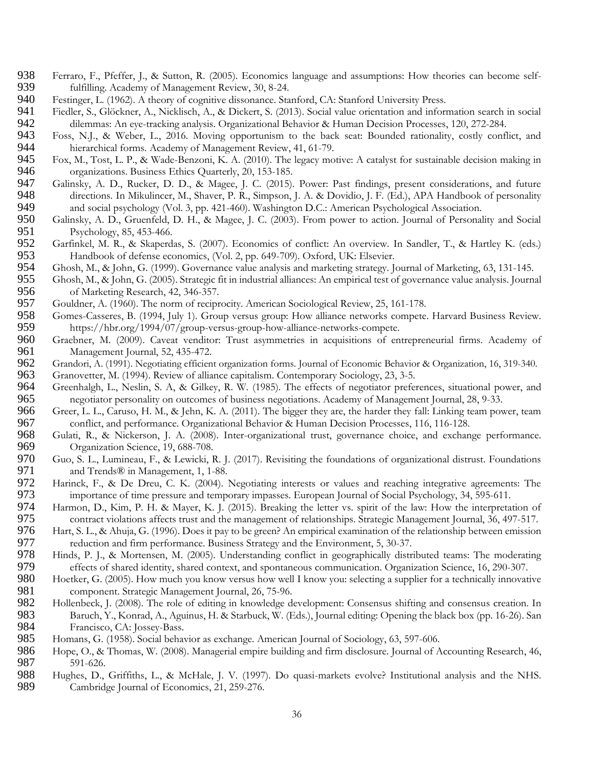- 938 Ferraro, F., Pfeffer, J., & Sutton, R. (2005). Economics language and assumptions: How theories can become self-<br>939 fulfilling. Academy of Management Review, 30, 8-24. fulfilling. Academy of Management Review, 30, 8-24.
- 940 Festinger, L. (1962). A theory of cognitive dissonance. Stanford, CA: Stanford University Press.<br>941 Fiedler, S., Glöckner, A., Nicklisch, A., & Dickert, S. (2013). Social value orientation and inform
- 941 Fiedler, S., Glöckner, A., Nicklisch, A., & Dickert, S. (2013). Social value orientation and information search in social 942 dilemmas: An eye-tracking analysis. Organizational Behavior & Human Decision Processes, 120, 272-284.<br>943 Foss, N.L. & Weber, L., 2016. Moving opportunism to the back seat: Bounded rationality, costly confl
- 943 Foss, N.J., & Weber, L., 2016. Moving opportunism to the back seat: Bounded rationality, costly conflict, and 944 hierarchical forms. Academy of Management Review, 41, 61-79.<br>945 Fox, M., Tost, L. P., & Wade-Benzoni, K. A. (2010). The legacy mo
- Fox, M., Tost, L. P., & Wade-Benzoni, K. A. (2010). The legacy motive: A catalyst for sustainable decision making in 946 organizations. Business Ethics Quarterly, 20, 153-185.<br>947 Galinsky, A. D., Rucker, D. D., & Magee, J. C. (2015).
- Galinsky, A. D., Rucker, D. D., & Magee, J. C. (2015). Power: Past findings, present considerations, and future 948 directions. In Mikulincer, M., Shaver, P. R., Simpson, J. A. & Dovidio, J. F. (Ed.), APA Handbook of personality<br>949 and social psychology (Vol. 3, pp. 421-460). Washington D.C.: American Psychological Association. and social psychology (Vol. 3, pp. 421-460). Washington D.C.: American Psychological Association.
- 950 Galinsky, A. D., Gruenfeld, D. H., & Magee, J. C. (2003). From power to action. Journal of Personality and Social Psychology, 85, 453-466.
- 952 Garfinkel, M. R., & Skaperdas, S. (2007). Economics of conflict: An overview. In Sandler, T., & Hartley K. (eds.)<br>953 Handbook of defense economics, (Vol. 2, pp. 649-709). Oxford, UK: Elsevier. Handbook of defense economics, (Vol. 2, pp. 649-709). Oxford, UK: Elsevier.
- 954 Ghosh, M., & John, G. (1999). Governance value analysis and marketing strategy. Journal of Marketing, 63, 131-145.
- 955 Ghosh, M., & John, G. (2005). Strategic fit in industrial alliances: An empirical test of governance value analysis. Journal 956 of Marketing Research, 42, 346-357.<br>957 Gouldner, A. (1960). The norm of recipr
- 957 Gouldner, A. (1960). The norm of reciprocity. American Sociological Review, 25, 161-178.
- 958 Gomes-Casseres, B. (1994, July 1). Group versus group: How alliance networks compete. Harvard Business Review.<br>959 https://hbr.org/1994/07/group-versus-group-how-alliance-networks-compete. 959 https://hbr.org/1994/07/group-versus-group-how-alliance-networks-compete.
- 960 Graebner, M. (2009). Caveat venditor: Trust asymmetries in acquisitions of entrepreneurial firms. Academy of 961 Management Journal, 52, 435-472.<br>962 Grandori, A. (1991). Negotiating efficien
- 962 Grandori, A. (1991). Negotiating efficient organization forms. Journal of Economic Behavior & Organization, 16, 319-340.
- 963 Granovetter, M. (1994). Review of alliance capitalism. Contemporary Sociology, 23, 3-5.
- 964 Greenhalgh, L., Neslin, S. A, & Gilkey, R. W. (1985). The effects of negotiator preferences, situational power, and 965 negotiator personality on outcomes of business negotiations. Academy of Management Journal, 28, 9-33.
- 966 Greer, L. L., Caruso, H. M., & Jehn, K. A. (2011). The bigger they are, the harder they fall: Linking team power, team 967 conflict, and performance. Organizational Behavior & Human Decision Processes, 116, 116-128.
- 968 Gulati, R., & Nickerson, J. A. (2008). Inter-organizational trust, governance choice, and exchange performance. 969 Organization Science, 19, 688-708.
- 970 Guo, S. L., Lumineau, F., & Lewicki, R. J. (2017). Revisiting the foundations of organizational distrust. Foundations 971 and Trends® in Management. 1. 1-88. and Trends® in Management, 1, 1-88.
- 972 Harinck, F., & De Dreu, C. K. (2004). Negotiating interests or values and reaching integrative agreements: The 973 importance of time pressure and temporary impasses. European Journal of Social Psychology, 34, 595-611.
- 974 Harmon, D., Kim, P. H. & Mayer, K. J. (2015). Breaking the letter vs. spirit of the law: How the interpretation of contract violations affects trust and the management of relationships. Strategic Management Journal, 36 975 contract violations affects trust and the management of relationships. Strategic Management Journal, 36, 497-517.
- 976 Hart, S. L., & Ahuja, G. (1996). Does it pay to be green? An empirical examination of the relationship between emission 977 reduction and firm performance. Business Strategy and the Environment, 5, 30-37.<br>978 Hinds, P. J., & Mortensen, M. (2005). Understanding conflict in geographically distr
- 978 Hinds, P. J., & Mortensen, M. (2005). Understanding conflict in geographically distributed teams: The moderating<br>979 effects of shared identity, shared context, and spontaneous communication. Organization Science, 16, effects of shared identity, shared context, and spontaneous communication. Organization Science, 16, 290-307.
- 980 Hoetker, G. (2005). How much you know versus how well I know you: selecting a supplier for a technically innovative 981 component. Strategic Management Journal, 26, 75-96.<br>982 Hollenbeck, J. (2008). The role of editing in knowledge d
- Hollenbeck, J. (2008). The role of editing in knowledge development: Consensus shifting and consensus creation. In 983 Baruch, Y., Konrad, A., Aguinus, H. & Starbuck, W. (Eds.), Journal editing: Opening the black box (pp. 16-26). San 984 Francisco, CA: Jossey-Bass.
- 985 Homans, G. (1958). Social behavior as exchange. American Journal of Sociology, 63, 597-606.
- 986 Hope, O., & Thomas, W. (2008). Managerial empire building and firm disclosure. Journal of Accounting Research, 46, 987 591-626.
- 988 Hughes, D., Griffiths, L., & McHale, J. V. (1997). Do quasi-markets evolve? Institutional analysis and the NHS. 989 Cambridge Journal of Economics, 21, 259-276.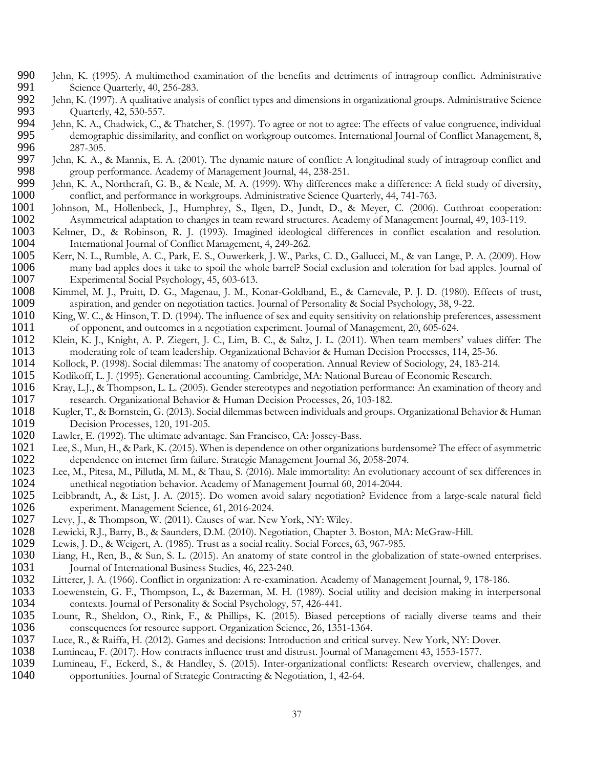- 990 Jehn, K. (1995). A multimethod examination of the benefits and detriments of intragroup conflict. Administrative Science Ouarterly. 40, 256-283. Science Quarterly, 40, 256-283.
- 992 Jehn, K. (1997). A qualitative analysis of conflict types and dimensions in organizational groups. Administrative Science<br>993 Ouarterly, 42, 530-557. 993 Quarterly, 42, 530-557.<br>994 Jehn, K. A., Chadwick, C., 8
- 994 Jehn, K. A., Chadwick, C., & Thatcher, S. (1997). To agree or not to agree: The effects of value congruence, individual demographic dissimilarity, and conflict on workgroup outcomes. International Journal of Conflict Management, 8, 996 287-305.<br>997 Jehn, K. A.,
- 997 Jehn, K. A., & Mannix, E. A. (2001). The dynamic nature of conflict: A longitudinal study of intragroup conflict and<br>998 group performance. Academy of Management Journal, 44, 238-251. 998 group performance. Academy of Management Journal, 44, 238-251.<br>999 Jehn. K. A., Northcraft, G. B., & Neale, M. A. (1999). Why differences
- 999 Jehn, K. A., Northcraft, G. B., & Neale, M. A. (1999). Why differences make a difference: A field study of diversity, 1000 conflict, and performance in workgroups. Administrative Science Quarterly, 44, 741-763.<br>1001 Johnson, M., Hollenbeck, J., Humphrey, S., Ilgen, D., Jundt, D., & Meyer, C. (2006).
- Johnson, M., Hollenbeck, J., Humphrey, S., Ilgen, D., Jundt, D., & Meyer, C. (2006). Cutthroat cooperation: 1002 Asymmetrical adaptation to changes in team reward structures. Academy of Management Journal, 49, 103-119.<br>1003 Keltner, D., & Robinson, R. J. (1993). Imagined ideological differences in conflict escalation and resolut
- Keltner, D., & Robinson, R. J. (1993). Imagined ideological differences in conflict escalation and resolution. 1004 International Journal of Conflict Management, 4, 249-262.<br>1005 Kerr, N. L., Rumble, A. C., Park, E. S., Ouwerkerk, J. W., Park
- Kerr, N. L., Rumble, A. C., Park, E. S., Ouwerkerk, J. W., Parks, C. D., Gallucci, M., & van Lange, P. A. (2009). How 1006 many bad apples does it take to spoil the whole barrel? Social exclusion and toleration for bad apples. Journal of 1007 Experimental Social Psychology, 45, 603-613. Experimental Social Psychology, 45, 603-613.
- 1008 Kimmel, M. J., Pruitt, D. G., Magenau, J. M., Konar-Goldband, E., & Carnevale, P. J. D. (1980). Effects of trust, 1009 aspiration, and gender on negotiation tactics. Journal of Personality & Social Psychology, 38, 9-2 aspiration, and gender on negotiation tactics. Journal of Personality & Social Psychology, 38, 9-22.
- 1010 King, W. C., & Hinson, T. D. (1994). The influence of sex and equity sensitivity on relationship preferences, assessment 1011 of opponent, and outcomes in a negotiation experiment. Journal of Management, 20, 605-624.
- 1012 Klein, K. J., Knight, A. P. Ziegert, J. C., Lim, B. C., & Saltz, J. L. (2011). When team members' values differ: The moderating role of team leadership. Organizational Behavior & Human Decision Processes, 114, 25-36. 1013 moderating role of team leadership. Organizational Behavior & Human Decision Processes, 114, 25-36.
- 1014 Kollock, P. (1998). Social dilemmas: The anatomy of cooperation. Annual Review of Sociology, 24, 183-214.<br>1015 Kotlikoff, L. J. (1995). Generational accounting. Cambridge, MA: National Bureau of Economic Research.
- 1015 Kotlikoff, L. J. (1995). Generational accounting. Cambridge, MA: National Bureau of Economic Research.
- 1016 Kray, L.J., & Thompson, L. L. (2005). Gender stereotypes and negotiation performance: An examination of theory and research. Organizational Behavior & Human Decision Processes, 26, 103-182. research. Organizational Behavior & Human Decision Processes, 26, 103-182.
- 1018 Kugler, T., & Bornstein, G. (2013). Social dilemmas between individuals and groups. Organizational Behavior & Human 1019 Decision Processes, 120, 191-205. Decision Processes, 120, 191-205.
- 1020 Lawler, E. (1992). The ultimate advantage. San Francisco, CA: Jossey-Bass.<br>1021 Lee, S., Mun, H., & Park, K. (2015). When is dependence on other organization
- 1021 Lee, S., Mun, H., & Park, K. (2015). When is dependence on other organizations burdensome? The effect of asymmetric dependence on internet firm failure. Strategic Management Journal 36, 2058-2074. 1022 dependence on internet firm failure. Strategic Management Journal 36, 2058-2074.<br>1023 Lee, M., Pitesa, M., Pillutla, M. M., & Thau, S. (2016). Male immortality: An evolutiona
- Lee, M., Pitesa, M., Pillutla, M. M., & Thau, S. (2016). Male immortality: An evolutionary account of sex differences in 1024 unethical negotiation behavior. Academy of Management Journal 60, 2014-2044.<br>1025 Leibbrandt, A., & List, J. A. (2015). Do women avoid salary negotiation? Evidence
- 1025 Leibbrandt, A., & List, J. A. (2015). Do women avoid salary negotiation? Evidence from a large-scale natural field 1026 experiment. Management Science, 61, 2016-2024.<br>1027 Levy, J., & Thompson, W. (2011). Causes of war. New
- Levy, J., & Thompson, W. (2011). Causes of war. New York, NY: Wiley.
- 1028 Lewicki, R.J., Barry, B., & Saunders, D.M. (2010). Negotiation, Chapter 3. Boston, MA: McGraw-Hill.<br>1029 Lewis, J. D., & Weigert, A. (1985). Trust as a social reality. Social Forces, 63, 967-985.
- Lewis, J. D., & Weigert, A. (1985). Trust as a social reality. Social Forces, 63, 967-985.
- 1030 Liang, H., Ren, B., & Sun, S. L. (2015). An anatomy of state control in the globalization of state-owned enterprises.<br>1031 Iournal of International Business Studies, 46, 223-240. 1031 Journal of International Business Studies, 46, 223-240.
- 1032 Litterer, J. A. (1966). Conflict in organization: A re-examination. Academy of Management Journal, 9, 178-186.<br>1033 Loewenstein, G. F., Thompson, L., & Bazerman, M. H. (1989). Social utility and decision making in int
- 1033 Loewenstein, G. F., Thompson, L., & Bazerman, M. H. (1989). Social utility and decision making in interpersonal contexts. Journal of Personality & Social Psychology, 57, 426-441. 1034 contexts. Journal of Personality & Social Psychology, 57, 426-441.<br>1035 Lount, R., Sheldon, O., Rink, F., & Phillips, K. (2015). Biased po
- Lount, R., Sheldon, O., Rink, F., & Phillips, K. (2015). Biased perceptions of racially diverse teams and their 1036 consequences for resource support. Organization Science, 26, 1351-1364.<br>1037 Luce, R., & Raiffa, H. (2012). Games and decisions: Introduction and critical s
- Luce, R., & Raiffa, H. (2012). Games and decisions: Introduction and critical survey. New York, NY: Dover.
- 1038 Lumineau, F. (2017). How contracts influence trust and distrust. Journal of Management 43, 1553-1577.
- 1039 Lumineau, F., Eckerd, S., & Handley, S. (2015). Inter-organizational conflicts: Research overview, challenges, and
- 1040 opportunities. Journal of Strategic Contracting & Negotiation, 1, 42-64.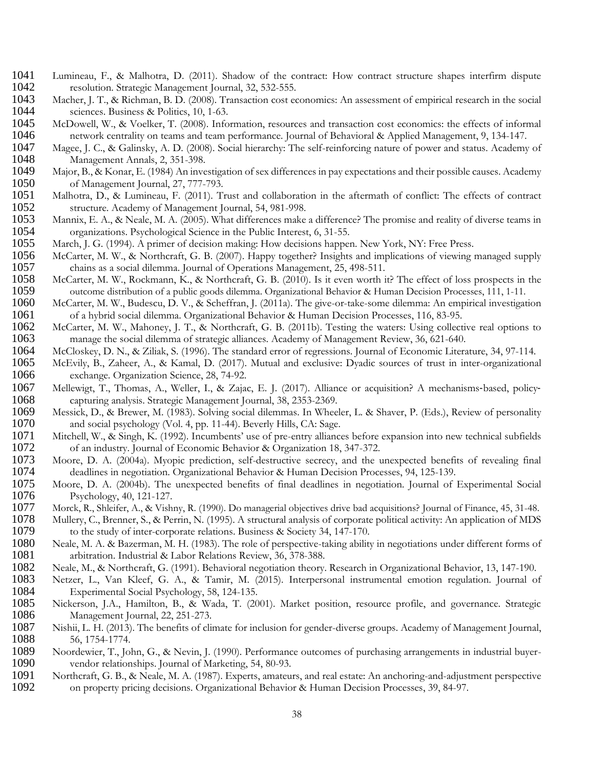- 1041 Lumineau, F., & Malhotra, D. (2011). Shadow of the contract: How contract structure shapes interfirm dispute 1042 resolution. Strategic Management Journal, 32, 532-555.
- 1043 Macher, J. T., & Richman, B. D. (2008). Transaction cost economics: An assessment of empirical research in the social sciences. Business & Politics, 10, 1-63. sciences. Business & Politics, 10, 1-63.
- 1045 McDowell, W., & Voelker, T. (2008). Information, resources and transaction cost economics: the effects of informal 1046 network centrality on teams and team performance. Iournal of Behavioral & Applied Management. 9, network centrality on teams and team performance. Journal of Behavioral & Applied Management, 9, 134-147.
- 1047 Magee, J. C., & Galinsky, A. D. (2008). Social hierarchy: The self-reinforcing nature of power and status. Academy of 1048 Management Annals, 2, 351-398. Management Annals, 2, 351-398.
- 1049 Major, B., & Konar, E. (1984) An investigation of sex differences in pay expectations and their possible causes. Academy 1050 of Management Journal, 27, 777-793. 1050 of Management Journal, 27, 777-793.<br>1051 Malhotra, D., & Lumineau, F. (2011). Ti
- 1051 Malhotra, D., & Lumineau, F. (2011). Trust and collaboration in the aftermath of conflict: The effects of contract 1052 structure. Academy of Management Journal, 54, 981-998. structure. Academy of Management Journal, 54, 981-998.
- 1053 Mannix, E. A., & Neale, M. A. (2005). What differences make a difference? The promise and reality of diverse teams in 1054 organizations. Psychological Science in the Public Interest, 6, 31-55.
- 1055 March, J. G. (1994). A primer of decision making: How decisions happen. New York, NY: Free Press.<br>1056 McCarter, M. W., & Northcraft, G. B. (2007). Happy together? Insights and implications of viewing
- McCarter, M. W., & Northcraft, G. B. (2007). Happy together? Insights and implications of viewing managed supply 1057 chains as a social dilemma. Journal of Operations Management, 25, 498-511.
- 1058 McCarter, M. W., Rockmann, K., & Northcraft, G. B. (2010). Is it even worth it? The effect of loss prospects in the outcome distribution of a public goods dilemma. Organizational Behavior & Human Decision Processes, 1 outcome distribution of a public goods dilemma. Organizational Behavior & Human Decision Processes, 111, 1-11.
- 1060 McCarter, M. W., Budescu, D. V., & Scheffran, J. (2011a). The give-or-take-some dilemma: An empirical investigation 1061 of a hybrid social dilemma. Organizational Behavior & Human Decision Processes, 116, 83-95.<br>1062 McCarter, M. W., Mahoney, J. T., & Northcraft, G. B. (2011b). Testing the waters: Using collect
- McCarter, M. W., Mahoney, J. T., & Northcraft, G. B. (2011b). Testing the waters: Using collective real options to 1063 manage the social dilemma of strategic alliances. Academy of Management Review, 36, 621-640.
- 1064 McCloskey, D. N., & Ziliak, S. (1996). The standard error of regressions. Journal of Economic Literature, 34, 97-114.
- 1065 McEvily, B., Zaheer, A., & Kamal, D. (2017). Mutual and exclusive: Dyadic sources of trust in inter-organizational 1066 exchange. Organization Science, 28, 74-92.
- 1067 Mellewigt, T., Thomas, A., Weller, I., & Zajac, E. J. (2017). Alliance or acquisition? A mechanisms-based, policy-1068 capturing analysis. Strategic Management Journal, 38, 2353-2369.
- 1069 Messick, D., & Brewer, M. (1983). Solving social dilemmas. In Wheeler, L. & Shaver, P. (Eds.), Review of personality 1070 and social psychology (Vol. 4, pp. 11-44). Beverly Hills, CA: Sage.
- 1071 Mitchell, W., & Singh, K. (1992). Incumbents' use of pre-entry alliances before expansion into new technical subfields 1072 of an industry. Journal of Economic Behavior & Organization 18, 347-372.<br>1073 Moore, D. A. (2004a). Myopic prediction, self-destructive secrecy, and the u
- Moore, D. A. (2004a). Myopic prediction, self-destructive secrecy, and the unexpected benefits of revealing final 1074 deadlines in negotiation. Organizational Behavior & Human Decision Processes, 94, 125-139.
- 1075 Moore, D. A. (2004b). The unexpected benefits of final deadlines in negotiation. Journal of Experimental Social 1076 Psychology, 40, 121-127.<br>1077 Morck, R., Shleifer, A., & Vish
- Morck, R., Shleifer, A., & Vishny, R. (1990). Do managerial objectives drive bad acquisitions? Journal of Finance, 45, 31-48.
- 1078 Mullery, C., Brenner, S., & Perrin, N. (1995). A structural analysis of corporate political activity: An application of MDS to the study of inter-corporate relations. Business & Society 34, 147-170. to the study of inter-corporate relations. Business & Society 34, 147-170.
- 1080 Neale, M. A. & Bazerman, M. H. (1983). The role of perspective-taking ability in negotiations under different forms of 1081 arbitration. Industrial & Labor Relations Review, 36, 378-388.<br>1082 Neale, M., & Northcraft, G. (1991). Behavioral negotiation theory.
- Neale, M., & Northcraft, G. (1991). Behavioral negotiation theory. Research in Organizational Behavior, 13, 147-190.
- 1083 Netzer, L., Van Kleef, G. A., & Tamir, M. (2015). Interpersonal instrumental emotion regulation. Journal of 1084 Experimental Social Psychology, 58, 124-135. Experimental Social Psychology, 58, 124-135.
- 1085 Nickerson, J.A., Hamilton, B., & Wada, T. (2001). Market position, resource profile, and governance. Strategic 1086 Management Journal, 22, 251-273.
- 1087 Nishii, L. H. (2013). The benefits of climate for inclusion for gender-diverse groups. Academy of Management Journal, 1088 56, 1754-1774.
- 1089 Noordewier, T., John, G., & Nevin, J. (1990). Performance outcomes of purchasing arrangements in industrial buyer-1090 vendor relationships. Journal of Marketing, 54, 80-93.
- 1091 Northcraft, G. B., & Neale, M. A. (1987). Experts, amateurs, and real estate: An anchoring-and-adjustment perspective<br>1092 on property pricing decisions. Organizational Behavior & Human Decision Processes, 39, 84-97. 1092 on property pricing decisions. Organizational Behavior & Human Decision Processes, 39, 84-97.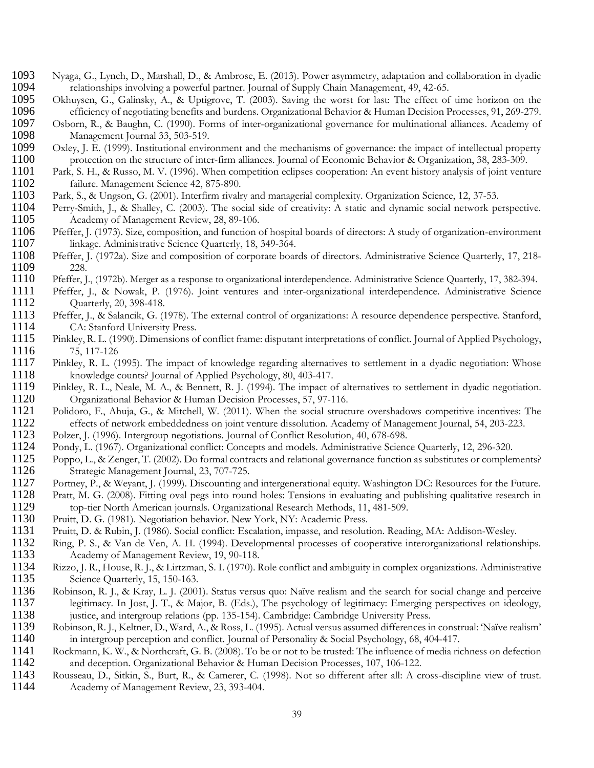- 1093 Nyaga, G., Lynch, D., Marshall, D., & Ambrose, E. (2013). Power asymmetry, adaptation and collaboration in dyadic relationships involving a powerful partner. Journal of Supply Chain Management, 49, 42-65.
- 1095 Okhuysen, G., Galinsky, A., & Uptigrove, T. (2003). Saving the worst for last: The effect of time horizon on the efficiency of negotiating benefits and burdens. Organizational Behavior & Human Decision Processes, 91, efficiency of negotiating benefits and burdens. Organizational Behavior & Human Decision Processes, 91, 269-279.
- 1097 Osborn, R., & Baughn, C. (1990). Forms of inter-organizational governance for multinational alliances. Academy of Management Journal 33, 503-519.
- 1099 Oxley, J. E. (1999). Institutional environment and the mechanisms of governance: the impact of intellectual property<br>1100 protection on the structure of inter-firm alliances. Journal of Economic Behavior & Organizatio protection on the structure of inter-firm alliances. Journal of Economic Behavior & Organization, 38, 283-309.
- 1101 Park, S. H., & Russo, M. V. (1996). When competition eclipses cooperation: An event history analysis of joint venture failure. Management Science 42, 875-890. failure. Management Science 42, 875-890.
- 1103 Park, S., & Ungson, G. (2001). Interfirm rivalry and managerial complexity. Organization Science, 12, 37-53.<br>1104 Perry-Smith, J., & Shalley, C. (2003). The social side of creativity: A static and dynamic social netwo
- 1104 Perry-Smith, J., & Shalley, C. (2003). The social side of creativity: A static and dynamic social network perspective. 1105 Academy of Management Review, 28, 89-106.<br>1106 Pfeffer, J. (1973). Size, composition, and function of
- Pfeffer, J. (1973). Size, composition, and function of hospital boards of directors: A study of organization-environment 1107 linkage. Administrative Science Quarterly, 18, 349-364.<br>1108 Pfeffer, J. (1972a). Size and composition of corporate boat
- Pfeffer, J. (1972a). Size and composition of corporate boards of directors. Administrative Science Quarterly, 17, 218-1109 228.
- 1110 Pfeffer, J., (1972b). Merger as a response to organizational interdependence. Administrative Science Quarterly, 17, 382-394.
- 1111 Pfeffer, J., & Nowak, P. (1976). Joint ventures and inter-organizational interdependence. Administrative Science 1112 Quarterly, 20, 398-418.
- 1113 Pfeffer, J., & Salancik, G. (1978). The external control of organizations: A resource dependence perspective. Stanford, 1114 CA: Stanford University Press. CA: Stanford University Press.
- 1115 Pinkley, R. L. (1990). Dimensions of conflict frame: disputant interpretations of conflict. Journal of Applied Psychology, 1116 75, 117-126<br>1117 Pinkley, R. L. (1
- 1117 Pinkley, R. L. (1995). The impact of knowledge regarding alternatives to settlement in a dyadic negotiation: Whose<br>1118 knowledge counts? Journal of Applied Psychology, 80, 403-417. knowledge counts? Journal of Applied Psychology, 80, 403-417.
- 1119 Pinkley, R. L., Neale, M. A., & Bennett, R. J. (1994). The impact of alternatives to settlement in dyadic negotiation. 1120 Organizational Behavior & Human Decision Processes, 57, 97-116.
- 1121 Polidoro, F., Ahuja, G., & Mitchell, W. (2011). When the social structure overshadows competitive incentives: The effects of network embeddedness on joint venture dissolution. Academy of Management Iournal, 54, 203-22 effects of network embeddedness on joint venture dissolution. Academy of Management Journal, 54, 203-223.
- 1123 Polzer, J. (1996). Intergroup negotiations. Journal of Conflict Resolution, 40, 678-698.
- 1124 Pondy, L. (1967). Organizational conflict: Concepts and models. Administrative Science Quarterly, 12, 296-320.
- 1125 Poppo, L., & Zenger, T. (2002). Do formal contracts and relational governance function as substitutes or complements?<br>1126 Strategic Management Iournal. 23. 707-725. Strategic Management Journal, 23, 707-725.
- 1127 Portney, P., & Weyant, J. (1999). Discounting and intergenerational equity. Washington DC: Resources for the Future.
- 1128 Pratt, M. G. (2008). Fitting oval pegs into round holes: Tensions in evaluating and publishing qualitative research in 1129 top-tier North American journals. Organizational Research Methods, 11, 481-509. 1129 top-tier North American journals. Organizational Research Methods, 11, 481-509.<br>1130 Pruitt, D. G. (1981). Negotiation behavior. New York, NY: Academic Press.
- Pruitt, D. G. (1981). Negotiation behavior. New York, NY: Academic Press.
- 1131 Pruitt, D. & Rubin, J. (1986). Social conflict: Escalation, impasse, and resolution. Reading, MA: Addison-Wesley.<br>1132 Ring, P. S., & Van de Ven, A. H. (1994). Developmental processes of cooperative interorganizationa
- 1132 Ring, P. S., & Van de Ven, A. H. (1994). Developmental processes of cooperative interorganizational relationships.<br>1133 Academy of Management Review, 19, 90-118. 1133 Academy of Management Review, 19, 90-118.<br>1134 Rizzo, J. R., House, R. J., & Lirtzman, S. I. (1970).
- Rizzo, J. R., House, R. J., & Lirtzman, S. I. (1970). Role conflict and ambiguity in complex organizations. Administrative 1135 Science Quarterly, 15, 150-163.
- 1136 Robinson, R. J., & Kray, L. J. (2001). Status versus quo: Naïve realism and the search for social change and perceive<br>1137 legitimacy. In Jost, J. T., & Major, B. (Eds.), The psychology of legitimacy: Emerging perspec 1137 legitimacy. In Jost, J. T., & Major, B. (Eds.), The psychology of legitimacy: Emerging perspectives on ideology, 1138 justice, and intergroup relations (pp. 135-154). Cambridge: Cambridge University Press.
- 1139 Robinson, R. J., Keltner, D., Ward, A., & Ross, L. (1995). Actual versus assumed differences in construal: 'Naïve realism' 1140 in intergroup perception and conflict. Journal of Personality & Social Psychology, 68, 404-417.
- 1141 Rockmann, K. W., & Northcraft, G. B. (2008). To be or not to be trusted: The influence of media richness on defection 1142 and deception. Organizational Behavior & Human Decision Processes. 107, 106-122. and deception. Organizational Behavior & Human Decision Processes, 107, 106-122.
- 1143 Rousseau, D., Sitkin, S., Burt, R., & Camerer, C. (1998). Not so different after all: A cross-discipline view of trust. 1144 Academy of Management Review, 23, 393-404.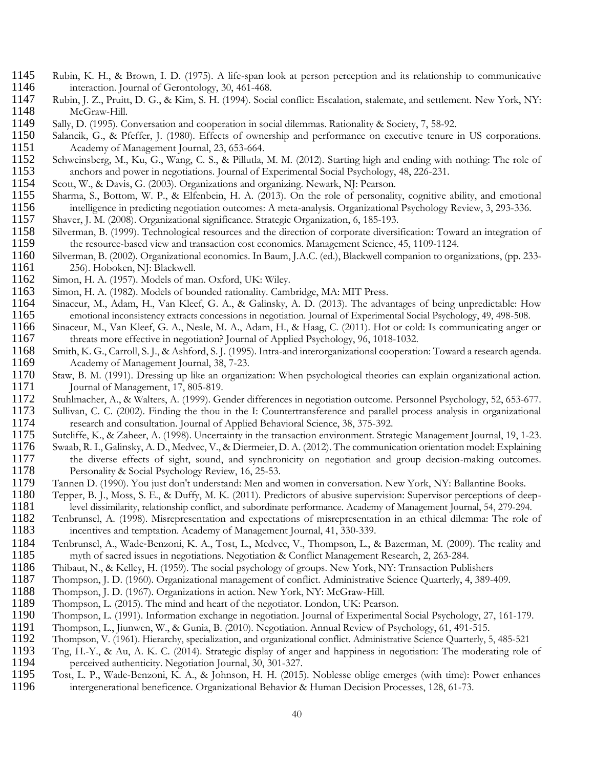- 1145 Rubin, K. H., & Brown, I. D. (1975). A life-span look at person perception and its relationship to communicative 1146 interaction. Journal of Gerontology, 30, 461-468.
- 1147 Rubin, J. Z., Pruitt, D. G., & Kim, S. H. (1994). Social conflict: Escalation, stalemate, and settlement. New York, NY: McGraw-Hill.
- 1149 Sally, D. (1995). Conversation and cooperation in social dilemmas. Rationality & Society, 7, 58-92.<br>1150 Salancik, G., & Pfeffer, J. (1980). Effects of ownership and performance on executive tenure
- Salancik, G., & Pfeffer, J. (1980). Effects of ownership and performance on executive tenure in US corporations. 1151 Academy of Management Journal, 23, 653-664.<br>1152 Schweinsberg, M., Ku, G., Wang, C. S., & Pillutla,
- 1152 Schweinsberg, M., Ku, G., Wang, C. S., & Pillutla, M. M. (2012). Starting high and ending with nothing: The role of 1153 anchors and power in negotiations. Journal of Experimental Social Psychology, 48, 226-231.<br>1154 Scott, W., & Davis, G. (2003). Organizations and organizing. Newark, NJ: Pearson.
- Scott, W., & Davis, G. (2003). Organizations and organizing. Newark, NJ: Pearson.
- 1155 Sharma, S., Bottom, W. P., & Elfenbein, H. A. (2013). On the role of personality, cognitive ability, and emotional 1156 intelligence in predicting negotiation outcomes: A meta-analysis. Organizational Psychology Revie 1156 intelligence in predicting negotiation outcomes: A meta-analysis. Organizational Psychology Review, 3, 293-336.<br>1157 Shaver, J. M. (2008). Organizational significance. Strategic Organization, 6, 185-193.
- 1157 Shaver, J. M. (2008). Organizational significance. Strategic Organization, 6, 185-193.
- 1158 Silverman, B. (1999). Technological resources and the direction of corporate diversification: Toward an integration of 1159 the resource-based view and transaction cost economics. Management Science, 45, 1109-1124.<br>1160 Silverman, B. (2002). Organizational economics. In Baum, J.A.C. (ed.), Blackwell companion to organization
- Silverman, B. (2002). Organizational economics. In Baum, J.A.C. (ed.), Blackwell companion to organizations, (pp. 233-1161 256). Hoboken, NJ: Blackwell.
- 1162 Simon, H. A. (1957). Models of man. Oxford, UK: Wiley.
- 1163 Simon, H. A. (1982). Models of bounded rationality. Cambridge, MA: MIT Press.<br>1164 Sinaceur, M., Adam, H., Van Kleef, G. A., & Galinsky, A. D. (2013). The adva
- Sinaceur, M., Adam, H., Van Kleef, G. A., & Galinsky, A. D. (2013). The advantages of being unpredictable: How 1165 emotional inconsistency extracts concessions in negotiation. Journal of Experimental Social Psychology, 49, 498-508.<br>1166 Sinaceur, M., Van Kleef, G. A., Neale, M. A., Adam, H., & Haag, C. (2011). Hot or cold: Is comm
- Sinaceur, M., Van Kleef, G. A., Neale, M. A., Adam, H., & Haag, C. (2011). Hot or cold: Is communicating anger or 1167 threats more effective in negotiation? Journal of Applied Psychology, 96, 1018-1032.
- 1168 Smith, K. G., Carroll, S. J., & Ashford, S. J. (1995). Intra-and interorganizational cooperation: Toward a research agenda.<br>1169 Academy of Management Journal, 38, 7-23. 1169 Academy of Management Journal, 38, 7-23.<br>1170 Staw, B. M. (1991). Dressing up like an organiz
- Staw, B. M. (1991). Dressing up like an organization: When psychological theories can explain organizational action. 1171 **Journal of Management**, 17, 805-819.
- 1172 Stuhlmacher, A., & Walters, A. (1999). Gender differences in negotiation outcome. Personnel Psychology, 52, 653-677.
- 1173 Sullivan, C. C. (2002). Finding the thou in the I: Countertransference and parallel process analysis in organizational 1174 research and consultation. Journal of Applied Behavioral Science, 38, 375-392.<br>1175 Sutcliffe. K., & Zaheer. A. (1998). Uncertainty in the transaction environment. Strat
- Sutcliffe, K., & Zaheer, A. (1998). Uncertainty in the transaction environment. Strategic Management Journal, 19, 1-23.
- 1176 Swaab, R. I., Galinsky, A. D., Medvec, V., & Diermeier, D. A. (2012). The communication orientation model: Explaining 1177 the diverse effects of sight, sound, and synchronicity on negotiation and group decision-making outcomes.<br>1178 Personality & Social Psychology Review. 16, 25-53. Personality & Social Psychology Review, 16, 25-53.
- 1179 Tannen D. (1990). You just don't understand: Men and women in conversation. New York, NY: Ballantine Books.
- 1180 Tepper, B. J., Moss, S. E., & Duffy, M. K. (2011). Predictors of abusive supervision: Supervisor perceptions of deep-<br>1181 level dissimilarity, relationship conflict, and subordinate performance. Academy of Management 1181 level dissimilarity, relationship conflict, and subordinate performance. Academy of Management Journal, 54, 279-294.
- 1182 Tenbrunsel, A. (1998). Misrepresentation and expectations of misrepresentation in an ethical dilemma: The role of 1183 incentives and temptation. Academy of Management Journal, 41, 330-339.
- 1184 Tenbrunsel, A., Wade-Benzoni, K. A., Tost, L., Medvec, V., Thompson, L., & Bazerman, M. (2009). The reality and<br>1185 myth of sacred issues in negotiations. Negotiation & Conflict Management Research, 2, 263-284. 1185 myth of sacred issues in negotiations. Negotiation & Conflict Management Research, 2, 263-284.<br>1186 Thibaut, N., & Kelley, H. (1959). The social psychology of groups. New York, NY: Transaction Publi
- 1186 Thibaut, N., & Kelley, H. (1959). The social psychology of groups. New York, NY: Transaction Publishers
- 1187 Thompson, J. D. (1960). Organizational management of conflict. Administrative Science Quarterly, 4, 389-409.<br>1188 Thompson, J. D. (1967). Organizations in action. New York, NY: McGraw-Hill.
- 1188 Thompson, J. D. (1967). Organizations in action. New York, NY: McGraw-Hill.<br>1189 Thompson, L. (2015). The mind and heart of the negotiator. London, UK: Pears
- Thompson, L. (2015). The mind and heart of the negotiator. London, UK: Pearson.
- 1190 Thompson, L. (1991). Information exchange in negotiation. Journal of Experimental Social Psychology, 27, 161-179.<br>1191 Thompson, L., Jiunwen, W., & Gunia, B. (2010). Negotiation. Annual Review of Psychology, 61, 491-5
- 1191 Thompson, L., Jiunwen, W., & Gunia, B. (2010). Negotiation. Annual Review of Psychology, 61, 491-515.<br>1192 Thompson, V. (1961). Hierarchy, specialization, and organizational conflict. Administrative Science Ouarterly,
- 1192 Thompson, V. (1961). Hierarchy, specialization, and organizational conflict. Administrative Science Quarterly, 5, 485-521
- 1193 Tng, H.-Y., & Au, A. K. C. (2014). Strategic display of anger and happiness in negotiation: The moderating role of 1194 perceived authenticity. Negotiation Iournal, 30, 301-327. perceived authenticity. Negotiation Journal, 30, 301-327.
- 1195 Tost, L. P., Wade-Benzoni, K. A., & Johnson, H. H. (2015). Noblesse oblige emerges (with time): Power enhances 1196 intergenerational beneficence. Organizational Behavior & Human Decision Processes, 128, 61-73.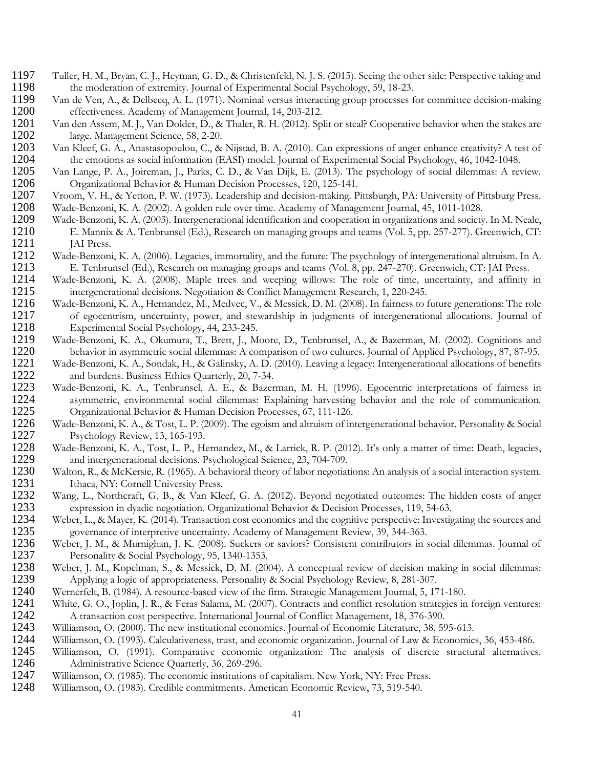- 1197 Tuller, H. M., Bryan, C. J., Heyman, G. D., & Christenfeld, N. J. S. (2015). Seeing the other side: Perspective taking and the moderation of extremity. Iournal of Experimental Social Psychology, 59, 18-23. the moderation of extremity. Journal of Experimental Social Psychology, 59, 18-23.
- 1199 Van de Ven, A., & Delbecq, A. L. (1971). Nominal versus interacting group processes for committee decision-making 1200 effectiveness. Academy of Management Journal, 14, 203-212. effectiveness. Academy of Management Journal, 14, 203-212.
- 1201 Van den Assem, M. J., Van Dolder, D., & Thaler, R. H. (2012). Split or steal? Cooperative behavior when the stakes are 1202 large. Management Science. 58, 2-20. large. Management Science, 58, 2-20.
- 1203 Van Kleef, G. A., Anastasopoulou, C., & Nijstad, B. A. (2010). Can expressions of anger enhance creativity? A test of 1204 the emotions as social information (EASI) model. Journal of Experimental Social Psychology, 46 the emotions as social information (EASI) model. Journal of Experimental Social Psychology, 46, 1042-1048.
- 1205 Van Lange, P. A., Joireman, J., Parks, C. D., & Van Dijk, E. (2013). The psychology of social dilemmas: A review. 1206 Organizational Behavior & Human Decision Processes, 120, 125-141.
- 1207 Vroom, V. H., & Yetton, P. W. (1973). Leadership and decision-making. Pittsburgh, PA: University of Pittsburg Press.
- 1208 Wade-Benzoni, K. A. (2002). A golden rule over time. Academy of Management Journal, 45, 1011-1028.
- 1209 Wade-Benzoni, K. A. (2003). Intergenerational identification and cooperation in organizations and society. In M. Neale, 1210 E. Mannix & A. Tenbrunsel (Ed.), Research on managing groups and teams (Vol. 5, pp. 257-277) E. Mannix & A. Tenbrunsel (Ed.), Research on managing groups and teams (Vol. 5, pp. 257-277). Greenwich, CT: 1211 JAI Press.<br>1212 Wade-Benzoni
- Wade-Benzoni, K. A. (2006). Legacies, immortality, and the future: The psychology of intergenerational altruism. In A. 1213 E. Tenbrunsel (Ed.), Research on managing groups and teams (Vol. 8, pp. 247-270). Greenwich, CT: JAI Press.
- 1214 Wade-Benzoni, K. A. (2008). Maple trees and weeping willows: The role of time, uncertainty, and affinity in 1215 intergenerational decisions. Negotiation & Conflict Management Research, 1, 220-245.<br>1216 Wade-Benzoni, K. A., Hernandez, M., Medvec, V., & Messick, D. M. (2008). In fairness to f
- Wade-Benzoni, K. A., Hernandez, M., Medvec, V., & Messick, D. M. (2008). In fairness to future generations: The role 1217 of egocentrism, uncertainty, power, and stewardship in judgments of intergenerational allocations. Journal of 1218 Experimental Social Psychology. 44. 233-245. Experimental Social Psychology, 44, 233-245.
- 1219 Wade-Benzoni, K. A., Okumura, T., Brett, J., Moore, D., Tenbrunsel, A., & Bazerman, M. (2002). Cognitions and<br>1220 behavior in asymmetric social dilemmas: A comparison of two cultures. Journal of Applied Psychology, 8 1220 behavior in asymmetric social dilemmas: A comparison of two cultures. Journal of Applied Psychology, 87, 87-95.<br>1221 Wade-Benzoni, K. A., Sondak, H., & Galinsky, A. D. (2010). Leaving a legacy: Intergenerational alloc
- 1221 Wade-Benzoni, K. A., Sondak, H., & Galinsky, A. D. (2010). Leaving a legacy: Intergenerational allocations of benefits and burdens. Business Ethics Quarterly, 20, 7-34. and burdens. Business Ethics Quarterly, 20, 7-34.
- 1223 Wade-Benzoni, K. A., Tenbrunsel, A. E., & Bazerman, M. H. (1996). Egocentric interpretations of fairness in 1224 asymmetric, environmental social dilemmas: Explaining harvesting behavior and the role of communication. asymmetric, environmental social dilemmas: Explaining harvesting behavior and the role of communication. 1225 Organizational Behavior & Human Decision Processes, 67, 111-126.<br>1226 Wade-Benzoni, K. A., & Tost, L. P. (2009). The egoism and altruism of in
- Wade-Benzoni, K. A., & Tost, L. P. (2009). The egoism and altruism of intergenerational behavior. Personality & Social 1227 Psychology Review, 13, 165-193.<br>1228 Wade-Benzoni, K. A., Tost, L. P., He
- 1228 Wade-Benzoni, K. A., Tost, L. P., Hernandez, M., & Larrick, R. P. (2012). It's only a matter of time: Death, legacies, 1229 and intergenerational decisions. Psychological Science, 23, 704-709. 1229 and intergenerational decisions. Psychological Science, 23, 704-709.<br>1230 Walton, R., & McKersie, R. (1965). A behavioral theory of labor negotiat
- Walton, R., & McKersie, R. (1965). A behavioral theory of labor negotiations: An analysis of a social interaction system. 1231 Ithaca, NY: Cornell University Press.<br>1232 Wang, L., Northcraft, G. B., & Van Kle
- Wang, L., Northcraft, G. B., & Van Kleef, G. A. (2012). Beyond negotiated outcomes: The hidden costs of anger 1233 expression in dyadic negotiation. Organizational Behavior & Decision Processes, 119, 54-63.<br>1234 Weber, L., & Maver, K. (2014). Transaction cost economics and the coenitive perspective: Investig
- Weber, L., & Mayer, K. (2014). Transaction cost economics and the cognitive perspective: Investigating the sources and 1235 governance of interpretive uncertainty. Academy of Management Review, 39, 344-363.<br>1236 Weber, J. M., & Murnighan, J. K. (2008). Suckers or saviors? Consistent contributors in s
- Weber, J. M., & Murnighan, J. K. (2008). Suckers or saviors? Consistent contributors in social dilemmas. Journal of 1237 Personality & Social Psychology, 95, 1340-1353.<br>1238 Weber, J. M., Kopelman, S., & Messick, D. M. (20)
- Weber, J. M., Kopelman, S., & Messick, D. M. (2004). A conceptual review of decision making in social dilemmas: 1239 Applying a logic of appropriateness. Personality & Social Psychology Review, 8, 281-307.<br>1240 Wernerfelt, B. (1984). A resource-based view of the firm. Strategic Management Journal, 5, 17
- 1240 Wernerfelt, B. (1984). A resource-based view of the firm. Strategic Management Journal, 5, 171-180.<br>1241 White, G. O., Joplin, J. R., & Feras Salama, M. (2007). Contracts and conflict resolution strategies in
- 1241 White, G. O., Joplin, J. R., & Feras Salama, M. (2007). Contracts and conflict resolution strategies in foreign ventures:<br>1242 A transaction cost perspective. International Journal of Conflict Management, 18, 376-390. 1242 A transaction cost perspective. International Journal of Conflict Management, 18, 376-390.
- 1243 Williamson, O. (2000). The new institutional economics. Journal of Economic Literature, 38, 595-613.<br>1244 Williamson, O. (1993). Calculativeness, trust, and economic organization. Journal of Law & Economics
- Williamson, O. (1993). Calculativeness, trust, and economic organization. Journal of Law & Economics, 36, 453-486.
- 1245 Williamson, O. (1991). Comparative economic organization: The analysis of discrete structural alternatives.<br>1246 Administrative Science Ouarterly 36, 269-296. Administrative Science Quarterly, 36, 269-296.
- 1247 Williamson, O. (1985). The economic institutions of capitalism. New York, NY: Free Press.<br>1248 Williamson, O. (1983). Credible commitments. American Economic Review, 73, 519-540.
- 1248 Williamson, O. (1983). Credible commitments. American Economic Review, 73, 519-540.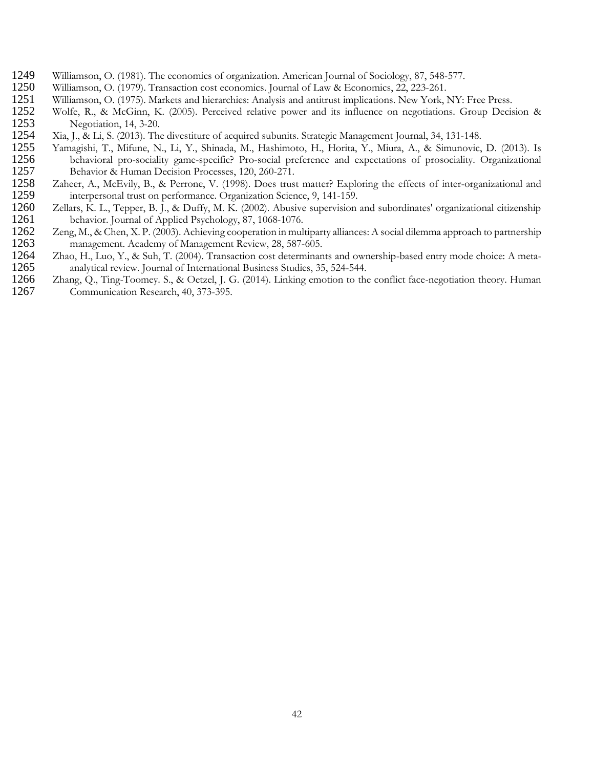- 1249 Williamson, O. (1981). The economics of organization. American Journal of Sociology, 87, 548-577.<br>1250 Williamson, O. (1979). Transaction cost economics. Journal of Law & Economics, 22, 223-261.
- 1250 Williamson, O. (1979). Transaction cost economics. Journal of Law & Economics, 22, 223-261.
- 1251 Williamson, O. (1975). Markets and hierarchies: Analysis and antitrust implications. New York, NY: Free Press.<br>1252 Wolfe, R., & McGinn, K. (2005). Perceived relative power and its influence on negotiations. Group Dec
- 1252 Wolfe, R., & McGinn, K. (2005). Perceived relative power and its influence on negotiations. Group Decision & 1253 Negotiation, 14, 3-20. 1253 Negotiation, 14, 3-20.<br>1254 Xia, J., & Li, S. (2013). The
- 1254 Xia, J., & Li, S. (2013). The divestiture of acquired subunits. Strategic Management Journal, 34, 131-148.
- 1255 Yamagishi, T., Mifune, N., Li, Y., Shinada, M., Hashimoto, H., Horita, Y., Miura, A., & Simunovic, D. (2013). Is<br>1256 behavioral pro-sociality game-specific? Pro-social preference and expectations of prosociality. Org behavioral pro-sociality game-specific? Pro-social preference and expectations of prosociality. Organizational 1257 Behavior & Human Decision Processes, 120, 260-271.<br>1258 Zaheer, A., McEvily, B., & Perrone, V. (1998). Does trust
- Zaheer, A., McEvily, B., & Perrone, V. (1998). Does trust matter? Exploring the effects of inter-organizational and 1259 interpersonal trust on performance. Organization Science, 9, 141-159.<br>1260 Zellars, K. L., Tepper, B. J., & Duffy, M. K. (2002). Abusive supervision
- 1260 Zellars, K. L., Tepper, B. J., & Duffy, M. K. (2002). Abusive supervision and subordinates' organizational citizenship<br>1261 behavior. Journal of Applied Psychology, 87, 1068-1076. 1261 behavior. Journal of Applied Psychology, 87, 1068-1076.<br>1262 Zeng, M., & Chen, X. P. (2003). Achieving cooperation in mul
- Zeng, M., & Chen, X. P. (2003). Achieving cooperation in multiparty alliances: A social dilemma approach to partnership 1263 management. Academy of Management Review, 28, 587-605.<br>1264 Zhao, H., Luo, Y., & Suh, T. (2004). Transaction cost determinan
- Zhao, H., Luo, Y., & Suh, T. (2004). Transaction cost determinants and ownership-based entry mode choice: A meta-1265 analytical review. Journal of International Business Studies, 35, 524-544.
- 1266 Zhang, Q., Ting-Toomey. S., & Oetzel, J. G. (2014). Linking emotion to the conflict face-negotiation theory. Human 1267 Communication Research, 40, 373-395.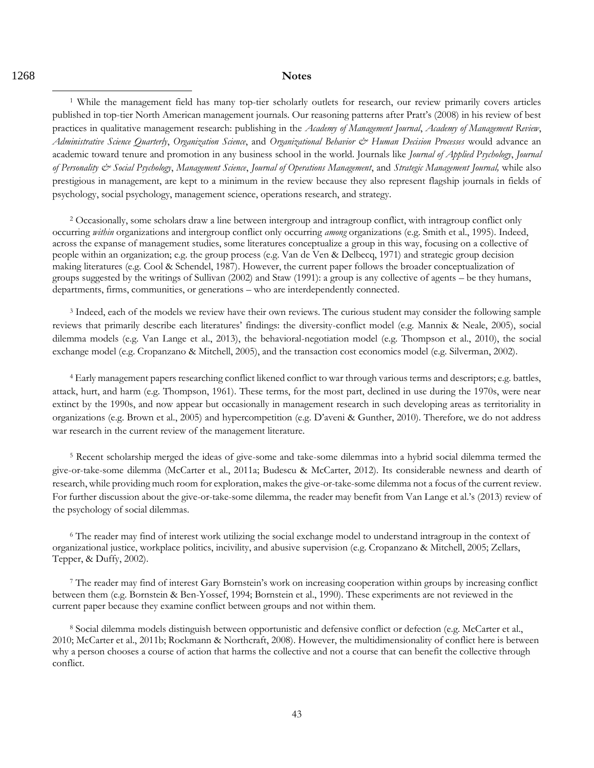# 1268 **Notes**

<sup>1</sup> While the management field has many top-tier scholarly outlets for research, our review primarily covers articles published in top-tier North American management journals. Our reasoning patterns after Pratt's (2008) in his review of best practices in qualitative management research: publishing in the *Academy of Management Journal*, *Academy of Management Review*, *Administrative Science Quarterly*, *Organization Science*, and *Organizational Behavior & Human Decision Processes* would advance an academic toward tenure and promotion in any business school in the world. Journals like *Journal of Applied Psychology*, *Journal of Personality & Social Psychology*, *Management Science*, *Journal of Operations Management*, and *Strategic Management Journal,* while also prestigious in management, are kept to a minimum in the review because they also represent flagship journals in fields of psychology, social psychology, management science, operations research, and strategy.

<sup>2</sup> Occasionally, some scholars draw a line between intergroup and intragroup conflict, with intragroup conflict only occurring *within* organizations and intergroup conflict only occurring *among* organizations (e.g. Smith et al., 1995). Indeed, across the expanse of management studies, some literatures conceptualize a group in this way, focusing on a collective of people within an organization; e.g. the group process (e.g. Van de Ven & Delbecq, 1971) and strategic group decision making literatures (e.g. Cool & Schendel, 1987). However, the current paper follows the broader conceptualization of groups suggested by the writings of Sullivan (2002) and Staw (1991): a group is any collective of agents – be they humans, departments, firms, communities, or generations – who are interdependently connected.

<sup>3</sup> Indeed, each of the models we review have their own reviews. The curious student may consider the following sample reviews that primarily describe each literatures' findings: the diversity-conflict model (e.g. Mannix & Neale, 2005), social dilemma models (e.g. Van Lange et al., 2013), the behavioral-negotiation model (e.g. Thompson et al., 2010), the social exchange model (e.g. Cropanzano & Mitchell, 2005), and the transaction cost economics model (e.g. Silverman, 2002).

<sup>4</sup> Early management papers researching conflict likened conflict to war through various terms and descriptors; e.g. battles, attack, hurt, and harm (e.g. Thompson, 1961). These terms, for the most part, declined in use during the 1970s, were near extinct by the 1990s, and now appear but occasionally in management research in such developing areas as territoriality in organizations (e.g. Brown et al., 2005) and hypercompetition (e.g. D'aveni & Gunther, 2010). Therefore, we do not address war research in the current review of the management literature.

<sup>5</sup> Recent scholarship merged the ideas of give-some and take-some dilemmas into a hybrid social dilemma termed the give-or-take-some dilemma (McCarter et al., 2011a; Budescu & McCarter, 2012). Its considerable newness and dearth of research, while providing much room for exploration, makes the give-or-take-some dilemma not a focus of the current review. For further discussion about the give-or-take-some dilemma, the reader may benefit from Van Lange et al.'s (2013) review of the psychology of social dilemmas.

<sup>6</sup> The reader may find of interest work utilizing the social exchange model to understand intragroup in the context of organizational justice, workplace politics, incivility, and abusive supervision (e.g. Cropanzano & Mitchell, 2005; Zellars, Tepper, & Duffy, 2002).

<sup>7</sup> The reader may find of interest Gary Bornstein's work on increasing cooperation within groups by increasing conflict between them (e.g. Bornstein & Ben-Yossef, 1994; Bornstein et al., 1990). These experiments are not reviewed in the current paper because they examine conflict between groups and not within them.

<sup>8</sup> Social dilemma models distinguish between opportunistic and defensive conflict or defection (e.g. McCarter et al., 2010; McCarter et al., 2011b; Rockmann & Northcraft, 2008). However, the multidimensionality of conflict here is between why a person chooses a course of action that harms the collective and not a course that can benefit the collective through conflict.

 $\overline{a}$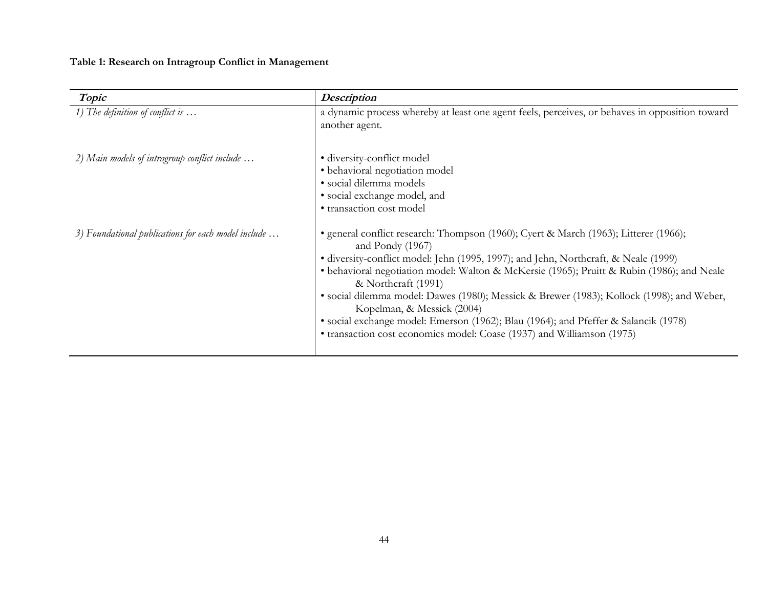**Table 1: Research on Intragroup Conflict in Management**

| Topic                                               | <b>Description</b>                                                                                                                                                                                                                                                                                                                                                                                                                                                                                                                                                                                               |
|-----------------------------------------------------|------------------------------------------------------------------------------------------------------------------------------------------------------------------------------------------------------------------------------------------------------------------------------------------------------------------------------------------------------------------------------------------------------------------------------------------------------------------------------------------------------------------------------------------------------------------------------------------------------------------|
| 1) The definition of conflict is                    | a dynamic process whereby at least one agent feels, perceives, or behaves in opposition toward<br>another agent.                                                                                                                                                                                                                                                                                                                                                                                                                                                                                                 |
| 2) Main models of intragroup conflict include       | · diversity-conflict model<br>· behavioral negotiation model<br>· social dilemma models<br>· social exchange model, and<br>• transaction cost model                                                                                                                                                                                                                                                                                                                                                                                                                                                              |
| 3) Foundational publications for each model include | • general conflict research: Thompson (1960); Cyert & March (1963); Litterer (1966);<br>and Pondy (1967)<br>· diversity-conflict model: Jehn (1995, 1997); and Jehn, Northcraft, & Neale (1999)<br>· behavioral negotiation model: Walton & McKersie (1965); Pruitt & Rubin (1986); and Neale<br>& Northcraft (1991)<br>· social dilemma model: Dawes (1980); Messick & Brewer (1983); Kollock (1998); and Weber,<br>Kopelman, & Messick (2004)<br>· social exchange model: Emerson (1962); Blau (1964); and Pfeffer & Salancik (1978)<br>• transaction cost economics model: Coase (1937) and Williamson (1975) |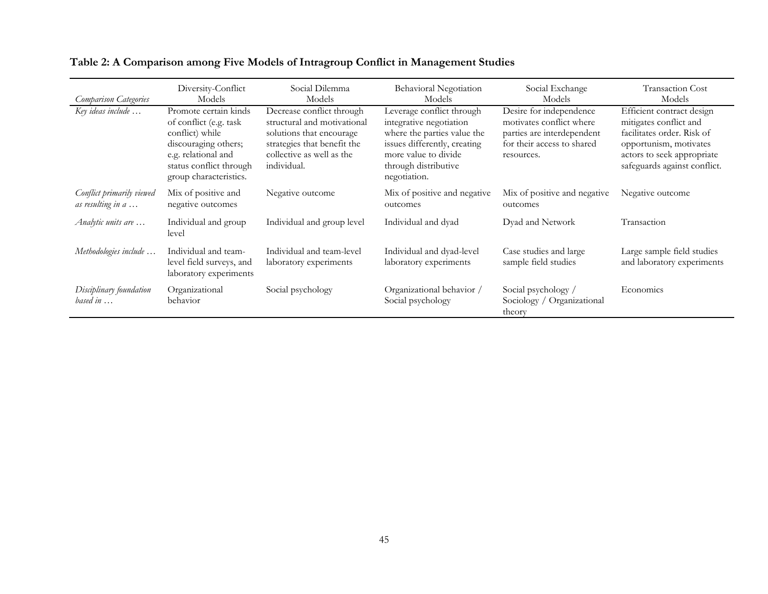| <b>Comparison Categories</b>                   | Diversity-Conflict<br>Models                                                                                                                                           | Social Dilemma<br>Models                                                                                                                                        | Behavioral Negotiation<br>Models                                                                                                                                                    | Social Exchange<br>Models                                                                                                     | <b>Transaction Cost</b><br>Models                                                                                                                                         |
|------------------------------------------------|------------------------------------------------------------------------------------------------------------------------------------------------------------------------|-----------------------------------------------------------------------------------------------------------------------------------------------------------------|-------------------------------------------------------------------------------------------------------------------------------------------------------------------------------------|-------------------------------------------------------------------------------------------------------------------------------|---------------------------------------------------------------------------------------------------------------------------------------------------------------------------|
| Key ideas include                              | Promote certain kinds<br>of conflict (e.g. task<br>conflict) while<br>discouraging others;<br>e.g. relational and<br>status conflict through<br>group characteristics. | Decrease conflict through<br>structural and motivational<br>solutions that encourage<br>strategies that benefit the<br>collective as well as the<br>individual. | Leverage conflict through<br>integrative negotiation<br>where the parties value the<br>issues differently, creating<br>more value to divide<br>through distributive<br>negotiation. | Desire for independence<br>motivates conflict where<br>parties are interdependent<br>for their access to shared<br>resources. | Efficient contract design<br>mitigates conflict and<br>facilitates order. Risk of<br>opportunism, motivates<br>actors to seek appropriate<br>safeguards against conflict. |
| Conflict primarily viewed<br>as resulting in a | Mix of positive and<br>negative outcomes                                                                                                                               | Negative outcome                                                                                                                                                | Mix of positive and negative<br>outcomes                                                                                                                                            | Mix of positive and negative<br>outcomes                                                                                      | Negative outcome                                                                                                                                                          |
| Analytic units are                             | Individual and group<br>level                                                                                                                                          | Individual and group level                                                                                                                                      | Individual and dyad                                                                                                                                                                 | Dyad and Network                                                                                                              | Transaction                                                                                                                                                               |
| Methodologies include                          | Individual and team-<br>level field surveys, and<br>laboratory experiments                                                                                             | Individual and team-level<br>laboratory experiments                                                                                                             | Individual and dyad-level<br>laboratory experiments                                                                                                                                 | Case studies and large<br>sample field studies                                                                                | Large sample field studies<br>and laboratory experiments                                                                                                                  |
| Disciplinary foundation<br>based in $\ldots$   | Organizational<br>behavior                                                                                                                                             | Social psychology                                                                                                                                               | Organizational behavior /<br>Social psychology                                                                                                                                      | Social psychology /<br>Sociology / Organizational<br>theory                                                                   | Economics                                                                                                                                                                 |

# **Table 2: A Comparison among Five Models of Intragroup Conflict in Management Studies**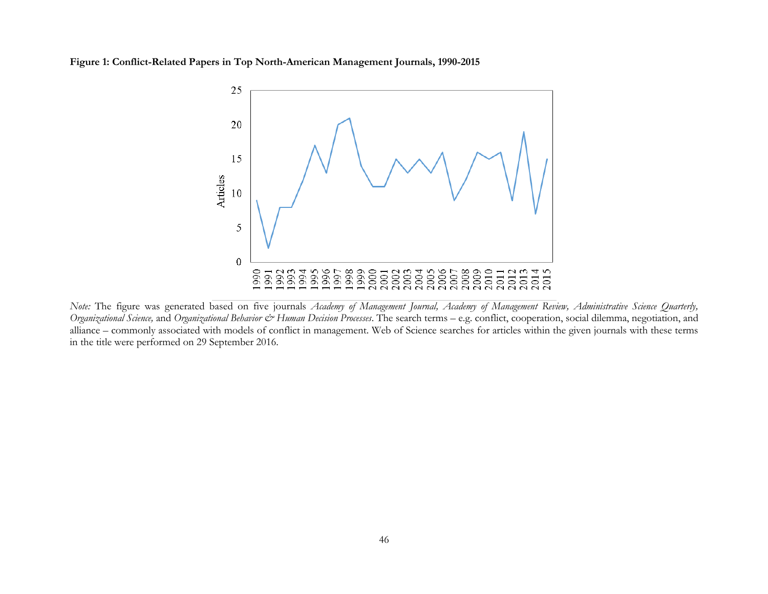**Figure 1: Conflict-Related Papers in Top North-American Management Journals, 1990-2015**



*Note:* The figure was generated based on five journals *Academy of Management Journal, Academy of Management Review, Administrative Science Quarterly, Organizational Science,* and *Organizational Behavior & Human Decision Processes*. The search terms – e.g. conflict, cooperation, social dilemma, negotiation, and alliance – commonly associated with models of conflict in management. Web of Science searches for articles within the given journals with these terms in the title were performed on 29 September 2016.